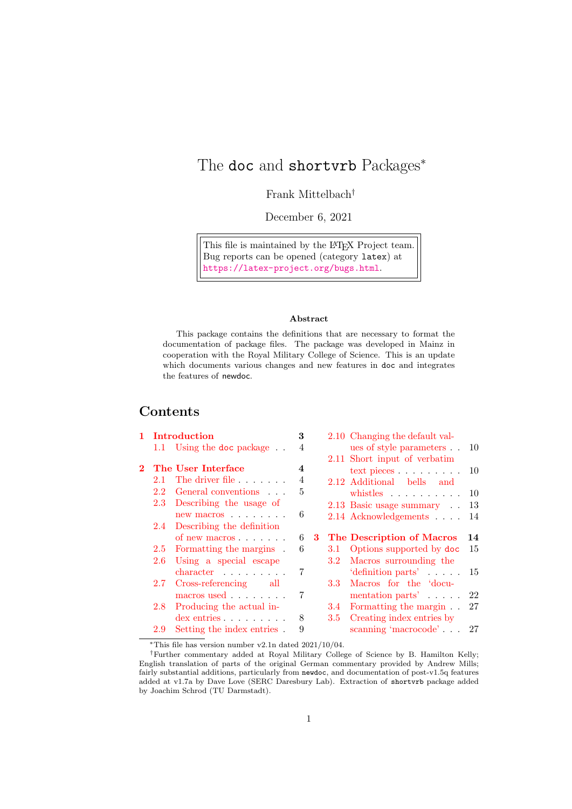## <span id="page-0-0"></span>The doc and shortvrb Packages<sup>\*</sup>

Frank Mittelbach†

December 6, 2021

This file is maintained by the L<sup>AT</sup>EX Project team. Bug reports can be opened (category latex) at <https://latex-project.org/bugs.html>.

#### Abstract

This package contains the definitions that are necessary to format the documentation of package files. The package was developed in Mainz in cooperation with the Royal Military College of Science. This is an update which documents various changes and new features in doc and integrates the features of newdoc.

### Contents

|         | 1 Introduction |                               | 3                       |  |                  | 2.10 Changing the default val-           |     |
|---------|----------------|-------------------------------|-------------------------|--|------------------|------------------------------------------|-----|
|         |                | 1.1 Using the doc package.    | 4                       |  |                  | ues of style parameters.                 | -10 |
|         |                |                               |                         |  |                  | 2.11 Short input of verbatim             |     |
| $2^{-}$ |                | The User Interface            | $\overline{\mathbf{4}}$ |  |                  | $text$ pieces $\ldots$ $\ldots$ $\ldots$ | 10  |
|         | 2.1            | The driver file               | 4                       |  |                  | 2.12 Additional bells and                |     |
|         | 2.2            | General conventions           | 5                       |  |                  | whistles $\ldots$                        | -10 |
|         | 2.3            | Describing the usage of       |                         |  |                  | 2.13 Basic usage summary                 | 13  |
|         |                | $new$ macros $\ldots \ldots$  | 6                       |  |                  | 2.14 Acknowledgements                    | 14  |
|         |                | 2.4 Describing the definition |                         |  |                  |                                          |     |
|         |                | of new macros                 | 6                       |  |                  | 3 The Description of Macros              | 14  |
|         | 2.5            | Formatting the margins.       | 6                       |  | 3.1              | Options supported by doc                 | 15  |
|         | 2.6            | Using a special escape        |                         |  |                  | 3.2 Macros surrounding the               |     |
|         |                | $character \dots \dots$       | 7                       |  |                  | $'definition parts' \dots$               | 15  |
|         | 2.7            | Cross-referencing all         |                         |  | 3.3 <sub>1</sub> | Macros for the 'docu-                    |     |
|         |                | macros used                   | 7                       |  |                  | mentation parts'                         | 22  |
|         | 2.8            | Producing the actual in-      |                         |  | 3.4              | Formatting the margin                    | 27  |
|         |                | $\text{dex}$ entries $\ldots$ | 8                       |  | 3.5              | Creating index entries by                |     |
|         | 2.9            | Setting the index entries.    | 9                       |  |                  | scanning 'macrocode'                     | 27  |
|         |                |                               |                         |  |                  |                                          |     |

<sup>∗</sup>This file has version number v2.1n dated 2021/10/04.

<sup>†</sup>Further commentary added at Royal Military College of Science by B. Hamilton Kelly; English translation of parts of the original German commentary provided by Andrew Mills; fairly substantial additions, particularly from newdoc, and documentation of post-v1.5q features added at v1.7a by Dave Love (SERC Daresbury Lab). Extraction of shortvrb package added by Joachim Schrod (TU Darmstadt).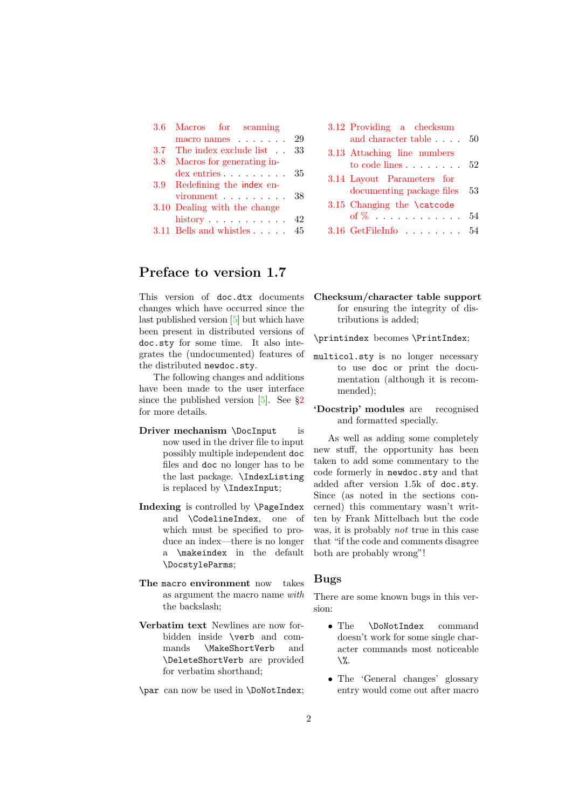| 3.6 | Macros for scanning             |     |
|-----|---------------------------------|-----|
|     | macro names                     | 29  |
|     | 3.7 The index exclude list . 33 |     |
| 3.8 | Macros for generating in-       |     |
|     | $\text{dex}$ entries $\ldots$   | -35 |
|     | 3.9 Redefining the index en-    |     |
|     | $\nu$ ironment $\ldots$ 38      |     |
|     | 3.10 Dealing with the change    |     |
|     | history $\ldots \ldots \ldots$  | 42  |
|     | 3.11 Bells and whistles         | 45  |

### Preface to version 1.7

This version of doc.dtx documents changes which have occurred since the last published version [\[5\]](#page-53-2) but which have been present in distributed versions of doc.sty for some time. It also integrates the (undocumented) features of the distributed newdoc.sty.

The following changes and additions have been made to the user interface since the published version  $[5]$ . See  $\S2$  $\S2$ for more details.

- Driver mechanism \DocInput is now used in the driver file to input possibly multiple independent doc files and doc no longer has to be the last package. \IndexListing is replaced by \IndexInput;
- Indexing is controlled by \PageIndex and \CodelineIndex, one of which must be specified to produce an index—there is no longer a \makeindex in the default \DocstyleParms;
- The macro environment now takes as argument the macro name with the backslash;
- Verbatim text Newlines are now forbidden inside \verb and commands \MakeShortVerb and \DeleteShortVerb are provided for verbatim shorthand;

\par can now be used in \DoNotIndex;

| 3.12 Providing a checksum<br>and character table           | -50 |
|------------------------------------------------------------|-----|
| 3.13 Attaching line numbers<br>to code lines               | 52  |
| 3.14 Layout Parameters for<br>documenting package files 53 |     |
| 3.15 Changing the \catcode<br>of $\%$                      | 54  |
| $3.16$ GetFileInfo                                         | 54  |

#### Checksum/character table support for ensuring the integrity of distributions is added;

\printindex becomes \PrintIndex;

- multicol.sty is no longer necessary to use doc or print the documentation (although it is recommended);
- 'Docstrip' modules are recognised and formatted specially.

As well as adding some completely new stuff, the opportunity has been taken to add some commentary to the code formerly in newdoc.sty and that added after version 1.5k of doc.sty. Since (as noted in the sections concerned) this commentary wasn't written by Frank Mittelbach but the code was, it is probably not true in this case that "if the code and comments disagree both are probably wrong"!

#### Bugs

There are some known bugs in this version:

- The **\DoNotIndex** command doesn't work for some single character commands most noticeable  $\mathcal{V}$ .
- The 'General changes' glossary entry would come out after macro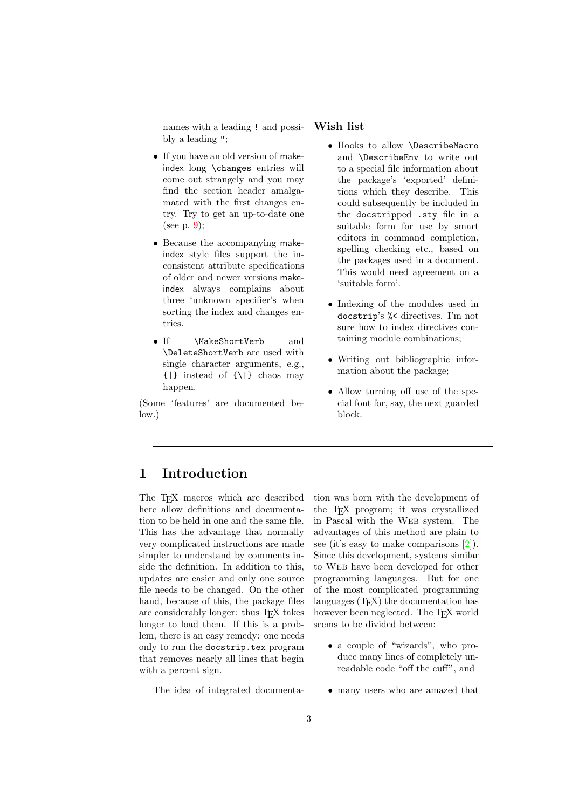<span id="page-2-1"></span>names with a leading ! and possibly a leading ";

- If you have an old version of makeindex long \changes entries will come out strangely and you may find the section header amalgamated with the first changes entry. Try to get an up-to-date one (see p. [9\)](#page-7-0);
- Because the accompanying makeindex style files support the inconsistent attribute specifications of older and newer versions makeindex always complains about three 'unknown specifier's when sorting the index and changes entries.
- If \MakeShortVerb and \DeleteShortVerb are used with single character arguments, e.g., {|} instead of {\|} chaos may happen.

(Some 'features' are documented below.)

#### Wish list

- Hooks to allow \DescribeMacro and \DescribeEnv to write out to a special file information about the package's 'exported' definitions which they describe. This could subsequently be included in the docstripped .sty file in a suitable form for use by smart editors in command completion, spelling checking etc., based on the packages used in a document. This would need agreement on a 'suitable form'.
- Indexing of the modules used in docstrip's %< directives. I'm not sure how to index directives containing module combinations;
- Writing out bibliographic information about the package;
- Allow turning off use of the special font for, say, the next guarded block.

### <span id="page-2-0"></span>1 Introduction

The T<sub>E</sub>X macros which are described here allow definitions and documentation to be held in one and the same file. This has the advantage that normally very complicated instructions are made simpler to understand by comments inside the definition. In addition to this, updates are easier and only one source file needs to be changed. On the other hand, because of this, the package files are considerably longer: thus T<sub>E</sub>X takes longer to load them. If this is a problem, there is an easy remedy: one needs only to run the docstrip.tex program that removes nearly all lines that begin with a percent sign.

The idea of integrated documenta-

tion was born with the development of the T<sub>EX</sub> program; it was crystallized in Pascal with the Web system. The advantages of this method are plain to see (it's easy to make comparisons [\[2\]](#page-53-3)). Since this development, systems similar to Web have been developed for other programming languages. But for one of the most complicated programming languages  $(T<sub>F</sub>X)$  the documentation has however been neglected. The T<sub>E</sub>X world seems to be divided between:—

- a couple of "wizards", who produce many lines of completely unreadable code "off the cuff", and
- many users who are amazed that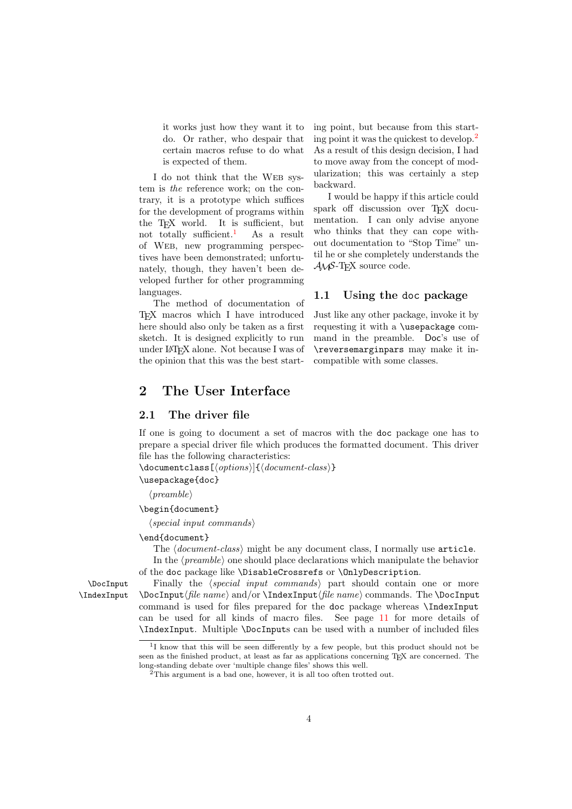<span id="page-3-6"></span>it works just how they want it to do. Or rather, who despair that certain macros refuse to do what is expected of them.

I do not think that the Web system is the reference work; on the contrary, it is a prototype which suffices for the development of programs within the T<sub>E</sub>X world. It is sufficient, but<br>not totally sufficient.<sup>1</sup> As a result not totally sufficient.<sup>[1](#page-3-3)</sup> of Web, new programming perspectives have been demonstrated; unfortunately, though, they haven't been developed further for other programming languages.

The method of documentation of TEX macros which I have introduced here should also only be taken as a first sketch. It is designed explicitly to run under LATEX alone. Not because I was of the opinion that this was the best starting point, but because from this starting point it was the quickest to develop.[2](#page-3-4) As a result of this design decision, I had to move away from the concept of modularization; this was certainly a step backward.

I would be happy if this article could spark off discussion over TEX documentation. I can only advise anyone who thinks that they can cope without documentation to "Stop Time" until he or she completely understands the  $\mathcal{A}\mathcal{M}$ S-T<sub>F</sub>X source code.

#### <span id="page-3-0"></span>1.1 Using the doc package

Just like any other package, invoke it by requesting it with a \usepackage command in the preamble. Doc's use of \reversemarginpars may make it incompatible with some classes.

### <span id="page-3-1"></span>2 The User Interface

#### <span id="page-3-2"></span>2.1 The driver file

If one is going to document a set of macros with the doc package one has to prepare a special driver file which produces the formatted document. This driver file has the following characteristics:

\documentclass[⟨options⟩]{⟨document-class⟩}

#### \usepackage{doc}

 $\langle \text{p}$ reamble $\rangle$ 

#### \begin{document}

⟨special input commands⟩

#### \end{document}

The  $\langle document-class \rangle$  might be any document class, I normally use article.

<span id="page-3-5"></span>In the  $\langle \text{p}$  reamble one should place declarations which manipulate the behavior of the doc package like \DisableCrossrefs or \OnlyDescription.

\DocInput Finally the ⟨special input commands⟩ part should contain one or more \IndexInput \DocInput⟨file name⟩ and/or \IndexInput⟨file name⟩ commands. The \DocInput command is used for files prepared for the doc package whereas \IndexInput can be used for all kinds of macro files. See page [11](#page-9-2) for more details of \IndexInput. Multiple \DocInputs can be used with a number of included files

<span id="page-3-3"></span><sup>&</sup>lt;sup>1</sup>I know that this will be seen differently by a few people, but this product should not be seen as the finished product, at least as far as applications concerning TEX are concerned. The long-standing debate over 'multiple change files' shows this well.

<span id="page-3-4"></span><sup>&</sup>lt;sup>2</sup>This argument is a bad one, however, it is all too often trotted out.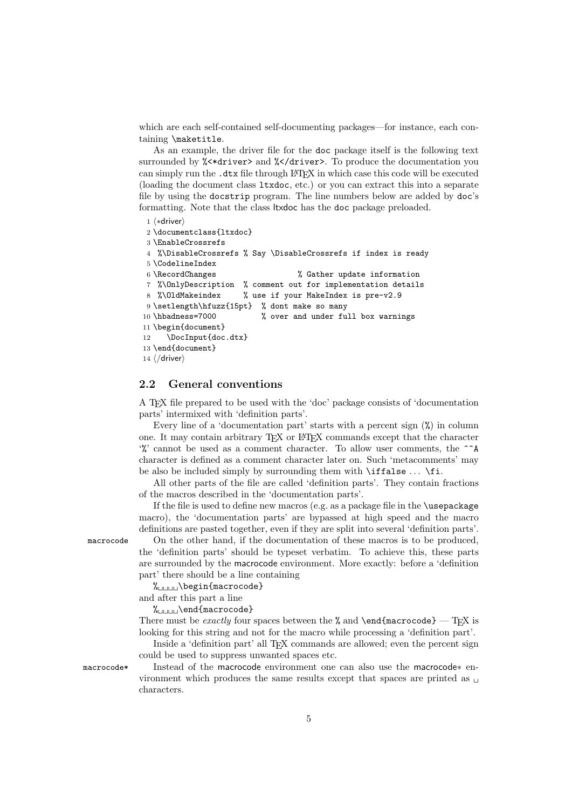<span id="page-4-1"></span>which are each self-contained self-documenting packages—for instance, each containing \maketitle.

As an example, the driver file for the doc package itself is the following text surrounded by *%*<\*driver> and *%*</driver>. To produce the documentation you can simply run the .dtx file through LATEX in which case this code will be executed (loading the document class ltxdoc, etc.) or you can extract this into a separate file by using the docstrip program. The line numbers below are added by doc's formatting. Note that the class ltxdoc has the doc package preloaded.

```
1 ⟨∗driver⟩
2 \documentclass{ltxdoc}
3 \EnableCrossrefs
4 %\DisableCrossrefs % Say \DisableCrossrefs if index is ready
5 \CodelineIndex
6 \RecordChanges % Gather update information
7 %\OnlyDescription % comment out for implementation details
8 %\OldMakeindex % use if your MakeIndex is pre-v2.9
9 \setlength\hfuzz{15pt} % dont make so many
10 \hbadness=7000 % over and under full box warnings
11 \begin{document}
12 \DocInput{doc.dtx}
13 \end{document}
14 ⟨/driver⟩
```
#### <span id="page-4-10"></span><span id="page-4-9"></span><span id="page-4-4"></span><span id="page-4-0"></span>2.2 General conventions

A TEX file prepared to be used with the 'doc' package consists of 'documentation parts' intermixed with 'definition parts'.

Every line of a 'documentation part' starts with a percent sign  $(\%)$  in column one. It may contain arbitrary TEX or L<sup>AT</sup>EX commands except that the character  $\gamma$  cannot be used as a comment character. To allow user comments, the  $\gamma$ A character is defined as a comment character later on. Such 'metacomments' may be also be included simply by surrounding them with \iffalse . . . \fi.

All other parts of the file are called 'definition parts'. They contain fractions of the macros described in the 'documentation parts'.

<span id="page-4-7"></span>If the file is used to define new macros (e.g. as a package file in the \usepackage macro), the 'documentation parts' are bypassed at high speed and the macro definitions are pasted together, even if they are split into several 'definition parts'.

macrocode On the other hand, if the documentation of these macros is to be produced, the 'definition parts' should be typeset verbatim. To achieve this, these parts are surrounded by the macrocode environment. More exactly: before a 'definition part' there should be a line containing

 $\frac{1}{\text{U}}\begin{bmatrix} \text{login} \end{bmatrix}$ 

and after this part a line

%␣␣␣␣\end{macrocode}

There must be exactly four spaces between the % and  $\end{math>$ looking for this string and not for the macro while processing a 'definition part'.

<span id="page-4-8"></span>Inside a 'definition part' all T<sub>EX</sub> commands are allowed; even the percent sign could be used to suppress unwanted spaces etc.

macrocode\* Instead of the macrocode environment one can also use the macrocode∗ environment which produces the same results except that spaces are printed as  $\Box$ characters.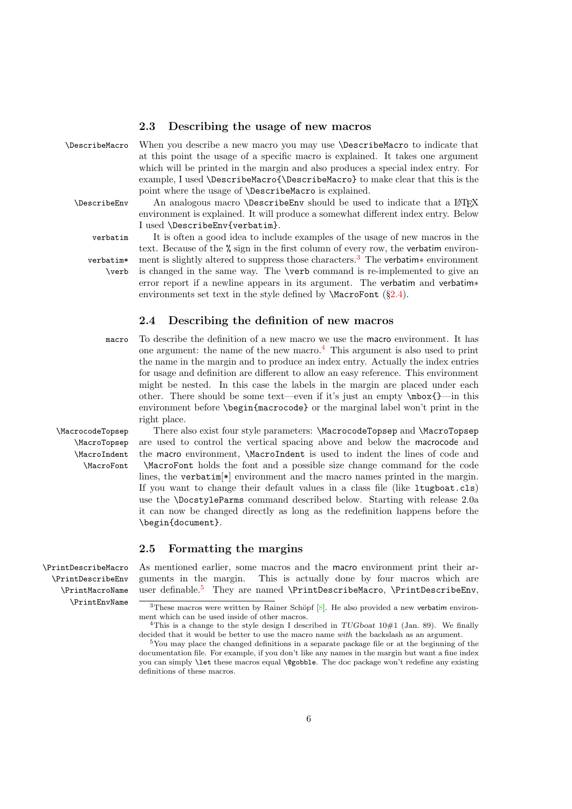#### <span id="page-5-16"></span><span id="page-5-7"></span><span id="page-5-0"></span>2.3 Describing the usage of new macros

\DescribeMacro When you describe a new macro you may use \DescribeMacro to indicate that at this point the usage of a specific macro is explained. It takes one argument which will be printed in the margin and also produces a special index entry. For example, I used \DescribeMacro{\DescribeMacro} to make clear that this is the point where the usage of \DescribeMacro is explained.

\DescribeEnv An analogous macro \DescribeEnv should be used to indicate that a L<sup>AT</sup>EX environment is explained. It will produce a somewhat different index entry. Below I used \DescribeEnv{verbatim}.

<span id="page-5-9"></span><span id="page-5-6"></span>verbatim It is often a good idea to include examples of the usage of new macros in the text. Because of the % sign in the first column of every row, the verbatim environ-verbatim\* ment is slightly altered to suppress those characters.<sup>[3](#page-5-3)</sup> The verbatim\* environment \verb is changed in the same way. The \verb command is re-implemented to give an error report if a newline appears in its argument. The verbatim and verbatim∗ environments set text in the style defined by  $\frac{\S2.4}{?}$ .

#### <span id="page-5-15"></span><span id="page-5-10"></span><span id="page-5-8"></span><span id="page-5-1"></span>2.4 Describing the definition of new macros

macro To describe the definition of a new macro we use the macro environment. It has one argument: the name of the new macro. $4$  This argument is also used to print the name in the margin and to produce an index entry. Actually the index entries for usage and definition are different to allow an easy reference. This environment might be nested. In this case the labels in the margin are placed under each other. There should be some text—even if it's just an empty  $\mbox{\texttt{box}}$ {}—in this environment before \begin{macrocode} or the marginal label won't print in the right place.

<span id="page-5-11"></span>\MacrocodeTopsep There also exist four style parameters: \MacrocodeTopsep and \MacroTopsep \MacroTopsep are used to control the vertical spacing above and below the macrocode and \MacroIndent the macro environment, \MacroIndent is used to indent the lines of code and \MacroFont \MacroFont holds the font and a possible size change command for the code lines, the verbatim<sup>[\*]</sup> environment and the macro names printed in the margin. If you want to change their default values in a class file (like ltugboat.cls) use the \DocstyleParms command described below. Starting with release 2.0a it can now be changed directly as long as the redefinition happens before the \begin{document}.

#### <span id="page-5-14"></span><span id="page-5-13"></span><span id="page-5-12"></span><span id="page-5-2"></span>2.5 Formatting the margins

\PrintDescribeMacro As mentioned earlier, some macros and the macro environment print their ar guments in the margin. This is actually done by four macros which are user definable.<sup>[5](#page-5-5)</sup> They are named \PrintDescribeMacro, \PrintDescribeEnv,

\PrintDescribeEnv \PrintMacroName \PrintEnvName

<span id="page-5-3"></span><sup>&</sup>lt;sup>3</sup>These macros were written by Rainer Schöpf  $[8]$ . He also provided a new verbatim environment which can be used inside of other macros.

<span id="page-5-4"></span><sup>&</sup>lt;sup>4</sup>This is a change to the style design I described in  $TUGboat 10#1$  (Jan. 89). We finally decided that it would be better to use the macro name with the backslash as an argument.

<span id="page-5-5"></span> $5$ You may place the changed definitions in a separate package file or at the beginning of the documentation file. For example, if you don't like any names in the margin but want a fine index you can simply **\let** these macros equal **\@gobble**. The doc package won't redefine any existing definitions of these macros.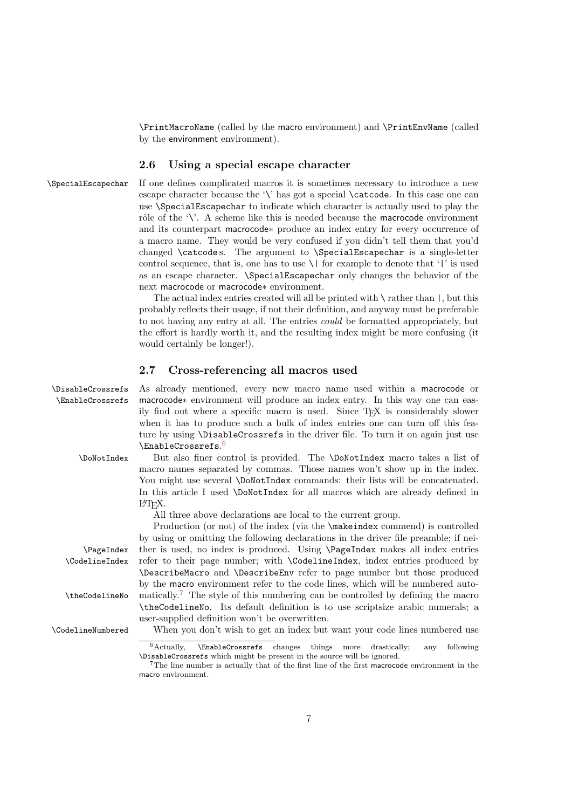\PrintMacroName (called by the macro environment) and \PrintEnvName (called by the environment environment).

#### <span id="page-6-9"></span><span id="page-6-0"></span>2.6 Using a special escape character

\SpecialEscapechar If one defines complicated macros it is sometimes necessary to introduce a new escape character because the '\' has got a special \catcode. In this case one can use \SpecialEscapechar to indicate which character is actually used to play the rôle of the '\'. A scheme like this is needed because the macrocode environment and its counterpart macrocode∗ produce an index entry for every occurrence of a macro name. They would be very confused if you didn't tell them that you'd changed \catcode s. The argument to \SpecialEscapechar is a single-letter control sequence, that is, one has to use  $\setminus$  for example to denote that '|' is used as an escape character. \SpecialEscapechar only changes the behavior of the next macrocode or macrocode∗ environment.

> The actual index entries created will all be printed with  $\setminus$  rather than  $\vert$ , but this probably reflects their usage, if not their definition, and anyway must be preferable to not having any entry at all. The entries could be formatted appropriately, but the effort is hardly worth it, and the resulting index might be more confusing (it would certainly be longer!).

#### <span id="page-6-6"></span><span id="page-6-1"></span>2.7 Cross-referencing all macros used

\DisableCrossrefs As already mentioned, every new macro name used within a macrocode or \EnableCrossrefs macrocode∗ environment will produce an index entry. In this way one can easily find out where a specific macro is used. Since T<sub>E</sub>X is considerably slower when it has to produce such a bulk of index entries one can turn off this feature by using \DisableCrossrefs in the driver file. To turn it on again just use \EnableCrossrefs. [6](#page-6-2)

\DoNotIndex But also finer control is provided. The \DoNotIndex macro takes a list of macro names separated by commas. Those names won't show up in the index. You might use several **\DoNotIndex** commands: their lists will be concatenated. In this article I used \DoNotIndex for all macros which are already defined in LATEX.

<span id="page-6-8"></span><span id="page-6-7"></span><span id="page-6-4"></span>All three above declarations are local to the current group.

Production (or not) of the index (via the **\makeindex** commend) is controlled by using or omitting the following declarations in the driver file preamble; if nei- \PageIndex ther is used, no index is produced. Using \PageIndex makes all index entries \CodelineIndex refer to their page number; with \CodelineIndex, index entries produced by \DescribeMacro and \DescribeEnv refer to page number but those produced by the macro environment refer to the code lines, which will be numbered auto-\theCodelineNo matically.<sup>[7](#page-6-3)</sup> The style of this numbering can be controlled by defining the macro \theCodelineNo. Its default definition is to use scriptsize arabic numerals; a user-supplied definition won't be overwritten.

\CodelineNumbered When you don't wish to get an index but want your code lines numbered use

<span id="page-6-10"></span><span id="page-6-5"></span><span id="page-6-2"></span> $6$ Actually,  $\EnableCrossrefs$  changes things more drastically; any following \DisableCrossrefs which might be present in the source will be ignored.

<span id="page-6-3"></span> $7$ The line number is actually that of the first line of the first macrocode environment in the macro environment.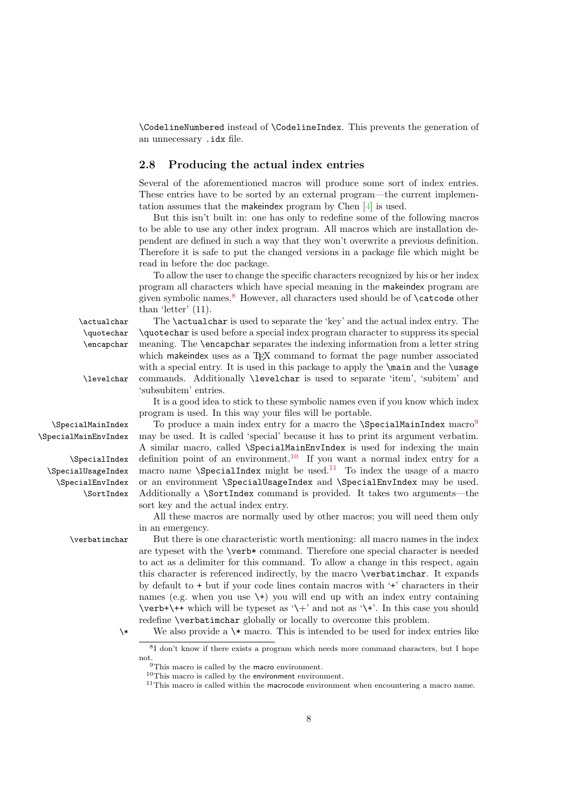<span id="page-7-15"></span>\CodelineNumbered instead of \CodelineIndex. This prevents the generation of an unnecessary .idx file.

#### <span id="page-7-0"></span>2.8 Producing the actual index entries

Several of the aforementioned macros will produce some sort of index entries. These entries have to be sorted by an external program—the current implementation assumes that the makeindex program by Chen [\[4\]](#page-53-5) is used.

But this isn't built in: one has only to redefine some of the following macros to be able to use any other index program. All macros which are installation dependent are defined in such a way that they won't overwrite a previous definition. Therefore it is safe to put the changed versions in a package file which might be read in before the doc package.

<span id="page-7-9"></span><span id="page-7-6"></span>To allow the user to change the specific characters recognized by his or her index program all characters which have special meaning in the makeindex program are given symbolic names.[8](#page-7-1) However, all characters used should be of \catcode other than 'letter' (11).

\SpecialMainIndex

\actualchar The \actualchar is used to separate the 'key' and the actual index entry. The \quotechar \quotechar is used before a special index program character to suppress its special \encapchar meaning. The \encapchar separates the indexing information from a letter string which makeindex uses as a T<sub>EX</sub> command to format the page number associated with a special entry. It is used in this package to apply the  $\mathcal{S}$  main and the  $\mathcal{S}$  usage \levelchar commands. Additionally \levelchar is used to separate 'item', 'subitem' and 'subsubitem' entries.

> <span id="page-7-13"></span><span id="page-7-12"></span><span id="page-7-8"></span><span id="page-7-7"></span>It is a good idea to stick to these symbolic names even if you know which index program is used. In this way your files will be portable.

To produce a main index entry for a macro the  $\S$ pecialMainIndex macro<sup>[9](#page-7-2)</sup> \SpecialMainEnvIndex may be used. It is called 'special' because it has to print its argument verbatim. A similar macro, called \SpecialMainEnvIndex is used for indexing the main  $\S$ pecialIndex definition point of an environment.<sup>[10](#page-7-3)</sup> If you want a normal index entry for a  $\S$ pecialUsageIndex macro name  $\S$ pecialIndex might be used.<sup>[11](#page-7-4)</sup> To index the usage of a macro \SpecialEnvIndex or an environment \SpecialUsageIndex and \SpecialEnvIndex may be used. \SortIndex Additionally a \SortIndex command is provided. It takes two arguments—the sort key and the actual index entry.

> <span id="page-7-14"></span><span id="page-7-11"></span><span id="page-7-10"></span>All these macros are normally used by other macros; you will need them only in an emergency.

\verbatimchar But there is one characteristic worth mentioning: all macro names in the index are typeset with the \verb\* command. Therefore one special character is needed to act as a delimiter for this command. To allow a change in this respect, again this character is referenced indirectly, by the macro \verbatimchar. It expands by default to + but if your code lines contain macros with '+' characters in their names (e.g. when you use  $\setminus \cdot$ ) you will end up with an index entry containing  $\verb|\verb+\\++$  which will be typeset as '\+' and not as '\+'. In this case you should redefine \verbatimchar globally or locally to overcome this problem.

\\* We also provide a \\* macro. This is intended to be used for index entries like

<span id="page-7-5"></span><span id="page-7-1"></span><sup>8</sup> I don't know if there exists a program which needs more command characters, but I hope not.

<span id="page-7-2"></span><sup>&</sup>lt;sup>9</sup>This macro is called by the macro environment.

<span id="page-7-3"></span><sup>10</sup>This macro is called by the environment environment.

<span id="page-7-4"></span> $11$ This macro is called within the macrocode environment when encountering a macro name.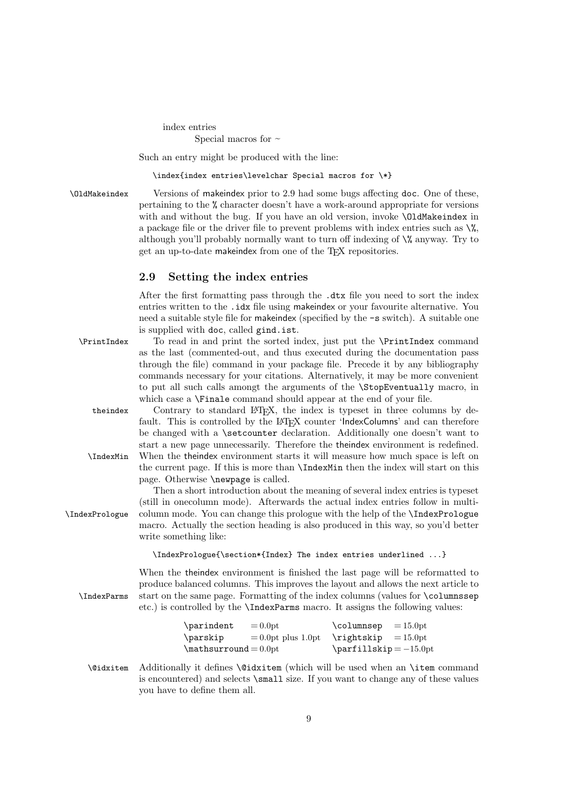index entries

Special macros for  $\sim$ 

Such an entry might be produced with the line:

<span id="page-8-7"></span>\index{index entries\levelchar Special macros for \\*}

\OldMakeindex Versions of makeindex prior to 2.9 had some bugs affecting doc. One of these, pertaining to the % character doesn't have a work-around appropriate for versions with and without the bug. If you have an old version, invoke \OldMakeindex in a package file or the driver file to prevent problems with index entries such as  $\%$ , although you'll probably normally want to turn off indexing of  $\%$  anyway. Try to get an up-to-date makeindex from one of the T<sub>E</sub>X repositories.

#### <span id="page-8-0"></span>2.9 Setting the index entries

<span id="page-8-8"></span>After the first formatting pass through the .dtx file you need to sort the index entries written to the .idx file using makeindex or your favourite alternative. You need a suitable style file for makeindex (specified by the -s switch). A suitable one is supplied with doc, called gind.ist.

\PrintIndex To read in and print the sorted index, just put the \PrintIndex command as the last (commented-out, and thus executed during the documentation pass through the file) command in your package file. Precede it by any bibliography commands necessary for your citations. Alternatively, it may be more convenient to put all such calls amongt the arguments of the \StopEventually macro, in which case a **\Finale** command should appear at the end of your file.

<span id="page-8-4"></span><span id="page-8-3"></span>theindex Contrary to standard LATEX, the index is typeset in three columns by default. This is controlled by the LAT<sub>EX</sub> counter 'IndexColumns' and can therefore be changed with a \setcounter declaration. Additionally one doesn't want to start a new page unnecessarily. Therefore the theindex environment is redefined. \IndexMin When the theindex environment starts it will measure how much space is left on the current page. If this is more than \IndexMin then the index will start on this page. Otherwise \newpage is called.

Then a short introduction about the meaning of several index entries is typeset (still in onecolumn mode). Afterwards the actual index entries follow in multi- \IndexPrologue column mode. You can change this prologue with the help of the \IndexPrologue macro. Actually the section heading is also produced in this way, so you'd better write something like:

<span id="page-8-6"></span>\IndexPrologue{\section\*{Index} The index entries underlined ...}

When the theindex environment is finished the last page will be reformatted to produce balanced columns. This improves the layout and allows the next article to \IndexParms start on the same page. Formatting of the index columns (values for \columnssep etc.) is controlled by the \IndexParms macro. It assigns the following values:

<span id="page-8-5"></span><span id="page-8-2"></span>

| \parindent           | $= 0.0pt$              | \columnsep                                                                                                                                                                                                                                                                                                                                                                                                                                                                                        | $=15.0pt$ |
|----------------------|------------------------|---------------------------------------------------------------------------------------------------------------------------------------------------------------------------------------------------------------------------------------------------------------------------------------------------------------------------------------------------------------------------------------------------------------------------------------------------------------------------------------------------|-----------|
| \parskip             | $= 0.0$ pt plus 1.0 pt | $\rightarrow$ $\leftarrow$ $\leftarrow$ $\leftarrow$ $\leftarrow$ $\leftarrow$ $\leftarrow$ $\leftarrow$ $\leftarrow$ $\leftarrow$ $\leftarrow$ $\leftarrow$ $\leftarrow$ $\leftarrow$ $\leftarrow$ $\leftarrow$ $\leftarrow$ $\leftarrow$ $\leftarrow$ $\leftarrow$ $\leftarrow$ $\leftarrow$ $\leftarrow$ $\leftarrow$ $\leftarrow$ $\leftarrow$ $\leftarrow$ $\leftarrow$ $\leftarrow$ $\leftarrow$ $\leftarrow$ $\leftarrow$ $\leftarrow$ $\leftarrow$ $\leftarrow$ $\leftarrow$ $\leftarrow$ |           |
| $\mathcal{L}=0.0$ pt |                        | $\partial = -15.0pt$                                                                                                                                                                                                                                                                                                                                                                                                                                                                              |           |

<span id="page-8-1"></span>\@idxitem Additionally it defines \@idxitem (which will be used when an \item command is encountered) and selects \small size. If you want to change any of these values you have to define them all.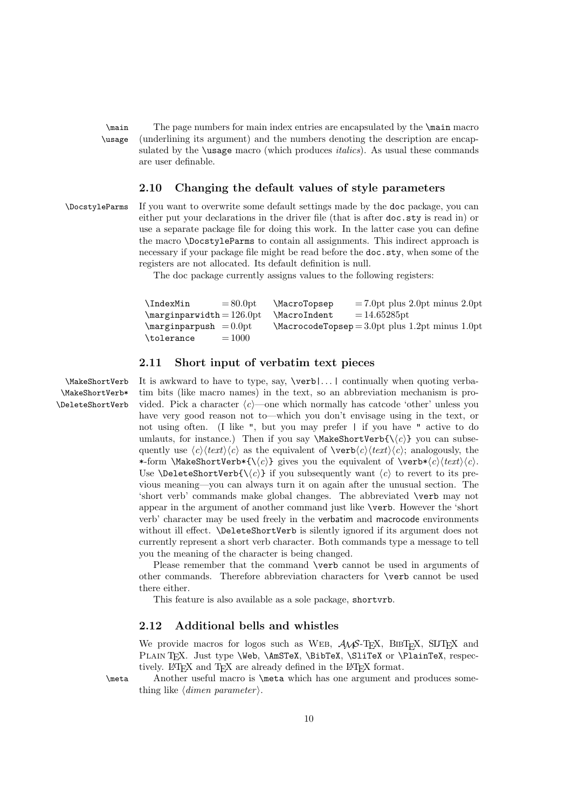<span id="page-9-6"></span>\main The page numbers for main index entries are encapsulated by the \main macro \usage (underlining its argument) and the numbers denoting the description are encapsulated by the **\usage** macro (which produces *italics*). As usual these commands are user definable.

#### <span id="page-9-4"></span><span id="page-9-0"></span>2.10 Changing the default values of style parameters

\DocstyleParms If you want to overwrite some default settings made by the doc package, you can either put your declarations in the driver file (that is after doc.sty is read in) or use a separate package file for doing this work. In the latter case you can define the macro \DocstyleParms to contain all assignments. This indirect approach is necessary if your package file might be read before the doc.sty, when some of the registers are not allocated. Its default definition is null.

<span id="page-9-5"></span>The doc package currently assigns values to the following registers:

| <b>\IndexMin</b><br>$= 80.0$ pt   | <i>MacroTopsep</i>  | $= 7.0$ pt plus 2.0pt minus 2.0pt                     |
|-----------------------------------|---------------------|-------------------------------------------------------|
| $\text{marginparwidth} = 126.0pt$ | <b>\MacroIndent</b> | $=14.65285$ pt                                        |
| $\text{marginparpush} = 0.0pt$    |                     | $\text{MacrocodeTopsep}=3.0pt$ plus 1.2pt minus 1.0pt |
| $=1000$<br>\tolerance             |                     |                                                       |

#### <span id="page-9-3"></span><span id="page-9-1"></span>2.11 Short input of verbatim text pieces

\MakeShortVerb\* \DeleteShortVerb

\MakeShortVerb It is awkward to have to type, say, \verb|. . . | continually when quoting verba tim bits (like macro names) in the text, so an abbreviation mechanism is provided. Pick a character  $\langle c \rangle$ —one which normally has catcode 'other' unless you have very good reason not to—which you don't envisage using in the text, or not using often. (I like ", but you may prefer | if you have " active to do umlauts, for instance.) Then if you say \MakeShortVerb{\ $\langle c \rangle$ } you can subsequently use  $\langle c \rangle \langle text \rangle \langle c \rangle$  as the equivalent of  $\verb|verb|/c \rangle \langle text \rangle \langle c \rangle$ ; analogously, the \*-form \MakeShortVerb\*{\ $\langle c \rangle$ } gives you the equivalent of \verb\* $\langle c \rangle$ \text $\langle c \rangle$ . Use  $\Delta \text{Set}(\langle c \rangle)$  if you subsequently want  $\langle c \rangle$  to revert to its previous meaning—you can always turn it on again after the unusual section. The 'short verb' commands make global changes. The abbreviated \verb may not appear in the argument of another command just like \verb. However the 'short verb' character may be used freely in the verbatim and macrocode environments without ill effect. **\DeleteShortVerb** is silently ignored if its argument does not currently represent a short verb character. Both commands type a message to tell you the meaning of the character is being changed.

> Please remember that the command \verb cannot be used in arguments of other commands. Therefore abbreviation characters for \verb cannot be used there either.

This feature is also available as a sole package, shortvrb.

### <span id="page-9-2"></span>2.12 Additional bells and whistles

<span id="page-9-7"></span>We provide macros for logos such as WEB,  $\mathcal{A}\mathcal{A}\mathcal{S}$ -T<sub>E</sub>X, BIBT<sub>E</sub>X, SLITEX and PLAIN TEX. Just type \Web, \AmSTeX, \BibTeX, \SliTeX or \PlainTeX, respectively. LATEX and TEX are already defined in the LATEX format.

\meta Another useful macro is \meta which has one argument and produces something like  $\langle$  *dimen parameter*  $\rangle$ .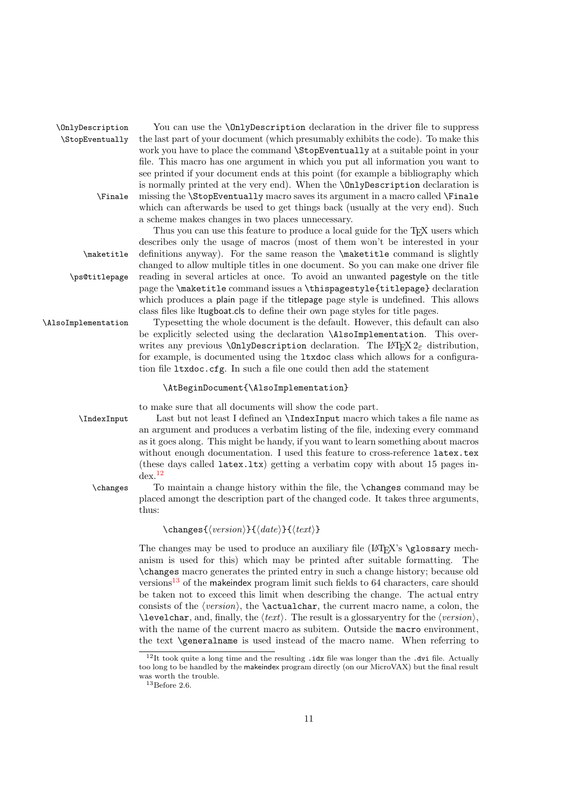#### <span id="page-10-9"></span><span id="page-10-7"></span>\OnlyDescription You can use the \OnlyDescription declaration in the driver file to suppress \StopEventually the last part of your document (which presumably exhibits the code). To make this work you have to place the command \StopEventually at a suitable point in your file. This macro has one argument in which you put all information you want to see printed if your document ends at this point (for example a bibliography which is normally printed at the very end). When the \OnlyDescription declaration is \Finale missing the \StopEventually macro saves its argument in a macro called \Finale which can afterwards be used to get things back (usually at the very end). Such a scheme makes changes in two places unnecessary.

<span id="page-10-4"></span>Thus you can use this feature to produce a local guide for the T<sub>E</sub>X users which describes only the usage of macros (most of them won't be interested in your \maketitle definitions anyway). For the same reason the \maketitle command is slightly changed to allow multiple titles in one document. So you can make one driver file \ps@titlepage reading in several articles at once. To avoid an unwanted pagestyle on the title page the \maketitle command issues a \thispagestyle{titlepage} declaration which produces a plain page if the titlepage page style is undefined. This allows class files like ltugboat.cls to define their own page styles for title pages.

\AlsoImplementation Typesetting the whole document is the default. However, this default can also be explicitly selected using the declaration \AlsoImplementation. This overwrites any previous **\OnlyDescription** declaration. The LAT<sub>E</sub>X  $2\varepsilon$  distribution, for example, is documented using the ltxdoc class which allows for a configuration file ltxdoc.cfg. In such a file one could then add the statement

#### <span id="page-10-8"></span><span id="page-10-6"></span><span id="page-10-2"></span>\AtBeginDocument{\AlsoImplementation}

<span id="page-10-5"></span>to make sure that all documents will show the code part.

\IndexInput Last but not least I defined an \IndexInput macro which takes a file name as an argument and produces a verbatim listing of the file, indexing every command as it goes along. This might be handy, if you want to learn something about macros without enough documentation. I used this feature to cross-reference latex.tex (these days called latex.ltx) getting a verbatim copy with about 15 pages in- $dex.<sup>12</sup>$  $dex.<sup>12</sup>$  $dex.<sup>12</sup>$ 

\changes To maintain a change history within the file, the \changes command may be placed amongt the description part of the changed code. It takes three arguments, thus:

<span id="page-10-3"></span>\changes{⟨version⟩}{⟨date⟩}{⟨text⟩}

The changes may be used to produce an auxiliary file  $(L^2T_FX)$ 's  $\gtrsim$  nechanism is used for this) which may be printed after suitable formatting. The \changes macro generates the printed entry in such a change history; because old versions<sup>[13](#page-10-1)</sup> of the makeindex program limit such fields to  $64$  characters, care should be taken not to exceed this limit when describing the change. The actual entry consists of the  $\langle version \rangle$ , the **\actualchar**, the current macro name, a colon, the  $\text{Neverchar},$  and, finally, the  $\text{text}$ . The result is a glossary entry for the  $\text{version}$ . with the name of the current macro as subitem. Outside the macro environment, the text \generalname is used instead of the macro name. When referring to

<span id="page-10-0"></span><sup>&</sup>lt;sup>12</sup>It took quite a long time and the resulting . idx file was longer than the .dvi file. Actually too long to be handled by the makeindex program directly (on our MicroVAX) but the final result was worth the trouble.

<span id="page-10-1"></span> $13$ Before 2.6.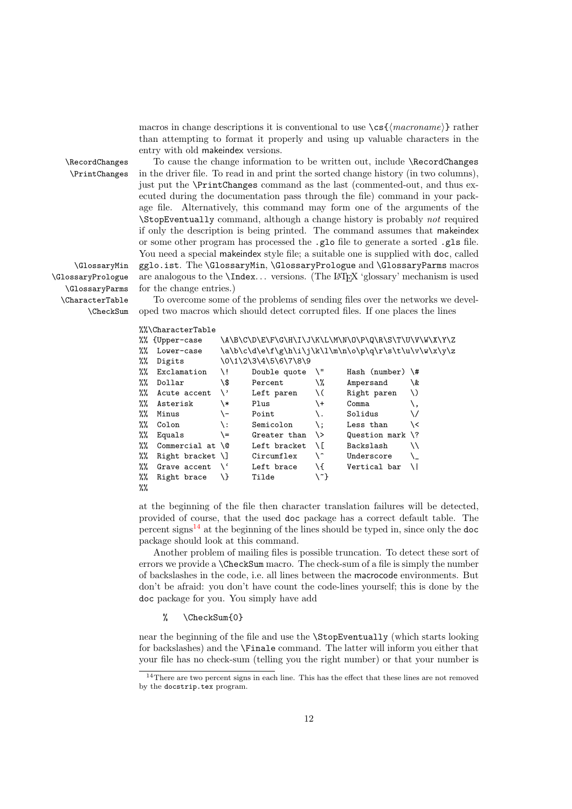<span id="page-11-5"></span><span id="page-11-4"></span><span id="page-11-3"></span>macros in change descriptions it is conventional to use  $\csc{\langle macroname\rangle}$  rather than attempting to format it properly and using up valuable characters in the entry with old makeindex versions.

\GlossaryPrologue \GlossaryParms

\RecordChanges To cause the change information to be written out, include \RecordChanges \PrintChanges in the driver file. To read in and print the sorted change history (in two columns), just put the \PrintChanges command as the last (commented-out, and thus executed during the documentation pass through the file) command in your package file. Alternatively, this command may form one of the arguments of the \StopEventually command, although a change history is probably not required if only the description is being printed. The command assumes that makeindex or some other program has processed the .glo file to generate a sorted .gls file. You need a special makeindex style file; a suitable one is supplied with doc, called \GlossaryMin gglo.ist. The \GlossaryMin, \GlossaryPrologue and \GlossaryParms macros are analogous to the  $\Lambda$ Index... versions. (The L<sup>AT</sup>EX 'glossary' mechanism is used for the change entries.)

\CharacterTable To overcome some of the problems of sending files over the networks we devel- \CheckSum oped two macros which should detect corrupted files. If one places the lines

#### <span id="page-11-2"></span><span id="page-11-1"></span>%%\CharacterTable

|      | %% {Upper-case           |           |                      |             | \A\B\C\D\E\F\G\H\I\J\K\L\M\N\O\P\Q\R\S\T\U\V\W\X\Y\Z |    |
|------|--------------------------|-----------|----------------------|-------------|------------------------------------------------------|----|
| %%   | Lower-case               |           |                      |             | \a\b\c\d\e\f\g\h\i\j\k\l\m\n\o\p\q\r\s\t\u\v\w\x\y\z |    |
| %%   | Digits                   |           | \0\1\2\3\4\5\6\7\8\9 |             |                                                      |    |
| %%   | Exclamation              | /i        | Double quote         | \"          | Hash (number) $\forall$ #                            |    |
| $\%$ | Dollar                   | \\$       | Percent              | \%          | Ampersand                                            | \& |
| %%   | Acute accent             | \'        | Left paren           | \ (         | Right paren                                          | V) |
| %%   | Asterisk                 | \*        | Plus                 | \+          | Comma                                                | \, |
| %%   | Minus                    | \-        | Point                |             | Solidus                                              | ∨  |
| $\%$ | Colon                    | \ :       | Semicolon            | \ :         | Less than                                            | \< |
| %%   | Equals                   | \=        | Greater than         | $\setminus$ | Question mark $\langle$ ?                            |    |
| %%   | Commercial at $\sqrt{0}$ |           | Left bracket         | ΝГ          | Backslash                                            | ハ  |
| %%   | Right bracket $\lceil$   |           | Circumflex           | ∖^          | Underscore                                           |    |
| %%   | Grave accent             | $\lambda$ | Left brace           | \{          | Vertical bar                                         | ΛI |
| %%   | Right brace              | Æ         | Tilde                | \~}         |                                                      |    |
| %%   |                          |           |                      |             |                                                      |    |

at the beginning of the file then character translation failures will be detected, provided of course, that the used doc package has a correct default table. The percent signs<sup>[14](#page-11-0)</sup> at the beginning of the lines should be typed in, since only the doc package should look at this command.

Another problem of mailing files is possible truncation. To detect these sort of errors we provide a \CheckSum macro. The check-sum of a file is simply the number of backslashes in the code, i.e. all lines between the macrocode environments. But don't be afraid: you don't have count the code-lines yourself; this is done by the doc package for you. You simply have add

#### % \CheckSum{0}

near the beginning of the file and use the \StopEventually (which starts looking for backslashes) and the \Finale command. The latter will inform you either that your file has no check-sum (telling you the right number) or that your number is

<span id="page-11-0"></span><sup>&</sup>lt;sup>14</sup>There are two percent signs in each line. This has the effect that these lines are not removed by the docstrip.tex program.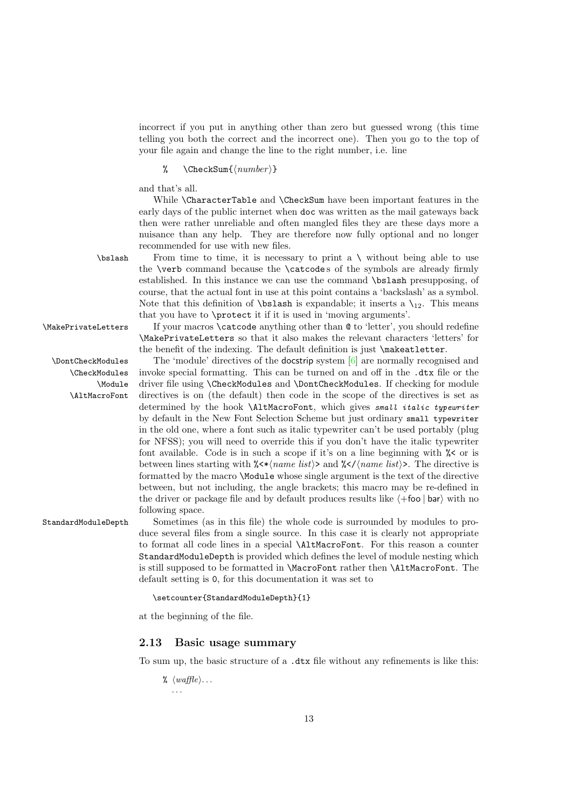<span id="page-12-5"></span>incorrect if you put in anything other than zero but guessed wrong (this time telling you both the correct and the incorrect one). Then you go to the top of your file again and change the line to the right number, i.e. line

#### %  $\text{CheckSum}\{\langle number\rangle\}$

and that's all.

While \CharacterTable and \CheckSum have been important features in the early days of the public internet when doc was written as the mail gateways back then were rather unreliable and often mangled files they are these days more a nuisance than any help. They are therefore now fully optional and no longer recommended for use with new files.

<span id="page-12-3"></span><span id="page-12-2"></span><span id="page-12-1"></span>the \verb command because the \catcode s of the symbols are already firmly established. In this instance we can use the command \bslash presupposing, of course, that the actual font in use at this point contains a 'backslash' as a symbol. Note that this definition of **\bslash** is expandable; it inserts a  $\mathcal{L}_{12}$ . This means

 $\boldsymbol{\delta}$  From time to time, it is necessary to print a  $\boldsymbol{\delta}$  without being able to use

\CheckModules \Module \AltMacroFont

that you have to \protect it if it is used in 'moving arguments'. \MakePrivateLetters If your macros \catcode anything other than @ to 'letter', you should redefine \MakePrivateLetters so that it also makes the relevant characters 'letters' for the benefit of the indexing. The default definition is just \makeatletter.

\DontCheckModules The 'module' directives of the docstrip system [\[6\]](#page-53-6) are normally recognised and invoke special formatting. This can be turned on and off in the .dtx file or the driver file using \CheckModules and \DontCheckModules. If checking for module directives is on (the default) then code in the scope of the directives is set as determined by the hook *\AltMacroFont*, which gives small italic typewriter by default in the New Font Selection Scheme but just ordinary small typewriter in the old one, where a font such as italic typewriter can't be used portably (plug for NFSS); you will need to override this if you don't have the italic typewriter font available. Code is in such a scope if it's on a line beginning with  $\frac{1}{6}$  or is between lines starting with  $\frac{\sqrt{\epsilon}}{\sqrt{\epsilon}}$  and  $\frac{\sqrt{\epsilon}}{\sqrt{\epsilon}}$  and  $\frac{\sqrt{\epsilon}}{\sqrt{\epsilon}}$ . The directive is formatted by the macro \Module whose single argument is the text of the directive between, but not including, the angle brackets; this macro may be re-defined in the driver or package file and by default produces results like  $\langle +\mathsf{foo} \mid \mathsf{bar} \rangle$  with no following space.

StandardModuleDepth Sometimes (as in this file) the whole code is surrounded by modules to produce several files from a single source. In this case it is clearly not appropriate to format all code lines in a special \AltMacroFont. For this reason a counter StandardModuleDepth is provided which defines the level of module nesting which is still supposed to be formatted in \MacroFont rather then \AltMacroFont. The default setting is 0, for this documentation it was set to

<span id="page-12-4"></span>\setcounter{StandardModuleDepth}{1}

at the beginning of the file.

#### <span id="page-12-0"></span>2.13 Basic usage summary

To sum up, the basic structure of a .dtx file without any refinements is like this:

 $\mathcal{C}$   $\langle \textit{waffle} \rangle \dots$ . . .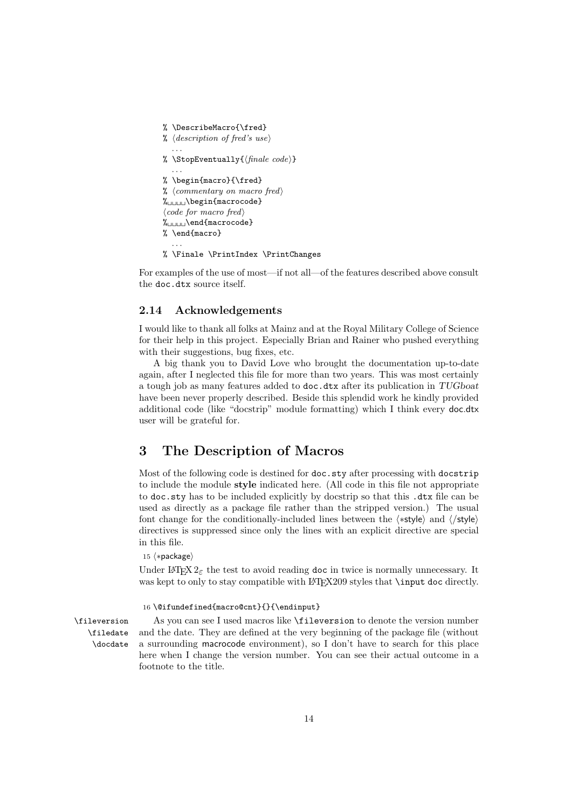```
% \DescribeMacro{\fred}
% \langle description \space of \space freq \space's \space use \rangle. . .
% \StopEventually{\langle \text{finale code} \rangle}
   . . .
% \begin{macro}{\fred}
% ⟨commentary on macro fred⟩
\mathcal{K}_{\square\sqcup\sqcup\sqcup\setminus}begin{macrocode}
⟨code for macro fred⟩
%␣␣␣␣\end{macrocode}
% \end{macro}
  . . .
% \Finale \PrintIndex \PrintChanges
```
For examples of the use of most—if not all—of the features described above consult the doc.dtx source itself.

#### <span id="page-13-0"></span>2.14 Acknowledgements

I would like to thank all folks at Mainz and at the Royal Military College of Science for their help in this project. Especially Brian and Rainer who pushed everything with their suggestions, bug fixes, etc.

A big thank you to David Love who brought the documentation up-to-date again, after I neglected this file for more than two years. This was most certainly a tough job as many features added to doc.dtx after its publication in TUGboat have been never properly described. Beside this splendid work he kindly provided additional code (like "docstrip" module formatting) which I think every doc.dtx user will be grateful for.

### <span id="page-13-1"></span>3 The Description of Macros

Most of the following code is destined for  $\text{doc.sty}$  after processing with docstrip to include the module style indicated here. (All code in this file not appropriate to doc.sty has to be included explicitly by docstrip so that this .dtx file can be used as directly as a package file rather than the stripped version.) The usual font change for the conditionally-included lines between the ⟨∗style⟩ and ⟨/style⟩ directives is suppressed since only the lines with an explicit directive are special in this file.

15 ⟨∗package⟩

Under LAT<sub>EX</sub>  $2_{\epsilon}$  the test to avoid reading doc in twice is normally unnecessary. It was kept to only to stay compatible with LAT<sub>EX209</sub> styles that **\input doc** directly.

#### <span id="page-13-3"></span>16 \@ifundefined{macro@cnt}{}{\endinput}

\filedate \docdate

\fileversion As you can see I used macros like \fileversion to denote the version number and the date. They are defined at the very beginning of the package file (without a surrounding macrocode environment), so I don't have to search for this place here when I change the version number. You can see their actual outcome in a footnote to the title.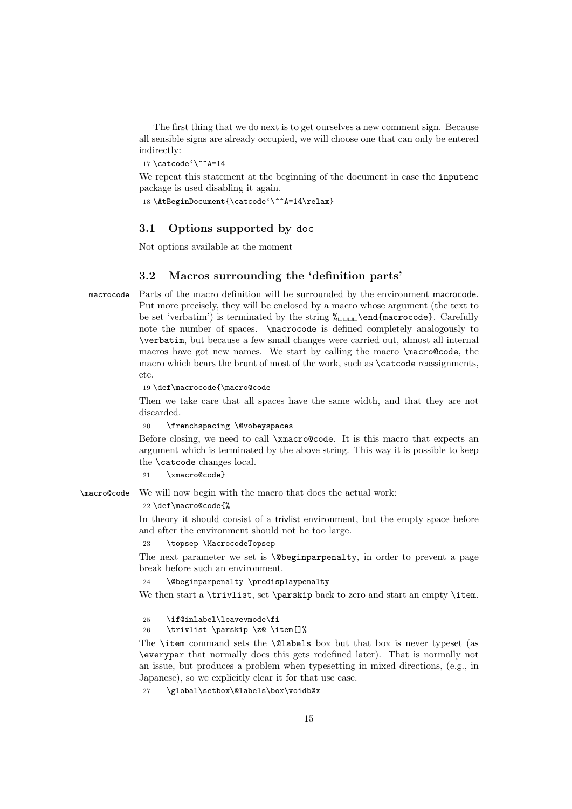<span id="page-14-10"></span>The first thing that we do next is to get ourselves a new comment sign. Because all sensible signs are already occupied, we will choose one that can only be entered indirectly:

<span id="page-14-3"></span>17 \catcode'\^^A=14

We repeat this statement at the beginning of the document in case the inputenc package is used disabling it again.

<span id="page-14-4"></span>18 \AtBeginDocument{\catcode'\^^A=14\relax}

#### <span id="page-14-0"></span>3.1 Options supported by doc

Not options available at the moment

#### <span id="page-14-1"></span>3.2 Macros surrounding the 'definition parts'

macrocode Parts of the macro definition will be surrounded by the environment macrocode. Put more precisely, they will be enclosed by a macro whose argument (the text to be set 'verbatim') is terminated by the string  $\chi_{\text{unul}}\end{math}$  (narrocode). Carefully note the number of spaces. \macrocode is defined completely analogously to \verbatim, but because a few small changes were carried out, almost all internal macros have got new names. We start by calling the macro \macro@code, the macro which bears the brunt of most of the work, such as \catcode reassignments, etc.

<span id="page-14-5"></span>19 \def\macrocode{\macro@code

Then we take care that all spaces have the same width, and that they are not discarded.

20 \frenchspacing \@vobeyspaces

Before closing, we need to call \xmacro@code. It is this macro that expects an argument which is terminated by the above string. This way it is possible to keep the \catcode changes local.

<span id="page-14-9"></span>21 \xmacro@code}

<span id="page-14-6"></span>\macro@code We will now begin with the macro that does the actual work:

22 \def\macro@code{%

In theory it should consist of a trivlist environment, but the empty space before and after the environment should not be too large.

#### <span id="page-14-7"></span>23 \topsep \MacrocodeTopsep

The next parameter we set is  $\Diamond$ beginparpenalty, in order to prevent a page break before such an environment.

<span id="page-14-8"></span>24 \@beginparpenalty \predisplaypenalty

We then start a \trivlist, set \parskip back to zero and start an empty \item.

25 \if@inlabel\leavevmode\fi

#### 26 \trivlist \parskip \z@ \item[]%

The \item command sets the \@labels box but that box is never typeset (as \everypar that normally does this gets redefined later). That is normally not an issue, but produces a problem when typesetting in mixed directions, (e.g., in Japanese), so we explicitly clear it for that use case.

<span id="page-14-2"></span>27 \global\setbox\@labels\box\voidb@x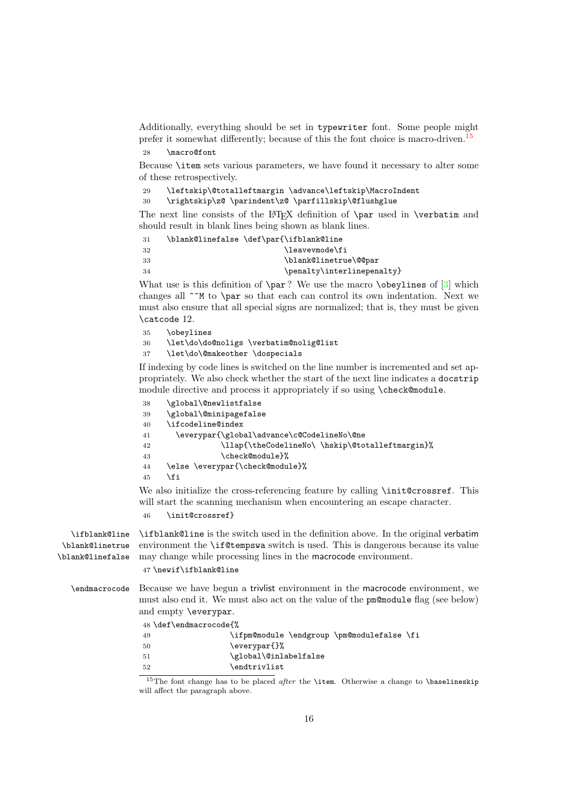<span id="page-15-21"></span>Additionally, everything should be set in typewriter font. Some people might prefer it somewhat differently; because of this the font choice is macro-driven.<sup>[15](#page-15-0)</sup>

```
28 \macro@font
```
Because \item sets various parameters, we have found it necessary to alter some of these retrospectively.

<span id="page-15-19"></span>29 \leftskip\@totalleftmargin \advance\leftskip\MacroIndent

30 \rightskip\z@ \parindent\z@ \parfillskip\@flushglue

The next line consists of the LATEX definition of **\par** used in **\verbatim** and should result in blank lines being shown as blank lines.

<span id="page-15-6"></span><span id="page-15-4"></span>

| 31  | \blank@linefalse \def\par{\ifblank@line |
|-----|-----------------------------------------|
| -32 | \leavevmode\fi                          |
| -33 | \blank@linetrue\@@par                   |
| -34 | \penalty\interlinepenalty}              |

<span id="page-15-17"></span>What use is this definition of  $\parbox{0{ }edge}$  We use the macro  $\obeylines$  of  $[3]$  which changes all  $\hat{\ }$  to  $\partial$  is othat each can control its own indentation. Next we must also ensure that all special signs are normalized; that is, they must be given \catcode 12.

```
35 \obeylines
36 \let\do\do@noligs \verbatim@nolig@list
37 \let\do\@makeother \dospecials
```
If indexing by code lines is switched on the line number is incremented and set appropriately. We also check whether the start of the next line indicates a docstrip module directive and process it appropriately if so using \check@module.

<span id="page-15-14"></span><span id="page-15-8"></span><span id="page-15-3"></span><span id="page-15-2"></span><span id="page-15-1"></span>

| 38 | \global\@newlistfalse                           |
|----|-------------------------------------------------|
| 39 | \global\@minipagefalse                          |
| 40 | \ifcodeline@index                               |
| 41 | \everypar{\global\advance\c@CodelineNo\@ne      |
| 42 | \llap{\theCodelineNo\ \hskip\@totalleftmargin}% |
| 43 | \check@module}%                                 |
| 44 | \else \everypar{\check@module}%                 |
| 45 | ۱fi                                             |
|    |                                                 |

<span id="page-15-10"></span><span id="page-15-9"></span>We also initialize the cross-referencing feature by calling \init@crossref. This will start the scanning mechanism when encountering an escape character.

<span id="page-15-16"></span>46 \init@crossref}

<span id="page-15-13"></span><span id="page-15-7"></span><span id="page-15-5"></span>\ifblank@line \blank@linetrue \blank@linefalse \ifblank@line is the switch used in the definition above. In the original verbatim environment the \if@tempswa switch is used. This is dangerous because its value may change while processing lines in the macrocode environment.

<span id="page-15-20"></span>47 \newif\ifblank@line

<span id="page-15-12"></span>\endmacrocode Because we have begun a trivlist environment in the macrocode environment, we must also end it. We must also act on the value of the pm@module flag (see below) and empty \everypar.

48 \def\endmacrocode{%

<span id="page-15-15"></span>

| -49  | \ifpm@module \endgroup \pm@modulefalse \fi |
|------|--------------------------------------------|
| -50  | \everypar{}%                               |
| - 51 | \global\@inlabelfalse                      |
| -52  | \endtrivlist                               |

<span id="page-15-0"></span><sup>15</sup>The font change has to be placed *after* the **\item**. Otherwise a change to **\baselineskip** will affect the paragraph above.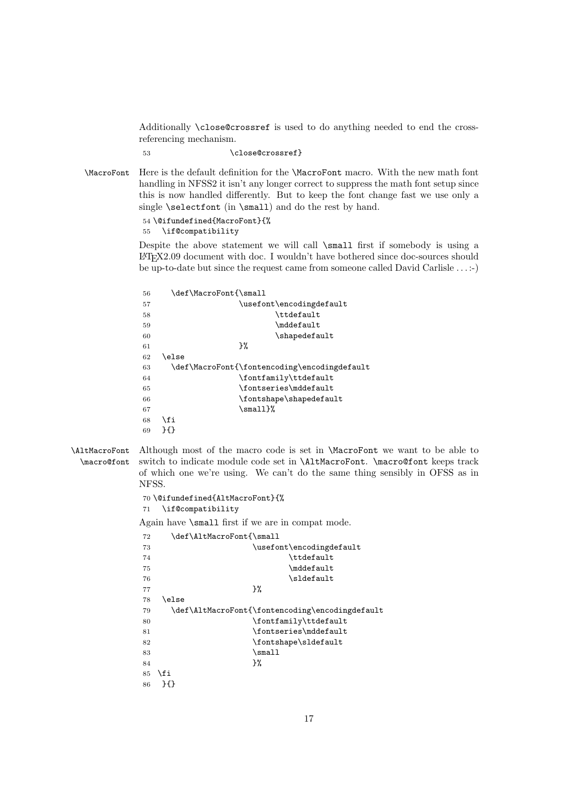<span id="page-16-22"></span>Additionally \close@crossref is used to do anything needed to end the crossreferencing mechanism.

<span id="page-16-1"></span>53 \close@crossref}

<span id="page-16-15"></span>\MacroFont Here is the default definition for the \MacroFont macro. With the new math font handling in NFSS2 it isn't any longer correct to suppress the math font setup since this is now handled differently. But to keep the font change fast we use only a single \selectfont (in \small) and do the rest by hand.

> <span id="page-16-12"></span>54 \@ifundefined{MacroFont}{% 55 \if@compatibility

Despite the above statement we will call  $\mathcal{S}$  and first if somebody is using a LATEX2.09 document with doc. I wouldn't have bothered since doc-sources should be up-to-date but since the request came from someone called David Carlisle . . . :-)

<span id="page-16-20"></span><span id="page-16-18"></span><span id="page-16-16"></span><span id="page-16-6"></span><span id="page-16-3"></span><span id="page-16-2"></span>

| 56 | \def\MacroFont{\small                        |
|----|----------------------------------------------|
| 57 | \usefont\encodingdefault                     |
| 58 | \ttdefault                                   |
| 59 | \mddefault                                   |
| 60 | \shapedefault                                |
| 61 | }%                                           |
| 62 | \else                                        |
| 63 | \def\MacroFont{\fontencoding\encodingdefault |
| 64 | \fontfamily\ttdefault                        |
| 65 | \fontseries\mddefault                        |
| 66 | \fontshape\shapedefault                      |
| 67 | $\sum_{\mathbf{m}}$                          |
| 68 | \fi                                          |
| 69 | ንብን                                          |

<span id="page-16-14"></span><span id="page-16-10"></span><span id="page-16-8"></span><span id="page-16-0"></span>\AltMacroFont \macro@font Although most of the macro code is set in \MacroFont we want to be able to switch to indicate module code set in \AltMacroFont. \macro@font keeps track of which one we're using. We can't do the same thing sensibly in OFSS as in NFSS.

```
70 \@ifundefined{AltMacroFont}{%
71 \if@compatibility
```
Again have \small first if we are in compat mode.

```
72 \def\AltMacroFont{\small
73 \usefont\encodingdefault
74 \qquad \qquad \text{tdefault}75 \mddefault
76 \lbrace sldefault
77 } %
78 \lambdaelse
79 \def\AltMacroFont{\fontencoding\encodingdefault
80 \fontfamily\ttdefault
81 \fontseries\mddefault
82 \fontshape\sldefault
83 \text{Small}84 } \%85 \fi
86 }{}
```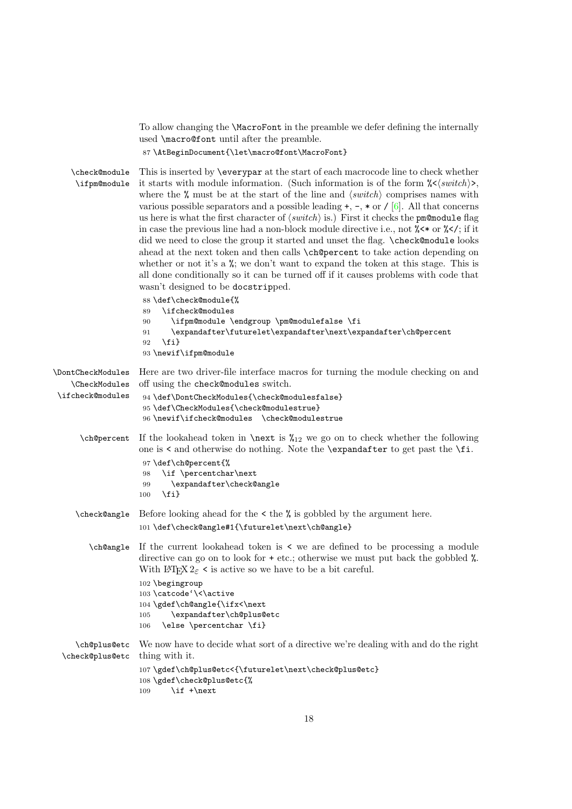<span id="page-17-23"></span>To allow changing the \MacroFont in the preamble we defer defining the internally used \macro@font until after the preamble.

<span id="page-17-0"></span>87 \AtBeginDocument{\let\macro@font\MacroFont}

<span id="page-17-18"></span><span id="page-17-9"></span>\check@module \ifpm@module This is inserted by \everypar at the start of each macrocode line to check whether it starts with module information. (Such information is of the form  $\frac{\sqrt{}x}{\sqrt{}}$ ), where the  $\%$  must be at the start of the line and  $\langle switch \rangle$  comprises names with various possible separators and a possible leading  $+$ ,  $-$ ,  $*$  or  $\ell$  [\[6\]](#page-53-6). All that concerns us here is what the first character of  $\langle switch \rangle$  is.) First it checks the pm@module flag in case the previous line had a non-block module directive i.e., not  $\frac{8}{5}$  or  $\frac{6}{5}$  /; if it did we need to close the group it started and unset the flag. \check@module looks ahead at the next token and then calls \ch@percent to take action depending on whether or not it's a  $\frac{6}{10}$ ; we don't want to expand the token at this stage. This is all done conditionally so it can be turned off if it causes problems with code that wasn't designed to be docstripped.

<span id="page-17-22"></span><span id="page-17-19"></span><span id="page-17-16"></span><span id="page-17-3"></span> \def\check@module{% \ifcheck@modules \ifpm@module \endgroup \pm@modulefalse \fi \expandafter\futurelet\expandafter\next\expandafter\ch@percent 92 \fi} \newif\ifpm@module

```
\DontCheckModules
Here are two driver-file interface macros for turning the module checking on and
    \CheckModules
\ifcheck@modules
                    off using the check@modules switch.
                     94 \def\DontCheckModules{\check@modulesfalse}
                     95 \def\CheckModules{\check@modulestrue}
                     96 \newif\ifcheck@modules \check@modulestrue
      \ch encodent If the lookahead token in \n \text{ is } \mathcal{L}_{12} we go on to check whether the following
                    one is < and otherwise do nothing. Note the \expandafter to get past the \fi.
                     97 \def\ch@percent{%
                     98 \if \percentchar\next
                     99 \expandafter\check@angle
                    100 \quad \text{If} i
     \check@angle Before looking ahead for the < the % is gobbled by the argument here.
                    101 \def\check@angle#1{\futurelet\next\ch@angle}
        \ch@angle If the current lookahead token is < we are defined to be processing a module
                    directive can go on to look for + etc.; otherwise we must put back the gobbled %.
                    With \text{LATEX } 2_{\varepsilon} < is active so we have to be a bit careful.
                    102 \begingroup
                    103 \catcode'\<\active
                    104 \gdef\ch@angle{\ifx<\next
                    105 \expandafter\ch@plus@etc
                    106 \else \percentchar \fi}
     \ch@plus@etc
 \check@plus@etc
                    We now have to decide what sort of a directive we're dealing with and do the right
                    thing with it.
                    107 \gdef\ch@plus@etc<{\futurelet\next\check@plus@etc}
                    108 \gdef\check@plus@etc{%
                    109 \quad \text{if +\text{next}}
```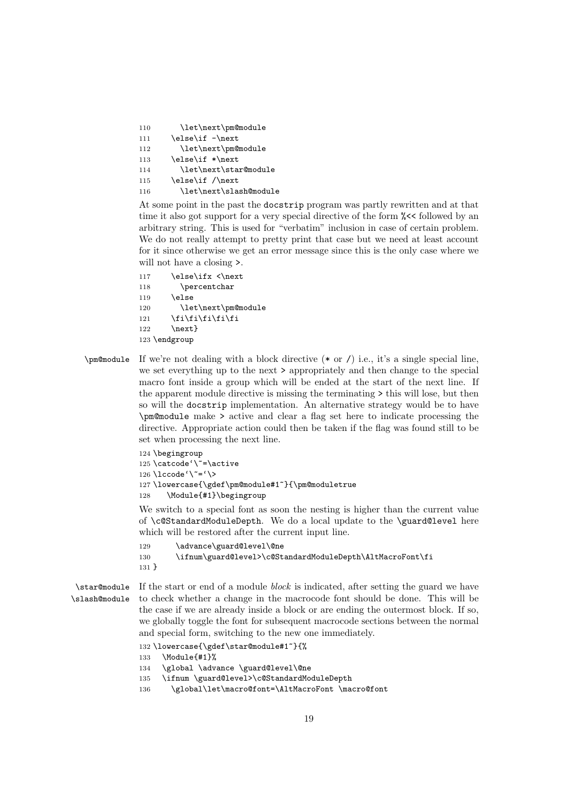<span id="page-18-19"></span><span id="page-18-11"></span><span id="page-18-10"></span>110 \let\next\pm@module 111 \else\if -\next 112 \let\next\pm@module 113 \else\if \*\next 114 \let\next\star@module 115 \else\if /\next 116 \let\next\slash@module

<span id="page-18-17"></span><span id="page-18-15"></span>At some point in the past the docstrip program was partly rewritten and at that time it also got support for a very special directive of the form  $\%<$  followed by an arbitrary string. This is used for "verbatim" inclusion in case of certain problem. We do not really attempt to pretty print that case but we need at least account for it since otherwise we get an error message since this is the only case where we will not have a closing >.

```
117 \else\ifx <\next
118 \percentchar
119 \text{Velse}120 \let\next\pm@module
121 \fi\fi\fi\fi\fi
122 \next }
123 \endgroup
```
<span id="page-18-13"></span> $\pm$   $\mathbb{R}$  is a single special line,  $\mathbb{R}$  is a single special line, we set everything up to the next > appropriately and then change to the special macro font inside a group which will be ended at the start of the next line. If the apparent module directive is missing the terminating > this will lose, but then so will the docstrip implementation. An alternative strategy would be to have \pm@module make > active and clear a flag set here to indicate processing the directive. Appropriate action could then be taken if the flag was found still to be set when processing the next line.

```
124 \begingroup
125 \catcode'\"=\active
126 \lccode'\~='\>
127 \lowercase{\gdef\pm@module#1~}{\pm@moduletrue
128 \Module{#1}\begingroup
```
<span id="page-18-14"></span><span id="page-18-7"></span>We switch to a special font as soon the nesting is higher than the current value of \c@StandardModuleDepth. We do a local update to the \guard@level here which will be restored after the current input line.

```
129 \advance\guard@level\@ne
130 \ifnum\guard@level>\c@StandardModuleDepth\AltMacroFont\fi
131 }
```
<span id="page-18-18"></span><span id="page-18-16"></span>\star@module \slash@module If the start or end of a module block is indicated, after setting the guard we have to check whether a change in the macrocode font should be done. This will be the case if we are already inside a block or are ending the outermost block. If so, we globally toggle the font for subsequent macrocode sections between the normal and special form, switching to the new one immediately.

132 \lowercase{\gdef\star@module#1~}{%

- <span id="page-18-8"></span>133 \Module{#1}%
- <span id="page-18-6"></span>134 \global \advance \guard@level\@ne
- <span id="page-18-4"></span>135 \ifnum \guard@level>\c@StandardModuleDepth
- <span id="page-18-3"></span>136 \global\let\macro@font=\AltMacroFont \macro@font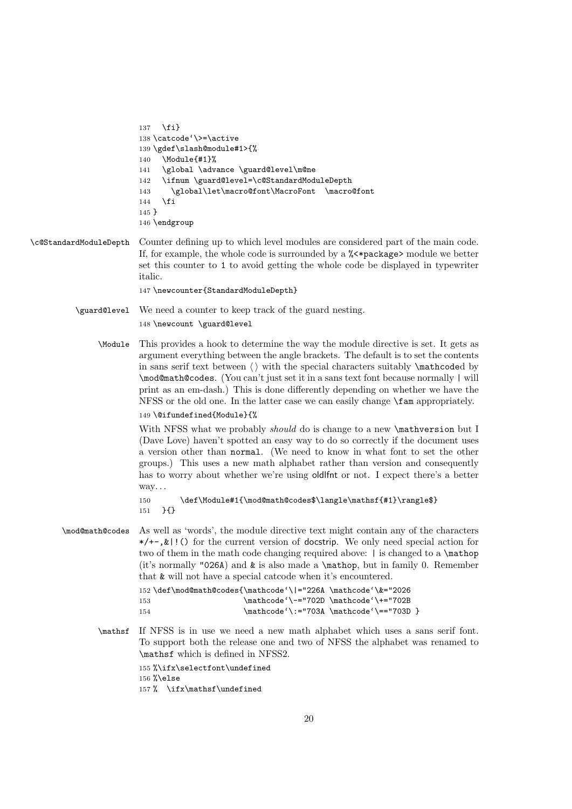```
137 \quad \text{If}138 \catcode'\>=\active
139 \gdef\slash@module#1>{%
140 \Module{#1}%
141 \global \advance \guard@level\m@ne
142 \ifnum \guard@level=\c@StandardModuleDepth
143 \global\let\macro@font\MacroFont \macro@font
144 \fi
145 }
146 \endgroup
```
#### <span id="page-19-3"></span>\c@StandardModuleDepth Counter defining up to which level modules are considered part of the main code. If, for example, the whole code is surrounded by a %<\*package> module we better set this counter to 1 to avoid getting the whole code be displayed in typewriter italic.

<span id="page-19-12"></span>147 \newcounter{StandardModuleDepth}

<span id="page-19-5"></span>\guard@level We need a counter to keep track of the guard nesting. 148 \newcount \guard@level

<span id="page-19-11"></span>\Module This provides a hook to determine the way the module directive is set. It gets as argument everything between the angle brackets. The default is to set the contents in sans serif text between  $\langle \rangle$  with the special characters suitably  $\mathcal{L}$  athcoded by \mod@math@codes. (You can't just set it in a sans text font because normally | will print as an em-dash.) This is done differently depending on whether we have the NFSS or the old one. In the latter case we can easily change \fam appropriately.

#### 149 \@ifundefined{Module}{%

With NFSS what we probably *should* do is change to a new **\mathversion** but I (Dave Love) haven't spotted an easy way to do so correctly if the document uses a version other than normal. (We need to know in what font to set the other groups.) This uses a new math alphabet rather than version and consequently has to worry about whether we're using oldlfnt or not. I expect there's a better way. . .

<span id="page-19-7"></span>150 \def\Module#1{\mod@math@codes\$\langle\mathsf{#1}\rangle\$} 151 }{}

<span id="page-19-9"></span>\mod@math@codes As well as 'words', the module directive text might contain any of the characters  $*$ /+-,  $*$  ! () for the current version of docstrip. We only need special action for two of them in the math code changing required above: | is changed to a \mathop (it's normally "026A) and  $\&$  is also made a \mathop, but in family 0. Remember that & will not have a special catcode when it's encountered.

```
152 \def\mod@math@codes{\mathcode'\|="226A \mathcode'\&="2026
153 \mathcode'\-="702D \mathcode'\+="702B
154 \mathcode'\:="703A \mathcode'\=="703D }
```
<span id="page-19-8"></span>\mathsf If NFSS is in use we need a new math alphabet which uses a sans serif font. To support both the release one and two of NFSS the alphabet was renamed to \mathsf which is defined in NFSS2.

> 155 %\ifx\selectfont\undefined 156 %\else

157 % \ifx\mathsf\undefined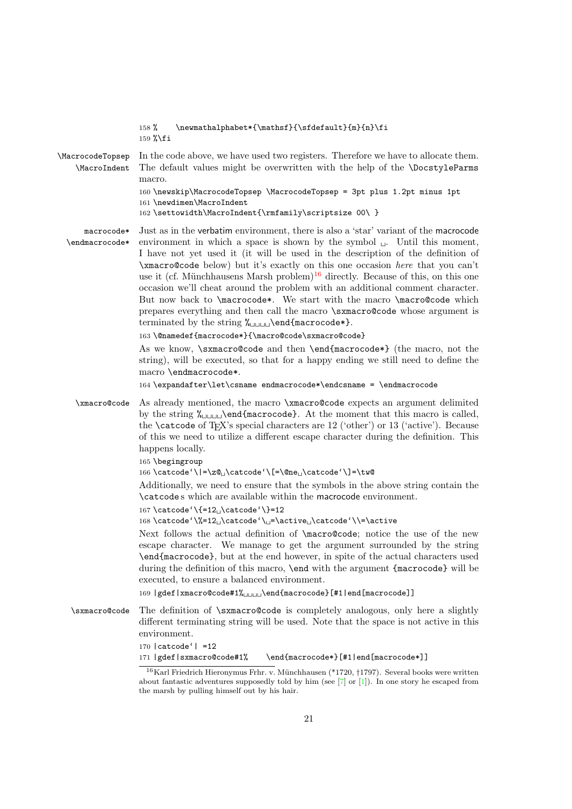<span id="page-20-13"></span><span id="page-20-12"></span><span id="page-20-10"></span><span id="page-20-9"></span><span id="page-20-8"></span><span id="page-20-7"></span><span id="page-20-6"></span><span id="page-20-5"></span><span id="page-20-4"></span>

|                                  | 158 % \newmathalphabet*{\mathsf}{\sfdefault}{m}{n}\fi<br>159 %\fi                                                                                                                                                                                                                                                                                                                                                                                                                                                                                                                                                                                                                                                                                                                                                  |
|----------------------------------|--------------------------------------------------------------------------------------------------------------------------------------------------------------------------------------------------------------------------------------------------------------------------------------------------------------------------------------------------------------------------------------------------------------------------------------------------------------------------------------------------------------------------------------------------------------------------------------------------------------------------------------------------------------------------------------------------------------------------------------------------------------------------------------------------------------------|
| \MacrocodeTopsep<br>\MacroIndent | In the code above, we have used two registers. Therefore we have to allocate them.<br>The default values might be overwritten with the help of the <i>\DocstyleParms</i><br>macro.<br>160 \newskip\MacrocodeTopsep \MacrocodeTopsep = 3pt plus 1.2pt minus 1pt                                                                                                                                                                                                                                                                                                                                                                                                                                                                                                                                                     |
|                                  | 161 \newdimen\MacroIndent<br>162 \settowidth\MacroIndent{\rmfamily\scriptsize 00\ }                                                                                                                                                                                                                                                                                                                                                                                                                                                                                                                                                                                                                                                                                                                                |
| macrocode*<br>\endmacrocode*     | Just as in the verbatim environment, there is also a 'star' variant of the macrocode<br>environment in which a space is shown by the symbol $\cup$ . Until this moment,<br>I have not yet used it (it will be used in the description of the definition of<br>\xmacro@code below) but it's exactly on this one occasion here that you can't<br>use it (cf. Münchhausens Marsh problem) <sup>16</sup> directly. Because of this, on this one<br>occasion we'll cheat around the problem with an additional comment character.<br>But now back to \macrocode*. We start with the macro \macro@code which<br>prepares everything and then call the macro \sxmacro@code whose argument is<br>terminated by the string $\lambda_{\text{unul}}$ \end{macrocode*}.<br>163 \@namedef{macrocode*}{\macro@code\sxmacro@code} |
|                                  | As we know, \sxmacro@code and then \end{macrocode*} (the macro, not the<br>string), will be executed, so that for a happy ending we still need to define the<br>macro \endmacrocode*.                                                                                                                                                                                                                                                                                                                                                                                                                                                                                                                                                                                                                              |
|                                  | 164 \expandafter\let\csname endmacrocode*\endcsname = \endmacrocode                                                                                                                                                                                                                                                                                                                                                                                                                                                                                                                                                                                                                                                                                                                                                |
| \xmacro@code                     | As already mentioned, the macro \xmacro@code expects an argument delimited<br>by the string $\lambda_{\text{ul}}$ and $\text{macrocode}.$ At the moment that this macro is called,<br>the <b>\catcode</b> of T <sub>E</sub> X's special characters are $12$ ('other') or $13$ ('active'). Because<br>of this we need to utilize a different escape character during the definition. This<br>happens locally.                                                                                                                                                                                                                                                                                                                                                                                                       |
|                                  | 165 \begingroup<br>166 \catcode'\ =\zQ_\catcode'\[=\@ne_\catcode'\]=\tw@                                                                                                                                                                                                                                                                                                                                                                                                                                                                                                                                                                                                                                                                                                                                           |
|                                  | Additionally, we need to ensure that the symbols in the above string contain the<br>\catcodes which are available within the macrocode environment.                                                                                                                                                                                                                                                                                                                                                                                                                                                                                                                                                                                                                                                                |
|                                  | 167 \catcode '\{=12 <sub>L</sub> \catcode '\}=12                                                                                                                                                                                                                                                                                                                                                                                                                                                                                                                                                                                                                                                                                                                                                                   |
|                                  | 168 \catcode'\%=12_\catcode'\_=\active_\catcode'\\=\active<br>Next follows the actual definition of $\text{conce, notice the use of the new}$<br>escape character. We manage to get the argument surrounded by the string<br>\end{macrocode}, but at the end however, in spite of the actual characters used<br>during the definition of this macro, \end with the argument {macrocode} will be<br>executed, to ensure a balanced environment.                                                                                                                                                                                                                                                                                                                                                                     |
|                                  | 169   gdef   xmacro@code#1%UUUU\end{macrocode} [#1   end [macrocode]]                                                                                                                                                                                                                                                                                                                                                                                                                                                                                                                                                                                                                                                                                                                                              |
| \sxmacro@code                    | The definition of \sxmacro@code is completely analogous, only here a slightly<br>different terminating string will be used. Note that the space is not active in this<br>environment.<br>$170$ catcode'   =12                                                                                                                                                                                                                                                                                                                                                                                                                                                                                                                                                                                                      |
|                                  | 171   gdef   sxmacro@code#1%<br>\end{macrocode*}[#1 end[macrocode*]]                                                                                                                                                                                                                                                                                                                                                                                                                                                                                                                                                                                                                                                                                                                                               |

<span id="page-20-11"></span><span id="page-20-3"></span><span id="page-20-2"></span><span id="page-20-1"></span><span id="page-20-0"></span> $^{16}$ Karl Friedrich Hieronymus Frhr. v. Münchhausen (\*1720, †1797). Several books were written about fantastic adventures supposedly told by him (see  $[7]$  or  $[1]$ ). In one story he escaped from the marsh by pulling himself out by his hair.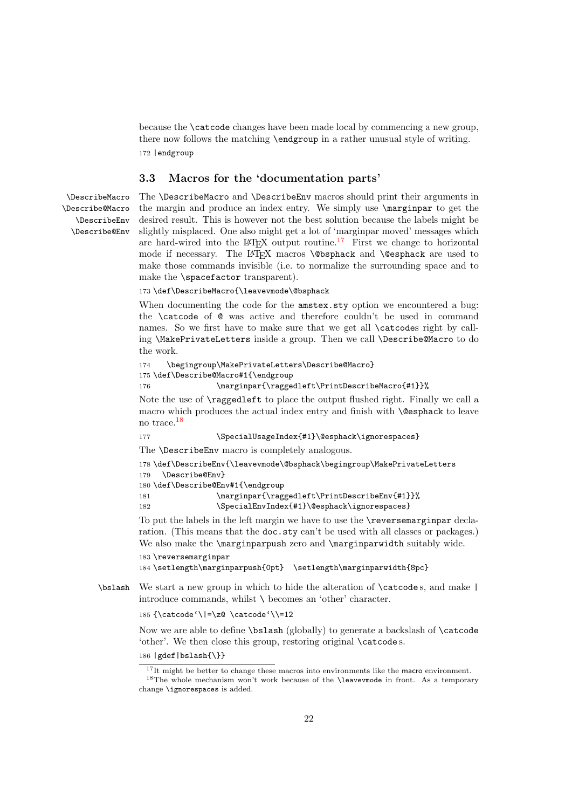<span id="page-21-18"></span>because the \catcode changes have been made local by commencing a new group, there now follows the matching \endgroup in a rather unusual style of writing. 172 |endgroup

#### <span id="page-21-0"></span>3.3 Macros for the 'documentation parts'

<span id="page-21-8"></span><span id="page-21-7"></span><span id="page-21-6"></span><span id="page-21-5"></span>\DescribeMacro \Describe@Macro \DescribeEnv \Describe@Env The \DescribeMacro and \DescribeEnv macros should print their arguments in the margin and produce an index entry. We simply use \marginpar to get the desired result. This is however not the best solution because the labels might be slightly misplaced. One also might get a lot of 'marginpar moved' messages which are hard-wired into the LATEX output routine.[17](#page-21-1) First we change to horizontal mode if necessary. The LATEX macros \@bsphack and \@esphack are used to make those commands invisible (i.e. to normalize the surrounding space and to make the \spacefactor transparent).

173 \def\DescribeMacro{\leavevmode\@bsphack

When documenting the code for the amstex.sty option we encountered a bug: the \catcode of @ was active and therefore couldn't be used in command names. So we first have to make sure that we get all \catcodes right by calling \MakePrivateLetters inside a group. Then we call \Describe@Macro to do the work.

```
174 \begingroup\MakePrivateLetters\Describe@Macro}
175 \def\Describe@Macro#1{\endgroup
176 \marginpar{\raggedleft\PrintDescribeMacro{#1}}%
```
<span id="page-21-14"></span>Note the use of \raggedleft to place the output flushed right. Finally we call a macro which produces the actual index entry and finish with **\@esphack** to leave no trace.[18](#page-21-2)

<span id="page-21-17"></span>177 \SpecialUsageIndex{#1}\@esphack\ignorespaces}

The \DescribeEnv macro is completely analogous.

```
178 \def\DescribeEnv{\leavevmode\@bsphack\begingroup\MakePrivateLetters
```

```
179 \Describe@Env}
```

```
180 \def\Describe@Env#1{\endgroup
```
<span id="page-21-13"></span>181 \marginpar{\raggedleft\PrintDescribeEnv{#1}}%

```
182 \SpecialEnvIndex{#1}\@esphack\ignorespaces}
```
To put the labels in the left margin we have to use the \reversemarginpar declaration. (This means that the **doc**.sty can't be used with all classes or packages.) We also make the **\marginparpush** zero and **\marginparwidth** suitably wide.

```
183 \reversemarginpar
184 \setlength\marginparpush{0pt} \setlength\marginparwidth{8pc}
```
<span id="page-21-4"></span>\bslash We start a new group in which to hide the alteration of \catcode s, and make | introduce commands, whilst \ becomes an 'other' character.

```
185 {\catcode'\|=\z@ \catcode'\\=12
```
Now we are able to define \bslash (globally) to generate a backslash of \catcode 'other'. We then close this group, restoring original \catcode s.

```
186 |gdef|bslash{\}}
```
<span id="page-21-2"></span><span id="page-21-1"></span> $17$ It might be better to change these macros into environments like the macro environment.  $18$ The whole mechanism won't work because of the **\leavevmode** in front. As a temporary change \ignorespaces is added.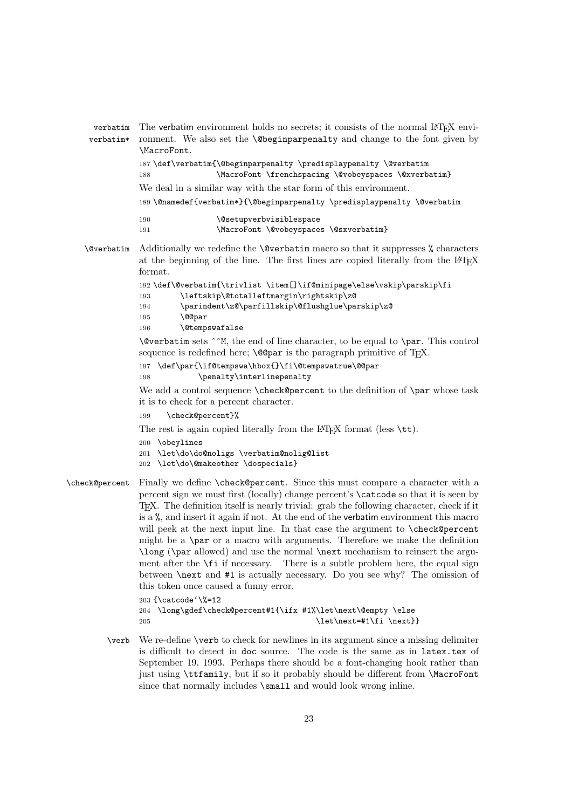```
verbatim
The verbatim environment holds no secrets; it consists of the normal LATEX envi-
verbatim*
          ronment. We also set the \@beginparpenalty and change to the font given by
          \MacroFont.
          187 \def\verbatim{\@beginparpenalty \predisplaypenalty \@verbatim
          188 \MacroFont \frenchspacing \@vobeyspaces \@xverbatim}
          We deal in a similar way with the star form of this environment.
          189 \@namedef{verbatim*}{\@beginparpenalty \predisplaypenalty \@verbatim
          190 \@setupverbvisiblespace
          191 \MacroFont \@vobeyspaces \@sxverbatim}
```
<span id="page-22-10"></span><span id="page-22-3"></span><span id="page-22-1"></span>\@verbatim Additionally we redefine the \@verbatim macro so that it suppresses % characters at the beginning of the line. The first lines are copied literally from the LAT<sub>E</sub>X format.

```
192 \def\@verbatim{\trivlist \item[]\if@minipage\else\vskip\parskip\fi
193 \leftskip\@totalleftmargin\rightskip\z@
194 \parindent\z@\parfillskip\@flushglue\parskip\z@
195 \@@par
196 \@tempswafalse
```
\@verbatim sets ^^M, the end of line character, to be equal to \par. This control sequence is redefined here;  $\Diamond$  Copar is the paragraph primitive of T<sub>EX</sub>.

```
197 \def\par{\if@tempswa\hbox{}\fi\@tempswatrue\@@par
```
<span id="page-22-7"></span>198 \penalty\interlinepenalty

We add a control sequence \check@percent to the definition of \par whose task it is to check for a percent character.

<span id="page-22-4"></span>199 \check@percent}%

The rest is again copied literally from the LAT<sub>EX</sub> format (less  $\text{t.t.}$ ).

- 200 \obeylines
- <span id="page-22-6"></span>201 \let\do\do@noligs \verbatim@nolig@list
- 202 \let\do\@makeother \dospecials}
- <span id="page-22-5"></span>\check@percent Finally we define \check@percent. Since this must compare a character with a percent sign we must first (locally) change percent's \catcode so that it is seen by TEX. The definition itself is nearly trivial: grab the following character, check if it is a %, and insert it again if not. At the end of the verbatim environment this macro will peek at the next input line. In that case the argument to \check@percent might be a \par or a macro with arguments. Therefore we make the definition \long (\par allowed) and use the normal \next mechanism to reinsert the argument after the  $\setminus$ **fi** if necessary. There is a subtle problem here, the equal sign between \next and #1 is actually necessary. Do you see why? The omission of this token once caused a funny error.

<span id="page-22-0"></span>203 {\catcode'\%=12 204 \long\gdef\check@percent#1{\ifx #1%\let\next\@empty \else 205  $\left\{\text{next}+\text{first}\$ 

<span id="page-22-11"></span>\verb We re-define \verb to check for newlines in its argument since a missing delimiter is difficult to detect in doc source. The code is the same as in latex.tex of September 19, 1993. Perhaps there should be a font-changing hook rather than just using \ttfamily, but if so it probably should be different from \MacroFont since that normally includes  $\small{\mathsf{small}}$  and would look wrong inline.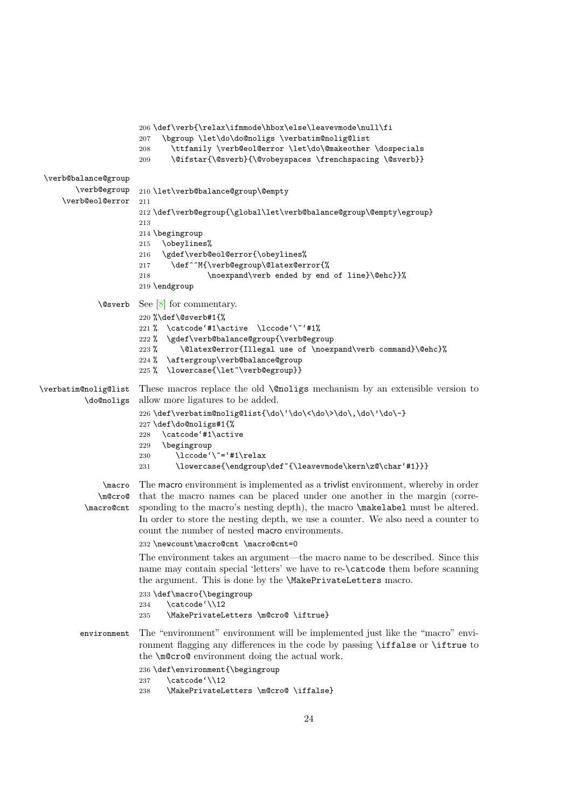```
206 \def\verb{\relax\ifmmode\hbox\else\leavevmode\null\fi
                      207 \bgroup \let\do\do@noligs \verbatim@nolig@list
                      208 \ttfamily \verb@eol@error \let\do\@makeother \dospecials
                      209 \@ifstar{\@sverb}{\@vobeyspaces \frenchspacing \@sverb}}
 \verb@balance@group
        \verb@egroup
     \verb@eol@error
                     210 \let\verb@balance@group\@empty
                     211
                      212 \def\verb@egroup{\global\let\verb@balance@group\@empty\egroup}
                      213
                      214 \begingroup
                      215 \obeylines%
                      216 \gdef\verb@eol@error{\obeylines%
                      217 \def^^M{\verb@egroup\@latex@error{%
                      218 \noexpand\verb ended by end of line}\@ehc}}%
                      219 \endgroup
             \@sverb See [8] for commentary.
                      220 %\def\@sverb#1{%
                      221 % \catcode'#1\active \lccode'\~'#1%
                      222 % \gdef\verb@balance@group{\verb@egroup
                      223 % \@latex@error{Illegal use of \noexpand\verb command}\@ehc}%
                      224 % \aftergroup\verb@balance@group
                      225 % \lowercase{\let~\verb@egroup}}
\verbatim@nolig@list
          \do@noligs
                     These macros replace the old \@noligs mechanism by an extensible version to
                      allow more ligatures to be added.
                      226 \def\verbatim@nolig@list{\do\'\do\<\do\>\do\,\do\'\do\-}
                      227 \def\do@noligs#1{%
                      228 \catcode'#1\active
                      229 \begingroup
                      230 \lccode'\~='#1\relax
                      231 \lowercase{\endgroup\def~{\leavevmode\kern\z@\char'#1}}}
              \macro
             \m@cro@
          \macro@cnt
                     The macro environment is implemented as a trivlist environment, whereby in order
                      that the macro names can be placed under one another in the margin (corre-
                     sponding to the macro's nesting depth), the macro \makelabel must be altered.
                      In order to store the nesting depth, we use a counter. We also need a counter to
                      count the number of nested macro environments.
                      232 \newcount\macro@cnt \macro@cnt=0
                      The environment takes an argument—the macro name to be described. Since this
                      name may contain special 'letters' we have to re-\catcode them before scanning
                      the argument. This is done by the \MakePrivateLetters macro.
                      233 \def\macro{\begingroup
                      234 \catcode'\\12
                      235 \MakePrivateLetters \m@cro@ \iftrue}
         environment The "environment" environment will be implemented just like the "macro" envi-
                      ronment flagging any differences in the code by passing \iffalse or \iftrue to
                      the \m@cro@ environment doing the actual work.
                      236 \def\environment{\begingroup
                      237 \catcode'\\12
                      238 \MakePrivateLetters \m@cro@ \iffalse}
```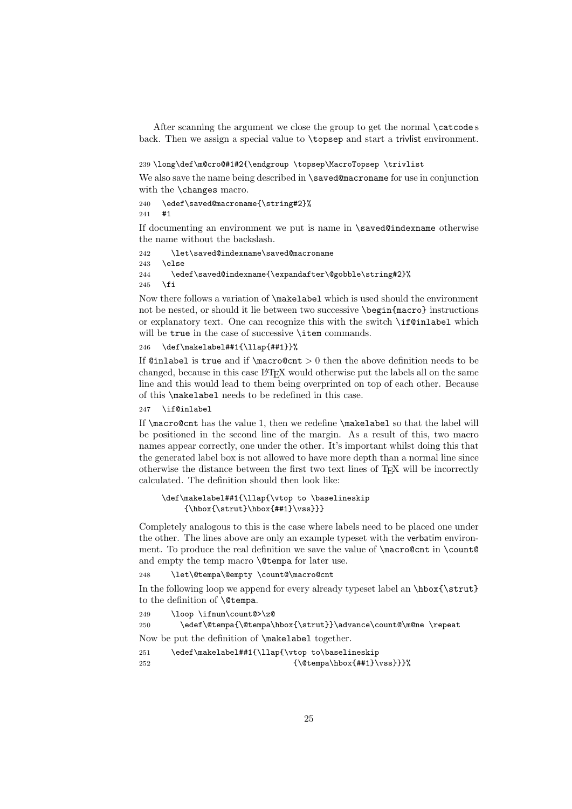<span id="page-24-4"></span>After scanning the argument we close the group to get the normal \catcode s back. Then we assign a special value to \topsep and start a trivlist environment.

#### <span id="page-24-0"></span>239 \long\def\m@cro@#1#2{\endgroup \topsep\MacroTopsep \trivlist

We also save the name being described in **\saved@macroname** for use in conjunction with the **\changes** macro.

<span id="page-24-3"></span>240 \edef\saved@macroname{\string#2}% 241 #1

If documenting an environment we put is name in \saved@indexname otherwise the name without the backslash.

```
242 \let\saved@indexname\saved@macroname
243 \else
244 \edef\saved@indexname{\expandafter\@gobble\string#2}%
245 \fi
```
Now there follows a variation of \makelabel which is used should the environment not be nested, or should it lie between two successive \begin{macro} instructions or explanatory text. One can recognize this with the switch \if@inlabel which will be true in the case of successive **\item** commands.

#### 246 \def\makelabel##1{\llap{##1}}%

If  $\text{Qinlabel}$  is true and if  $\text{Cone}(x) > 0$  then the above definition needs to be changed, because in this case LAT<sub>EX</sub> would otherwise put the labels all on the same line and this would lead to them being overprinted on top of each other. Because of this \makelabel needs to be redefined in this case.

#### 247 \if@inlabel

If \macro@cnt has the value 1, then we redefine \makelabel so that the label will be positioned in the second line of the margin. As a result of this, two macro names appear correctly, one under the other. It's important whilst doing this that the generated label box is not allowed to have more depth than a normal line since otherwise the distance between the first two text lines of TEX will be incorrectly calculated. The definition should then look like:

#### \def\makelabel##1{\llap{\vtop to \baselineskip  ${\hbox{\bf\bbox{#1}}\vss}}\}$

Completely analogous to this is the case where labels need to be placed one under the other. The lines above are only an example typeset with the verbatim environment. To produce the real definition we save the value of \macro@cnt in \count@ and empty the temp macro **\@tempa** for later use.

248 \let\@tempa\@empty \count@\macro@cnt

In the following loop we append for every already typeset label an  $\hbar$ to the definition of \@tempa.

```
249 \loop \ifnum\count@>\z@
```
250 \edef\@tempa{\@tempa\hbox{\strut}}\advance\count@\m@ne \repeat

Now be put the definition of \makelabel together.

```
251 \edef\makelabel##1{\llap{\vtop to\baselineskip
252 {\text{\texttt{\#1}}\vss}}
```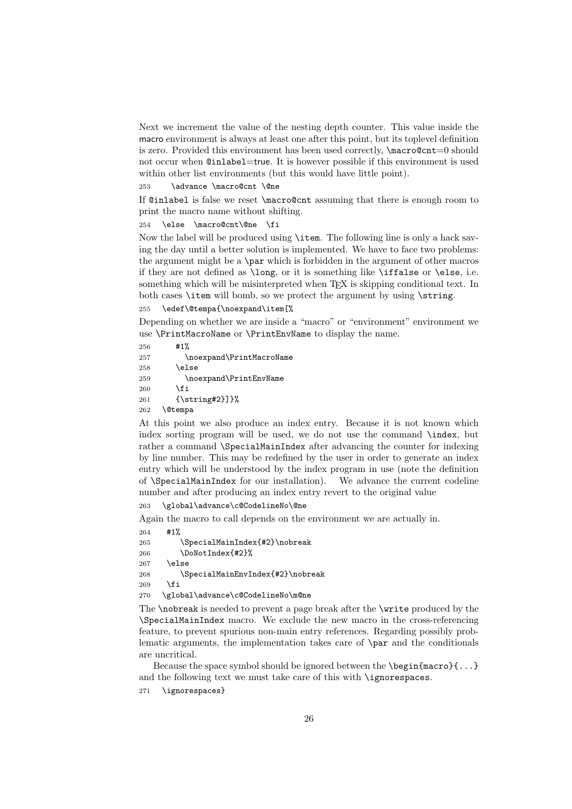<span id="page-25-7"></span>Next we increment the value of the nesting depth counter. This value inside the macro environment is always at least one after this point, but its toplevel definition is zero. Provided this environment has been used correctly, \macro@cnt=0 should not occur when @inlabel=true. It is however possible if this environment is used within other list environments (but this would have little point).

253 \advance \macro@cnt \@ne

If @inlabel is false we reset \macro@cnt assuming that there is enough room to print the macro name without shifting.

254 \else \macro@cnt\@ne

Now the label will be produced using \item. The following line is only a hack saving the day until a better solution is implemented. We have to face two problems: the argument might be a \par which is forbidden in the argument of other macros if they are not defined as \long, or it is something like \iffalse or \else, i.e. something which will be misinterpreted when T<sub>EX</sub> is skipping conditional text. In both cases \item will bomb, so we protect the argument by using \string.

255 \edef\@tempa{\noexpand\item[%

Depending on whether we are inside a "macro" or "environment" environment we use \PrintMacroName or \PrintEnvName to display the name.

<span id="page-25-4"></span><span id="page-25-3"></span>256 #1% 257 \noexpand\PrintMacroName  $258$   $\lambda$ else 259 \noexpand\PrintEnvName 260 \fi 261 {\string#2}]}% 262 \@tempa

At this point we also produce an index entry. Because it is not known which index sorting program will be used, we do not use the command \index, but rather a command \SpecialMainIndex after advancing the counter for indexing by line number. This may be redefined by the user in order to generate an index entry which will be understood by the index program in use (note the definition of \SpecialMainIndex for our installation). We advance the current codeline number and after producing an index entry revert to the original value

<span id="page-25-0"></span>263 \global\advance\c@CodelineNo\@ne

Again the macro to call depends on the environment we are actually in.

```
264 #1%
265 \SpecialMainIndex{#2}\nobreak
266 \DoNotIndex{#2}%
267 \else
268 \SpecialMainEnvIndex{#2}\nobreak
269 \fi
270 \global\advance\c@CodelineNo\m@ne
```
<span id="page-25-5"></span><span id="page-25-1"></span>The \nobreak is needed to prevent a page break after the \write produced by the \SpecialMainIndex macro. We exclude the new macro in the cross-referencing feature, to prevent spurious non-main entry references. Regarding possibly problematic arguments, the implementation takes care of \par and the conditionals are uncritical.

Because the space symbol should be ignored between the \begin{macro}{...} and the following text we must take care of this with \ignorespaces.

271 \ignorespaces}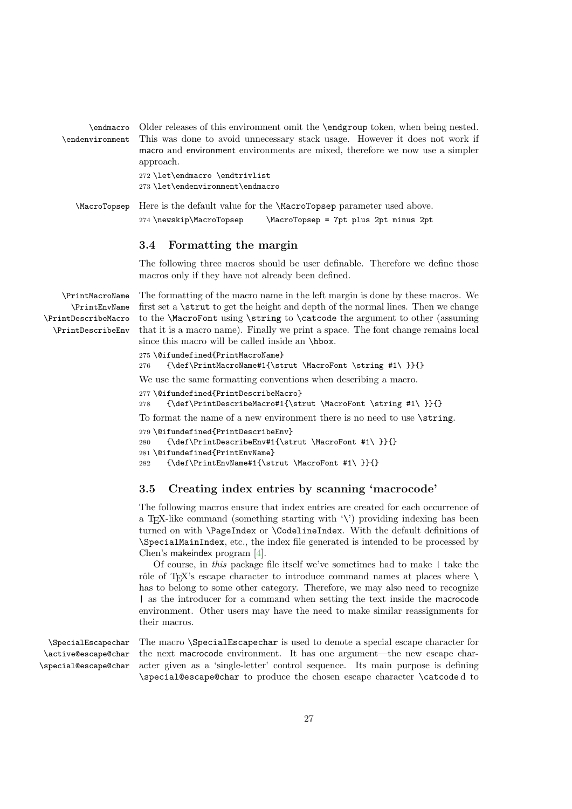```
\endmacro
\endenvironment
                 Older releases of this environment omit the \endgroup token, when being nested.
                 This was done to avoid unnecessary stack usage. However it does not work if
                 macro and environment environments are mixed, therefore we now use a simpler
                 approach.
                 272 \let\endmacro \endtrivlist
                 273 \let\endenvironment\endmacro
```
<span id="page-26-9"></span>\MacroTopsep Here is the default value for the \MacroTopsep parameter used above. 274 \newskip\MacroTopsep \MacroTopsep = 7pt plus 2pt minus 2pt

#### <span id="page-26-0"></span>3.4 Formatting the margin

The following three macros should be user definable. Therefore we define those macros only if they have not already been defined.

<span id="page-26-13"></span><span id="page-26-12"></span><span id="page-26-11"></span><span id="page-26-10"></span>\PrintMacroName \PrintEnvName \PrintDescribeMacro \PrintDescribeEnv The formatting of the macro name in the left margin is done by these macros. We first set a \strut to get the height and depth of the normal lines. Then we change to the \MacroFont using \string to \catcode the argument to other (assuming that it is a macro name). Finally we print a space. The font change remains local since this macro will be called inside an **\hbox**.

```
275 \@ifundefined{PrintMacroName}
```
<span id="page-26-2"></span>276 {\def\PrintMacroName#1{\strut \MacroFont \string #1\ }}{}

We use the same formatting conventions when describing a macro.

- 277 \@ifundefined{PrintDescribeMacro}
- <span id="page-26-3"></span>278 {\def\PrintDescribeMacro#1{\strut \MacroFont \string #1\ }}{}

To format the name of a new environment there is no need to use \string.

```
279 \@ifundefined{PrintDescribeEnv}
```

```
280 {\def\PrintDescribeEnv#1{\strut \MacroFont #1\ }}{}
```

```
281 \@ifundefined{PrintEnvName}
```

```
282 {\def\PrintEnvName#1{\strut \MacroFont #1\ }}{}
```
### <span id="page-26-1"></span>3.5 Creating index entries by scanning 'macrocode'

The following macros ensure that index entries are created for each occurrence of a T<sub>E</sub>X-like command (something starting with  $\langle \cdot \rangle$ ) providing indexing has been turned on with \PageIndex or \CodelineIndex. With the default definitions of \SpecialMainIndex, etc., the index file generated is intended to be processed by Chen's makeindex program [\[4\]](#page-53-5).

Of course, in this package file itself we've sometimes had to make | take the rôle of T<sub>E</sub>X's escape character to introduce command names at places where  $\setminus$ has to belong to some other category. Therefore, we may also need to recognize | as the introducer for a command when setting the text inside the macrocode environment. Other users may have the need to make similar reassignments for their macros.

<span id="page-26-15"></span><span id="page-26-14"></span><span id="page-26-6"></span>\SpecialEscapechar \active@escape@char \special@escape@char The macro \SpecialEscapechar is used to denote a special escape character for the next macrocode environment. It has one argument—the new escape character given as a 'single-letter' control sequence. Its main purpose is defining \special@escape@char to produce the chosen escape character \catcode d to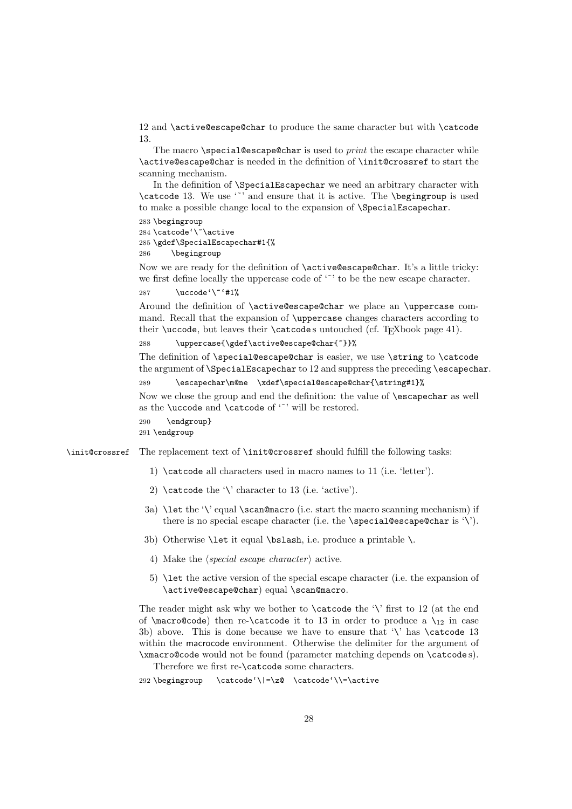12 and \active@escape@char to produce the same character but with \catcode 13.

The macro  $\simeq \simeq \simeq 0$  and  $\simeq \simeq 0$  to print the escape character while \active@escape@char is needed in the definition of \init@crossref to start the scanning mechanism.

In the definition of \SpecialEscapechar we need an arbitrary character with \catcode 13. We use  $\lq{'}$  and ensure that it is active. The \beging roup is used to make a possible change local to the expansion of \SpecialEscapechar.

```
283 \begingroup
284 \catcode'\~\active
285 \gdef\SpecialEscapechar#1{%
286 \begingroup
```
Now we are ready for the definition of \active@escape@char. It's a little tricky: we first define locally the uppercase code of '<sup>\*</sup>' to be the new escape character.

<span id="page-27-2"></span>287  $\uccode'\Upsilon'$ #1%

Around the definition of \active@escape@char we place an \uppercase command. Recall that the expansion of \uppercase changes characters according to their \uccode, but leaves their  $\c{actcode}$ s untouched (cf. TEXbook page 41).

288 \uppercase{\gdef\active@escape@char{~}}%

The definition of \special@escape@char is easier, we use \string to \catcode the argument of **\SpecialEscapechar** to 12 and suppress the preceding **\escapechar.** 

289 \escapechar\m@ne \xdef\special@escape@char{\string#1}%

Now we close the group and end the definition: the value of \escapechar as well as the **\uccode** and **\catcode** of  $\lq\lq$  will be restored.

290 \endgroup}

291 \endgroup

<span id="page-27-3"></span>\init@crossref The replacement text of \init@crossref should fulfill the following tasks:

- 1) \catcode all characters used in macro names to 11 (i.e. 'letter').
- 2) \catcode the '\' character to 13 (i.e. 'active').
- 3a)  $\let the ''\ equal \scr$ there is no special escape character (i.e. the \special@escape@char is '\').
- 3b) Otherwise \let it equal \bslash, i.e. produce a printable \.
- 4) Make the *(special escape character)* active.
- 5) \let the active version of the special escape character (i.e. the expansion of \active@escape@char) equal \scan@macro.

The reader might ask why we bother to  $\catcode$  the ' $\iota$ ' first to 12 (at the end of  $\text{Cov}(t)$  then re- $\text{Cov}(t)$  is to 13 in order to produce a  $\mathcal{C}$  in case 3b) above. This is done because we have to ensure that '\' has \catcode 13 within the macrocode environment. Otherwise the delimiter for the argument of \xmacro@code would not be found (parameter matching depends on \catcode s).

Therefore we first re-\catcode some characters.

<span id="page-27-0"></span>292 \begingroup \catcode'\|=\z@ \catcode'\\=\active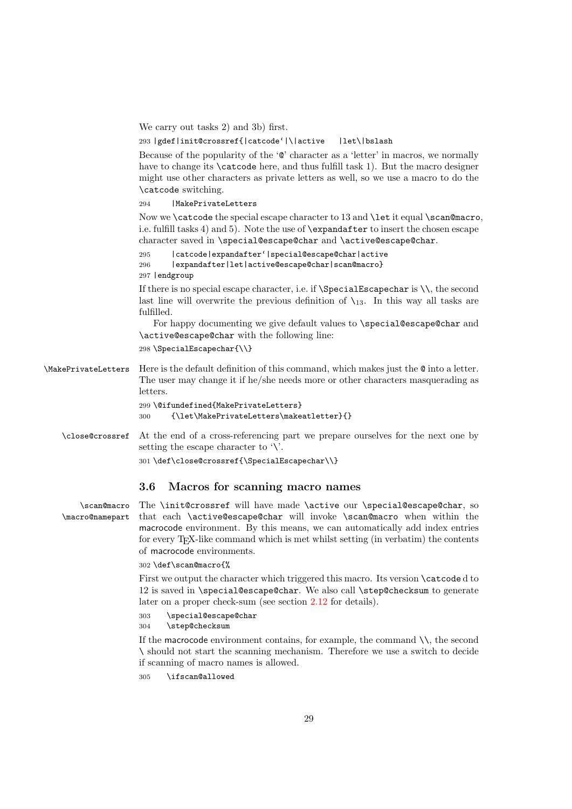<span id="page-28-14"></span>We carry out tasks 2) and 3b) first.

<span id="page-28-2"></span>293 |gdef|init@crossref{|catcode'|\|active |let\|bslash

Because of the popularity of the '@' character as a 'letter' in macros, we normally have to change its  $\text{catcode}$  here, and thus fulfill task 1). But the macro designer might use other characters as private letters as well, so we use a macro to do the \catcode switching.

<span id="page-28-6"></span>294 | MakePrivateLetters

Now we \catcode the special escape character to 13 and \let it equal \scan@macro, i.e. fulfill tasks 4) and 5). Note the use of \expandafter to insert the chosen escape character saved in \special@escape@char and \active@escape@char.

```
295 |catcode|expandafter'|special@escape@char|active
296 |expandafter|let|active@escape@char|scan@macro}
297 |endgroup
```
If there is no special escape character, i.e. if  $\S$  pecialEscapechar is  $\setminus \setminus$ , the second last line will overwrite the previous definition of  $\chi_{13}$ . In this way all tasks are fulfilled.

For happy documenting we give default values to \special@escape@char and \active@escape@char with the following line:

<span id="page-28-11"></span>298 \SpecialEscapechar{\\}

<span id="page-28-7"></span>\MakePrivateLetters Here is the default definition of this command, which makes just the @ into a letter. The user may change it if he/she needs more or other characters masquerading as letters.

```
299 \@ifundefined{MakePrivateLetters}
```

```
300 {\let\MakePrivateLetters\makeatletter}{}
```
<span id="page-28-3"></span>\close@crossref At the end of a cross-referencing part we prepare ourselves for the next one by setting the escape character to  $\vee$ .

<span id="page-28-12"></span>301 \def\close@crossref{\SpecialEscapechar\\}

#### <span id="page-28-0"></span>3.6 Macros for scanning macro names

<span id="page-28-8"></span><span id="page-28-5"></span>\scan@macro \macro@namepart The \init@crossref will have made \active our \special@escape@char, so that each \active@escape@char will invoke \scan@macro when within the macrocode environment. By this means, we can automatically add index entries for every TEX-like command which is met whilst setting (in verbatim) the contents of macrocode environments.

#### 302 \def\scan@macro{%

First we output the character which triggered this macro. Its version \catcode d to 12 is saved in \special@escape@char. We also call \step@checksum to generate later on a proper check-sum (see section [2.12](#page-9-2) for details).

<span id="page-28-10"></span>303 \special@escape@char

<span id="page-28-13"></span>304 \step@checksum

If the macrocode environment contains, for example, the command  $\setminus \setminus$ , the second \ should not start the scanning mechanism. Therefore we use a switch to decide if scanning of macro names is allowed.

<span id="page-28-4"></span>305 \ifscan@allowed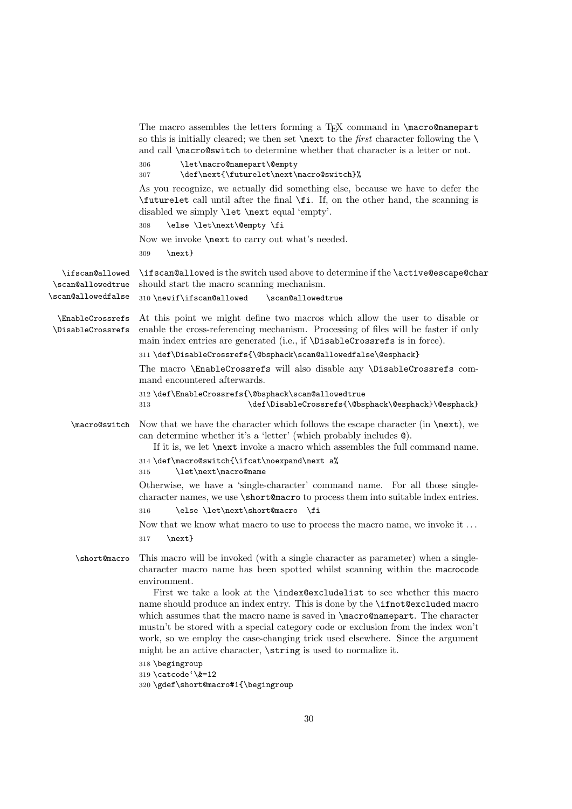<span id="page-29-14"></span><span id="page-29-13"></span><span id="page-29-12"></span><span id="page-29-11"></span><span id="page-29-10"></span><span id="page-29-9"></span><span id="page-29-8"></span><span id="page-29-7"></span><span id="page-29-6"></span><span id="page-29-5"></span><span id="page-29-4"></span><span id="page-29-3"></span><span id="page-29-2"></span><span id="page-29-1"></span><span id="page-29-0"></span>

|                                       | The macro assembles the letters forming a TFX command in \macro@namepart<br>so this is initially cleared; we then set <b>\next</b> to the <i>first</i> character following the <b>\</b><br>and call <i>macro@switch</i> to determine whether that character is a letter or not.<br>\let\macro@namepart\@empty<br>306                                                                                                                                                                                 |
|---------------------------------------|------------------------------------------------------------------------------------------------------------------------------------------------------------------------------------------------------------------------------------------------------------------------------------------------------------------------------------------------------------------------------------------------------------------------------------------------------------------------------------------------------|
|                                       | \def\next{\futurelet\next\macro@switch}%<br>307                                                                                                                                                                                                                                                                                                                                                                                                                                                      |
|                                       | As you recognize, we actually did something else, because we have to defer the<br>\futurelet call until after the final \fi. If, on the other hand, the scanning is<br>disabled we simply <b>\let \next</b> equal 'empty'.                                                                                                                                                                                                                                                                           |
|                                       | \else \let\next\@empty \fi<br>308                                                                                                                                                                                                                                                                                                                                                                                                                                                                    |
|                                       | Now we invoke <b>\next</b> to carry out what's needed.<br>$\text{}$<br>309                                                                                                                                                                                                                                                                                                                                                                                                                           |
| \ifscan@allowed<br>\scan@allowedtrue  | \ifscan@allowed is the switch used above to determine if the \active@escape@char<br>should start the macro scanning mechanism.                                                                                                                                                                                                                                                                                                                                                                       |
| \scan@allowedfalse                    | 310 \newif\ifscan@allowed<br>\scan@allowedtrue                                                                                                                                                                                                                                                                                                                                                                                                                                                       |
| \EnableCrossrefs<br>\DisableCrossrefs | At this point we might define two macros which allow the user to disable or<br>enable the cross-referencing mechanism. Processing of files will be faster if only<br>main index entries are generated (i.e., if \DisableCrossrefs is in force).                                                                                                                                                                                                                                                      |
|                                       | 311 \def\DisableCrossrefs{\@bsphack\scan@allowedfalse\@esphack}                                                                                                                                                                                                                                                                                                                                                                                                                                      |
|                                       | The macro \EnableCrossrefs will also disable any \DisableCrossrefs com-<br>mand encountered afterwards.                                                                                                                                                                                                                                                                                                                                                                                              |
|                                       | 312 \def\EnableCrossrefs{\@bsphack\scan@allowedtrue<br>\def\DisableCrossrefs{\@bsphack\@esphack}\@esphack}<br>313                                                                                                                                                                                                                                                                                                                                                                                    |
| \macro@switch                         | Now that we have the character which follows the escape character (in $\text{next}$ ), we<br>can determine whether it's a 'letter' (which probably includes $\mathcal{Q}$ ).<br>If it is, we let <b>\next</b> invoke a macro which assembles the full command name.                                                                                                                                                                                                                                  |
|                                       | 314 \def\macro@switch{\ifcat\noexpand\next a%<br>\let\next\macro@name<br>315                                                                                                                                                                                                                                                                                                                                                                                                                         |
|                                       | Otherwise, we have a 'single-character' command name. For all those single-<br>character names, we use \short@macro to process them into suitable index entries.<br>\else \let\next\short@macro \fi<br>316                                                                                                                                                                                                                                                                                           |
|                                       | Now that we know what macro to use to process the macro name, we invoke it $\dots$<br>$\text{next}$<br>317                                                                                                                                                                                                                                                                                                                                                                                           |
| \short@macro                          | This macro will be invoked (with a single character as parameter) when a single-<br>character macro name has been spotted whilst scanning within the macrocode<br>environment.                                                                                                                                                                                                                                                                                                                       |
|                                       | First we take a look at the <b>\index@excludelist</b> to see whether this macro<br>name should produce an index entry. This is done by the <b>\ifnot@excluded</b> macro<br>which assumes that the macro name is saved in \macro@namepart. The character<br>mustn't be stored with a special category code or exclusion from the index won't<br>work, so we employ the case-changing trick used elsewhere. Since the argument<br>might be an active character, <i>string</i> is used to normalize it. |
|                                       | 318 \begingroup<br>319 \catcode'\&=12<br>320 \gdef\short@macro#1{\begingroup                                                                                                                                                                                                                                                                                                                                                                                                                         |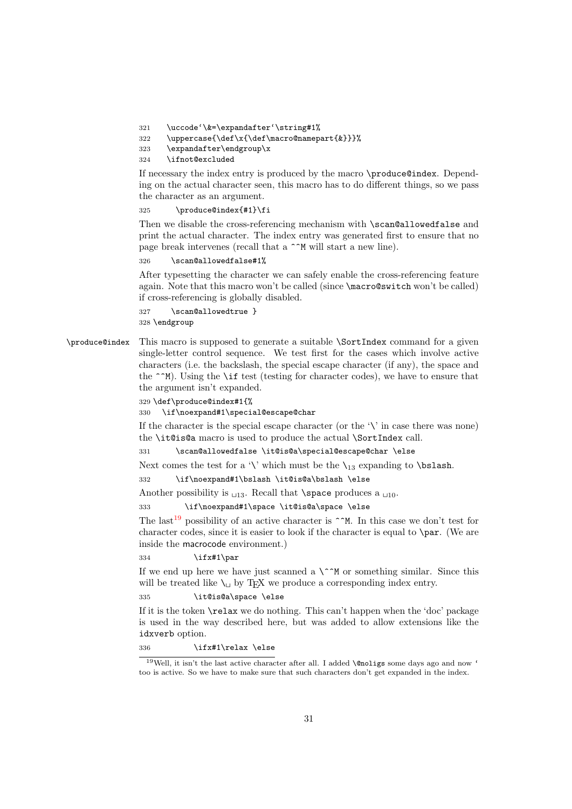- <span id="page-30-13"></span><span id="page-30-1"></span>321 \uccode'\&=\expandafter'\string#1%
- <span id="page-30-7"></span>322 \uppercase{\def\x{\def\macro@namepart{&}}}%
- 323 \expandafter\endgroup\x
- <span id="page-30-3"></span>324 \ifnot@excluded

If necessary the index entry is produced by the macro \produce@index. Depending on the actual character seen, this macro has to do different things, so we pass the character as an argument.

#### <span id="page-30-8"></span>325 \produce@index{#1}\fi

Then we disable the cross-referencing mechanism with \scan@allowedfalse and print the actual character. The index entry was generated first to ensure that no page break intervenes (recall that a  $\hat{\ }$ M will start a new line).

<span id="page-30-10"></span>326 \scan@allowedfalse#1%

After typesetting the character we can safely enable the cross-referencing feature again. Note that this macro won't be called (since \macro@switch won't be called) if cross-referencing is globally disabled.

```
327 \scan@allowedtrue }
328 \endgroup
```
<span id="page-30-9"></span>\produce@index This macro is supposed to generate a suitable \SortIndex command for a given single-letter control sequence. We test first for the cases which involve active characters (i.e. the backslash, the special escape character (if any), the space and the  $\hat{\phantom{a}}$ M). Using the **\if** test (testing for character codes), we have to ensure that the argument isn't expanded.

329 \def\produce@index#1{%

```
330 \if\noexpand#1\special@escape@char
```
If the character is the special escape character (or the  $\forall$  in case there was none) the \it@is@a macro is used to produce the actual \SortIndex call.

<span id="page-30-4"></span>331 \scan@allowedfalse \it@is@a\special@escape@char \else

Next comes the test for a '\' which must be the  $\lambda_{13}$  expanding to  $\lambda$ bslash.

<span id="page-30-2"></span>332 \if\noexpand#1\bslash \it@is@a\bslash \else

Another possibility is  $\sqcup_{13}$ . Recall that **\space** produces a  $\sqcup_{10}$ .

<span id="page-30-5"></span>333 \if\noexpand#1\space \it@is@a\space \else

The last<sup>[19](#page-30-0)</sup> possibility of an active character is  $\hat{}$   $\hat{}$ M. In this case we don't test for character codes, since it is easier to look if the character is equal to \par. (We are inside the macrocode environment.)

334 \ifx#1\par

If we end up here we have just scanned a  $\\^n$  or something similar. Since this will be treated like  $\setminus_{\sqcup}$  by T<sub>E</sub>X we produce a corresponding index entry.

#### <span id="page-30-6"></span>335 \it@is@a\space \else

If it is the token \relax we do nothing. This can't happen when the 'doc' package is used in the way described here, but was added to allow extensions like the idxverb option.

336 \ifx#1\relax \else

<span id="page-30-0"></span> $^{19}\rm{Well}$  it isn't the last active character after all. I added **\@noligs** some days ago and now ' too is active. So we have to make sure that such characters don't get expanded in the index.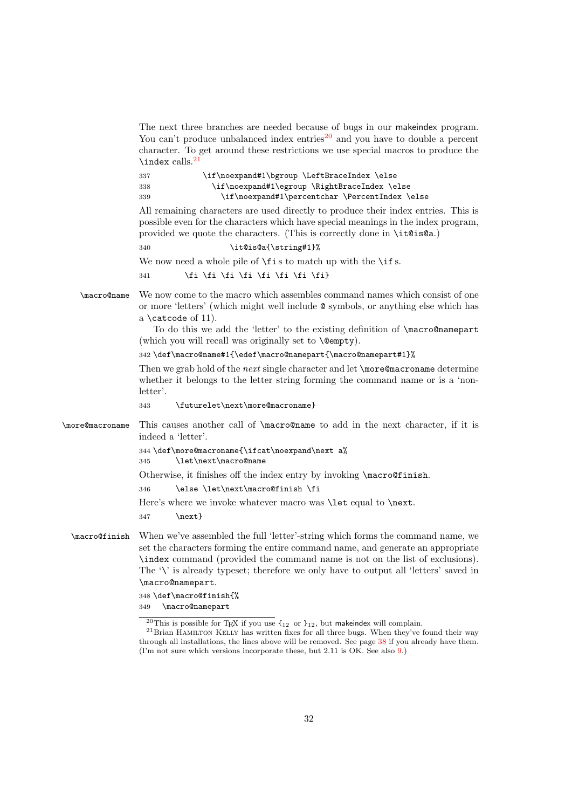<span id="page-31-13"></span><span id="page-31-12"></span><span id="page-31-8"></span><span id="page-31-6"></span><span id="page-31-3"></span><span id="page-31-2"></span>

|                 | The next three branches are needed because of bugs in our make index program.<br>You can't produce unbalanced index entries <sup>20</sup> and you have to double a percent<br>character. To get around these restrictions we use special macros to produce the<br>$\langle$ index calls. <sup>21</sup>                                                      |
|-----------------|-------------------------------------------------------------------------------------------------------------------------------------------------------------------------------------------------------------------------------------------------------------------------------------------------------------------------------------------------------------|
|                 | \if\noexpand#1\bgroup \LeftBraceIndex \else<br>337<br>\if\noexpand#1\egroup \RightBraceIndex \else<br>338<br>\if\noexpand#1\percentchar \PercentIndex \else<br>339                                                                                                                                                                                          |
|                 | All remaining characters are used directly to produce their index entries. This is<br>possible even for the characters which have special meanings in the index program,<br>provided we quote the characters. (This is correctly done in \it@is@a.)                                                                                                         |
|                 | \it@is@a{\string#1}%<br>340                                                                                                                                                                                                                                                                                                                                 |
|                 | We now need a whole pile of $\text{is}$ to match up with the $\text{is}$ .                                                                                                                                                                                                                                                                                  |
|                 | \fi \fi \fi \fi \fi \fi \fi \fi}<br>341                                                                                                                                                                                                                                                                                                                     |
| \macro@name     | We now come to the macro which assembles command names which consist of one<br>or more 'letters' (which might well include $\&$ symbols, or anything else which has<br>a $\c{actcode of 11}.$<br>To do this we add the 'letter' to the existing definition of \macro@namepart                                                                               |
|                 | (which you will recall was originally set to <b>\@empty</b> ).                                                                                                                                                                                                                                                                                              |
|                 | 342 \def\macro@name#1{\edef\macro@namepart{\macro@namepart#1}%                                                                                                                                                                                                                                                                                              |
|                 | Then we grab hold of the <i>next</i> single character and let $\omega$ creen acroname determine<br>whether it belongs to the letter string forming the command name or is a 'non-<br>letter'.                                                                                                                                                               |
|                 | \futurelet\next\more@macroname}<br>343                                                                                                                                                                                                                                                                                                                      |
| \more@macroname | This causes another call of $\langle$ macro@name to add in the next character, if it is<br>indeed a 'letter'.                                                                                                                                                                                                                                               |
|                 | 344 \def\more@macroname{\ifcat\noexpand\next a%<br>\let\next\macro@name<br>345                                                                                                                                                                                                                                                                              |
|                 | Otherwise, it finishes off the index entry by invoking <i>\macro@finish</i> .                                                                                                                                                                                                                                                                               |
|                 | \else \let\next\macro@finish \fi<br>346                                                                                                                                                                                                                                                                                                                     |
|                 | Here's where we invoke whatever macro was <b>\let</b> equal to <b>\next</b> .<br>$\text{next}$<br>347                                                                                                                                                                                                                                                       |
| \macro@finish   | When we've assembled the full 'letter'-string which forms the command name, we<br>set the characters forming the entire command name, and generate an appropriate<br>index command (provided the command name is not on the list of exclusions).<br>The '\' is already typeset; therefore we only have to output all 'letters' saved in<br>\macro@namepart. |
|                 | 348 \def\macro@finish{%<br>\macro@namepart<br>349                                                                                                                                                                                                                                                                                                           |
|                 | <sup>20</sup> This is possible for T <sub>E</sub> X if you use $\mathfrak{t}_{12}$ or $\mathfrak{t}_{12}$ , but makeindex will complain.<br>$^{21}$ Brian HAMILTON KELLY has written fixes for all three bugs. When they've found their way                                                                                                                 |

<span id="page-31-11"></span><span id="page-31-10"></span><span id="page-31-9"></span><span id="page-31-7"></span><span id="page-31-5"></span><span id="page-31-4"></span><span id="page-31-1"></span><span id="page-31-0"></span>through all installations, the lines above will be removed. See page [38](#page-34-0) if you already have them. (I'm not sure which versions incorporate these, but 2.11 is OK. See also [9.](#page-7-0))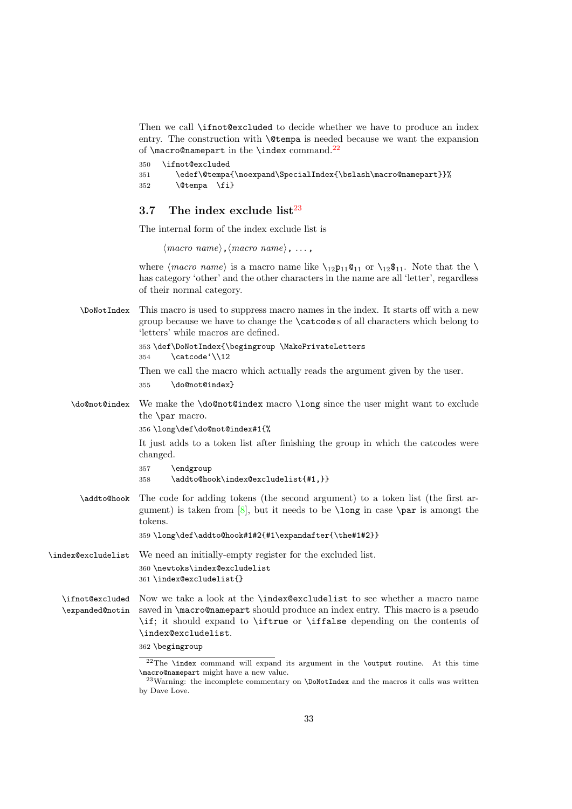<span id="page-32-14"></span>Then we call \ifnot@excluded to decide whether we have to produce an index entry. The construction with \@tempa is needed because we want the expansion of  $\m{macro@namepart}$  in the  $\imath$ ndex command.<sup>[22](#page-32-1)</sup>

```
350 \ifnot@excluded
351 \edef\@tempa{\noexpand\SpecialIndex{\bslash\macro@namepart}}%
352 \@tempa \fi}
```
### <span id="page-32-0"></span>3.7 The index exclude list $^{23}$  $^{23}$  $^{23}$

The internal form of the index exclude list is

 $\langle macro\ name\rangle, \langle macro\ name\rangle, \ldots,$ 

where  $\langle macro\ name\rangle$  is a macro name like  $\iota_{12}p_{11}@_{11}$  or  $\iota_{12}s_{11}$ . Note that the  $\iota$ has category 'other' and the other characters in the name are all 'letter', regardless of their normal category.

<span id="page-32-8"></span>\DoNotIndex This macro is used to suppress macro names in the index. It starts off with a new group because we have to change the \catcode s of all characters which belong to 'letters' while macros are defined. 353 \def\DoNotIndex{\begingroup \MakePrivateLetters

```
354 \catcode'\\12
```
Then we call the macro which actually reads the argument given by the user.

<span id="page-32-6"></span>355 \do@not@index}

<span id="page-32-7"></span>\do@not@index We make the \do@not@index macro \long since the user might want to exclude the \par macro.

356 \long\def\do@not@index#1{%

It just adds to a token list after finishing the group in which the catcodes were changed.

```
357 \endgroup
```
<span id="page-32-3"></span>358 \addto@hook\index@excludelist{#1,}}

<span id="page-32-4"></span>\addto@hook The code for adding tokens (the second argument) to a token list (the first argument) is taken from  $[8]$ , but it needs to be **\long** in case **\par** is amongt the tokens.

359 \long\def\addto@hook#1#2{#1\expandafter{\the#1#2}}

<span id="page-32-12"></span>\index@excludelist We need an initially-empty register for the excluded list. 360 \newtoks\index@excludelist 361 \index@excludelist{}

<span id="page-32-11"></span><span id="page-32-9"></span>\ifnot@excluded \expanded@notin Now we take a look at the \index@excludelist to see whether a macro name saved in **\macro@namepart** should produce an index entry. This macro is a pseudo \if; it should expand to \iftrue or \iffalse depending on the contents of \index@excludelist.

<sup>362</sup> \begingroup

<span id="page-32-1"></span><sup>22</sup>The \index command will expand its argument in the \output routine. At this time \macro@namepart might have a new value.

<span id="page-32-2"></span><sup>&</sup>lt;sup>23</sup>Warning: the incomplete commentary on **\DoNotIndex** and the macros it calls was written by Dave Love.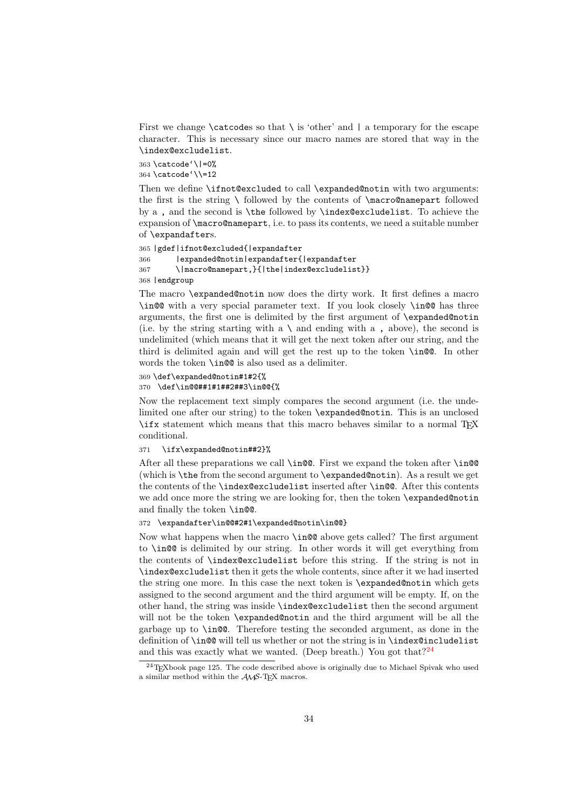<span id="page-33-5"></span>First we change  $\text{Catcodes}$  so that  $\iota$  is 'other' and  $\iota$  a temporary for the escape character. This is necessary since our macro names are stored that way in the \index@excludelist.

<span id="page-33-1"></span>363 \catcode'\|=0% 364 \catcode'\\=12

Then we define \ifnot@excluded to call \expanded@notin with two arguments: the first is the string  $\setminus$  followed by the contents of  $\mbox{macro@namepart}$  followed by a , and the second is \the followed by \index@excludelist. To achieve the expansion of \macro@namepart, i.e. to pass its contents, we need a suitable number of \expandafters.

```
365 |gdef|ifnot@excluded{|expandafter
366 |expanded@notin|expandafter{|expandafter
367 \|macro@namepart,}{|the|index@excludelist}}
368 |endgroup
```
The macro \expanded@notin now does the dirty work. It first defines a macro \in@@ with a very special parameter text. If you look closely \in@@ has three arguments, the first one is delimited by the first argument of \expanded@notin (i.e. by the string starting with a  $\setminus$  and ending with a , above), the second is undelimited (which means that it will get the next token after our string, and the third is delimited again and will get the rest up to the token \in@@. In other words the token \in@@ is also used as a delimiter.

```
369 \def\expanded@notin#1#2{%
370 \def\in@@##1#1##2##3\in@@{%
```
Now the replacement text simply compares the second argument (i.e. the undelimited one after our string) to the token \expanded@notin. This is an unclosed \ifx statement which means that this macro behaves similar to a normal TEX conditional.

#### 371 \ifx\expanded@notin##2}%

After all these preparations we call \in@@. First we expand the token after \in@@ (which is \the from the second argument to \expanded@notin). As a result we get the contents of the \index@excludelist inserted after \in@@. After this contents we add once more the string we are looking for, then the token \expanded@notin and finally the token \in@@.

#### <span id="page-33-3"></span>372 \expandafter\in@@#2#1\expanded@notin\in@@}

Now what happens when the macro \in@@ above gets called? The first argument to \in@@ is delimited by our string. In other words it will get everything from the contents of \index@excludelist before this string. If the string is not in \index@excludelist then it gets the whole contents, since after it we had inserted the string one more. In this case the next token is \expanded@notin which gets assigned to the second argument and the third argument will be empty. If, on the other hand, the string was inside \index@excludelist then the second argument will not be the token **\expanded@notin** and the third argument will be all the garbage up to \in@@. Therefore testing the seconded argument, as done in the definition of \in@@ will tell us whether or not the string is in \index@includelist and this was exactly what we wanted. (Deep breath.) You got that  $2^{24}$  $2^{24}$  $2^{24}$ 

<span id="page-33-0"></span> $^{24}$ T<sub>E</sub>Xbook page 125. The code described above is originally due to Michael Spivak who used a similar method within the  $\mathcal{A}\mathcal{N} \mathcal{S}\text{-}\mathrm{T}\mathrm{E}\mathrm{X}$  macros.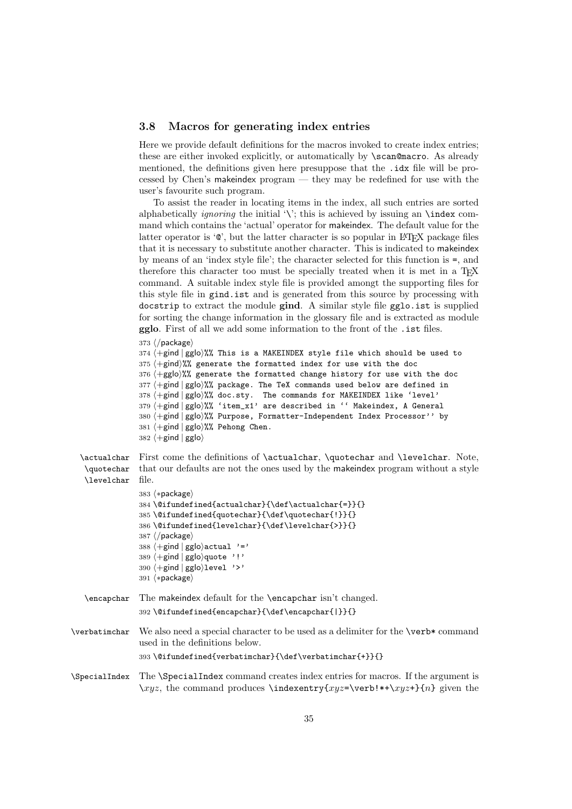#### <span id="page-34-7"></span><span id="page-34-0"></span>3.8 Macros for generating index entries

Here we provide default definitions for the macros invoked to create index entries; these are either invoked explicitly, or automatically by \scan@macro. As already mentioned, the definitions given here presuppose that the .idx file will be processed by Chen's makeindex program — they may be redefined for use with the user's favourite such program.

To assist the reader in locating items in the index, all such entries are sorted alphabetically *ignoring* the initial '\'; this is achieved by issuing an \index command which contains the 'actual' operator for makeindex. The default value for the latter operator is  $\circledcirc$ , but the latter character is so popular in LAT<sub>EX</sub> package files that it is necessary to substitute another character. This is indicated to makeindex by means of an 'index style file'; the character selected for this function is =, and therefore this character too must be specially treated when it is met in a T<sub>E</sub>X command. A suitable index style file is provided amongt the supporting files for this style file in gind.ist and is generated from this source by processing with docstrip to extract the module gind. A similar style file gglo.ist is supplied for sorting the change information in the glossary file and is extracted as module gglo. First of all we add some information to the front of the .ist files.

373 ⟨/package⟩

```
374 \pmgind | gglo\frac{9}{2} This is a MAKEINDEX style file which should be used to
375 \left( + \text{gind} \right)%% generate the formatted index for use with the doc
376 ⟨+gglo⟩%% generate the formatted change history for use with the doc
377 \left\langle +\text{gind} \right| \text{gglo}\right\rangle\text{W}, package. The TeX commands used below are defined in
378 ⟨+gind | gglo⟩%% doc.sty. The commands for MAKEINDEX like 'level'
379 ⟨+gind | gglo⟩%% 'item_x1' are described in '' Makeindex, A General
380 ⟨+gind | gglo⟩%% Purpose, Formatter-Independent Index Processor'' by
381 ⟨+gind | gglo⟩%% Pehong Chen.
382 \langle +gind | gglo\rangle
```

```
\actualchar
\quotechar
\levelchar
             First come the definitions of \actualchar, \quotechar and \levelchar. Note,
             that our defaults are not the ones used by the makeindex program without a style
            file.
```

```
383 ⟨∗package⟩
384 \@ifundefined{actualchar}{\def\actualchar{=}}{}
385 \@ifundefined{quotechar}{\def\quotechar{!}}{}
386 \@ifundefined{levelchar}{\def\levelchar{>}}{}
387 ⟨/package⟩
388 \left\langle +\text{gind} \mid \text{gglo}\right\rangleactual '='
389 ⟨+gind | gglo⟩quote '!'
390 ⟨+gind | gglo⟩level '>'
391 ⟨∗package⟩
```

```
\encapchar The makeindex default for the \encapchar isn't changed.
            392 \@ifundefined{encapchar}{\def\encapchar{|}}{}
```
- <span id="page-34-6"></span>\verbatimchar We also need a special character to be used as a delimiter for the \verb\* command used in the definitions below. 393 \@ifundefined{verbatimchar}{\def\verbatimchar{+}}{}
- <span id="page-34-5"></span>\SpecialIndex The \SpecialIndex command creates index entries for macros. If the argument is  $\xyz$ , the command produces  $\index{xyz=\verb|verb|!*+\xyz+}{n}$  given the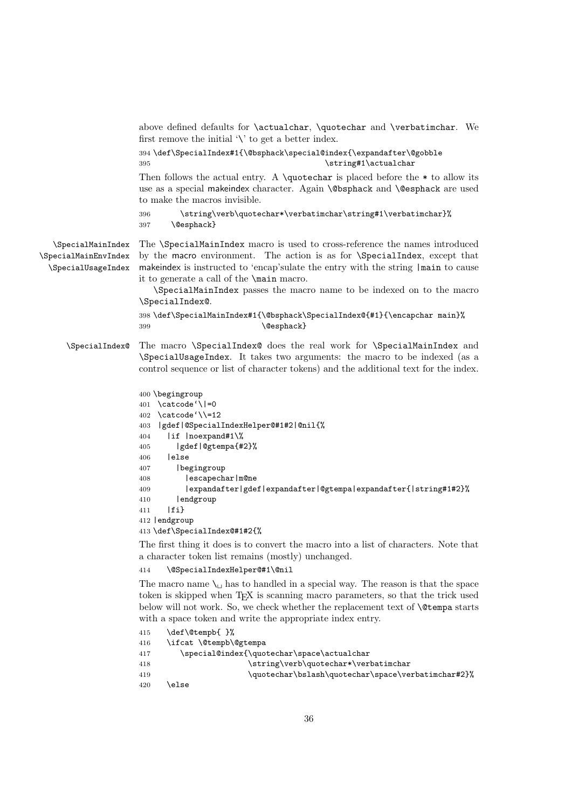<span id="page-35-14"></span>above defined defaults for \actualchar, \quotechar and \verbatimchar. We first remove the initial  $\Diamond$  to get a better index.

<span id="page-35-9"></span><span id="page-35-3"></span>394 \def\SpecialIndex#1{\@bsphack\special@index{\expandafter\@gobble 395 \string#1\actualchar

Then follows the actual entry. A \quotechar is placed before the  $*$  to allow its use as a special makeindex character. Again \@bsphack and \@esphack are used to make the macros invisible.

```
396 \verb|\string\verb|\qnotechar*|\verb|verbatinchar|string#1\verb|\verb|berbatinchar}|%397 \@esphack}
```
<span id="page-35-13"></span><span id="page-35-12"></span><span id="page-35-11"></span>\SpecialMainIndex \SpecialMainEnvIndex \SpecialUsageIndex

The \SpecialMainIndex macro is used to cross-reference the names introduced by the macro environment. The action is as for \SpecialIndex, except that makeindex is instructed to 'encap'sulate the entry with the string |main to cause it to generate a call of the \main macro.

\SpecialMainIndex passes the macro name to be indexed on to the macro \SpecialIndex@.

```
398 \def\SpecialMainIndex#1{\@bsphack\SpecialIndex@{#1}{\encapchar main}%
399 \@esphack}
```
<span id="page-35-10"></span>\SpecialIndex@ The macro \SpecialIndex@ does the real work for \SpecialMainIndex and \SpecialUsageIndex. It takes two arguments: the macro to be indexed (as a control sequence or list of character tokens) and the additional text for the index.

```
400 \begingroup
401 \catcode'\|=0
402 \catcode'\\=12
403 |gdef|@SpecialIndexHelper@#1#2|@nil{%
404 |if |noexpand#1\%
405 |gdef|@gtempa{#2}%
406 |else
407 |begingroup
408 |escapechar|m@ne
409 |expandafter|gdef|expandafter|@gtempa|expandafter{|string#1#2}%
410 | endgroup
411 |fi}
412 |endgroup
413 \def\SpecialIndex@#1#2{%
```
The first thing it does is to convert the macro into a list of characters. Note that a character token list remains (mostly) unchanged.

```
414 \@SpecialIndexHelper@#1\@nil
```
The macro name  $\setminus_{\sqcup}$  has to handled in a special way. The reason is that the space token is skipped when TEX is scanning macro parameters, so that the trick used below will not work. So, we check whether the replacement text of  $\Diamond$ tempa starts with a space token and write the appropriate index entry.

```
415 \def\@tempb{ }%
416 \ifcat \@tempb\@gtempa
417 \special@index{\quotechar\space\actualchar
418 \string\verb\quotechar*\verbatimchar
419 \quotechar\bslash\quotechar\space\verbatimchar#2}%
420 \else
```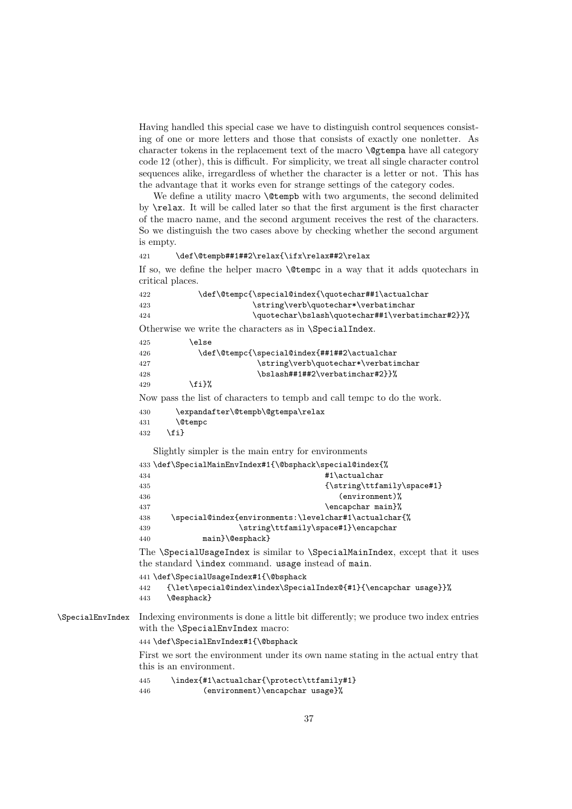<span id="page-36-17"></span>Having handled this special case we have to distinguish control sequences consisting of one or more letters and those that consists of exactly one nonletter. As character tokens in the replacement text of the macro **\@gtempa** have all category code 12 (other), this is difficult. For simplicity, we treat all single character control sequences alike, irregardless of whether the character is a letter or not. This has the advantage that it works even for strange settings of the category codes.

We define a utility macro **\@tempb** with two arguments, the second delimited by \relax. It will be called later so that the first argument is the first character of the macro name, and the second argument receives the rest of the characters. So we distinguish the two cases above by checking whether the second argument is empty.

```
421 \def\@tempb##1##2\relax{\ifx\relax##2\relax
```
If so, we define the helper macro \@tempc in a way that it adds quotechars in critical places.

```
422 \def\@tempc{\special@index{\quotechar##1\actualchar
423 \string\verb\quotechar*\verbatimchar
424 \quotechar\bslash\quotechar##1\verbatimchar#2}}%
```
<span id="page-36-6"></span>Otherwise we write the characters as in \SpecialIndex.

<span id="page-36-13"></span><span id="page-36-1"></span>

| 425 | \else |                                              |
|-----|-------|----------------------------------------------|
| 426 |       | \def\@tempc{\special@index{##1##2\actualchar |
| 427 |       | \string\verb\quotechar*\verbatimchar         |
| 428 |       | \bslash##1##2\verbatimchar#2}}%              |
| 429 | \fi}% |                                              |

<span id="page-36-7"></span>Now pass the list of characters to tempb and call tempc to do the work.

```
430 \expandafter\@tempb\@gtempa\relax
431 \@tempc
432 \{f_i\}
```
<span id="page-36-16"></span><span id="page-36-14"></span><span id="page-36-3"></span>Slightly simpler is the main entry for environments

```
433 \def\SpecialMainEnvIndex#1{\@bsphack\special@index{%
434 #1\actualchar
435 {\text{String\text{tfamily}\space}}436 (environment)%
437 \encapchar main}%
438 \special@index{environments:\levelchar#1\actualchar{%
439 \string\ttfamily\space#1}\encapchar
440 main}\@esphack}
The \SpecialUsageIndex is similar to \SpecialMainIndex, except that it uses
the standard \index command. usage instead of main.
441 \def\SpecialUsageIndex#1{\@bsphack
442 {\let\special@index\index\SpecialIndex@{#1}{\encapchar usage}}%
443 \@esphack}
```
<span id="page-36-15"></span>\SpecialEnvIndex Indexing environments is done a little bit differently; we produce two index entries with the \SpecialEnvIndex macro:

<span id="page-36-10"></span>444 \def\SpecialEnvIndex#1{\@bsphack

First we sort the environment under its own name stating in the actual entry that this is an environment.

```
445 \index{#1\actualchar{\protect\ttfamily#1}
446 (environment)\encapchar usage}%
```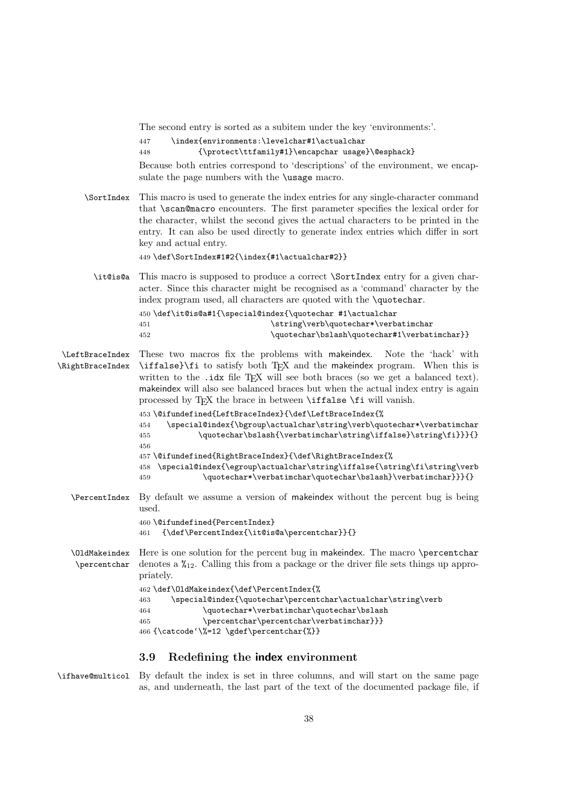<span id="page-37-25"></span>The second entry is sorted as a subitem under the key 'environments:'.

<span id="page-37-2"></span>447 \index{environments:\levelchar#1\actualchar

```
448 {\protect\ttfamily#1}\encapchar usage}\@esphack}
```
Because both entries correspond to 'descriptions' of the environment, we encapsulate the page numbers with the **\usage** macro.

<span id="page-37-23"></span>\SortIndex This macro is used to generate the index entries for any single-character command that **\scan@macro** encounters. The first parameter specifies the lexical order for the character, whilst the second gives the actual characters to be printed in the entry. It can also be used directly to generate index entries which differ in sort key and actual entry.

<span id="page-37-3"></span>449 \def\SortIndex#1#2{\index{#1\actualchar#2}}

<span id="page-37-14"></span>\it@is@a This macro is supposed to produce a correct \SortIndex entry for a given character. Since this character might be recognised as a 'command' character by the index program used, all characters are quoted with the \quotechar.

<span id="page-37-21"></span><span id="page-37-8"></span><span id="page-37-4"></span>

|     | 450 \def\it@is@a#1{\special@index{\quotechar #1\actualchar |
|-----|------------------------------------------------------------|
| 451 | \string\verb\quotechar*\verbatimchar                       |
| 452 | \quotechar\bslash\quotechar#1\verbatimchar}}               |

<span id="page-37-22"></span><span id="page-37-16"></span>\LeftBraceIndex These two macros fix the problems with makeindex. Note the 'hack' with \RightBraceIndex \iffalse}\fi to satisfy both TEX and the makeindex program. When this is written to the  $.idx$  file T<sub>E</sub>X will see both braces (so we get a balanced text). makeindex will also see balanced braces but when the actual index entry is again processed by TEX the brace in between **\iffalse \fi** will vanish.

```
453 \@ifundefined{LeftBraceIndex}{\def\LeftBraceIndex{%
454 \special@index{\bgroup\actualchar\string\verb\quotechar*\verbatimchar
455 \quotechar\bslash{\verbatimchar\string\iffalse}\string\fi}}}{}
456
457 \@ifundefined{RightBraceIndex}{\def\RightBraceIndex{%
458 \special@index{\egroup\actualchar\string\iffalse{\string\fi\string\verb
459 \quotechar*\verbatimchar\quotechar\bslash}\verbatimchar}}}{}
```
<span id="page-37-19"></span>\PercentIndex By default we assume a version of makeindex without the percent bug is being used.

```
460 \@ifundefined{PercentIndex}
461 {\def\PercentIndex{\it@is@a\percentchar}}{}
```
<span id="page-37-18"></span><span id="page-37-17"></span>\OldMakeindex \percentchar Here is one solution for the percent bug in makeindex. The macro \percentchar denotes a  $\chi_{12}$ . Calling this from a package or the driver file sets things up appropriately.

```
462 \def\OldMakeindex{\def\PercentIndex{%
463 \special@index{\quotechar\percentchar\actualchar\string\verb
464 \verb+\quotechar*+verbatinchar\quotechar\bslash465 \percentchar\percentchar\verbatimchar}}}
466 {\catcode'\%=12 \gdef\percentchar{%}}
```
#### <span id="page-37-1"></span><span id="page-37-0"></span>3.9 Redefining the index environment

<span id="page-37-13"></span>\ifhave@multicol By default the index is set in three columns, and will start on the same page as, and underneath, the last part of the text of the documented package file, if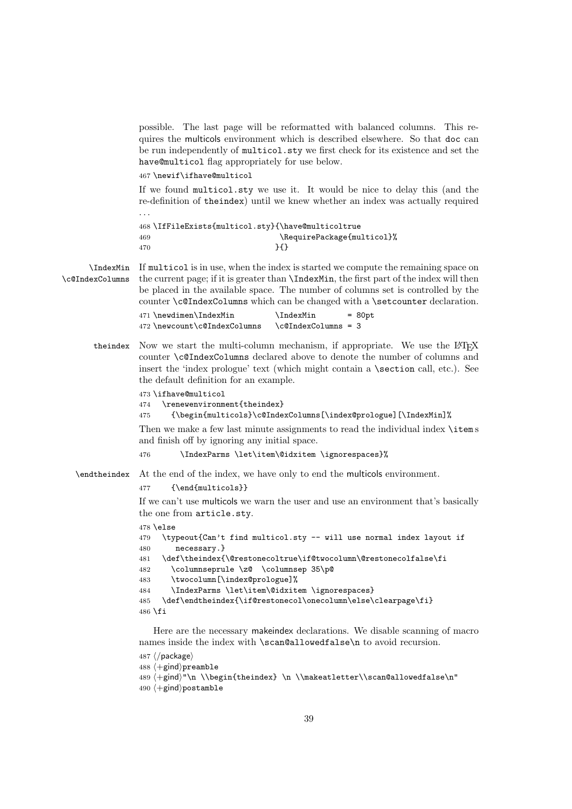<span id="page-38-14"></span>possible. The last page will be reformatted with balanced columns. This requires the multicols environment which is described elsewhere. So that doc can be run independently of multicol.sty we first check for its existence and set the have@multicol flag appropriately for use below.

<span id="page-38-12"></span>467 \newif\ifhave@multicol

If we found multicol.sty we use it. It would be nice to delay this (and the re-definition of theindex) until we knew whether an index was actually required . . .

<span id="page-38-13"></span><span id="page-38-8"></span>468 \IfFileExists{multicol.sty}{\have@multicoltrue 469 \RequirePackage{multicol}%  $470$   $}$ 

<span id="page-38-11"></span><span id="page-38-3"></span>\IndexMin If multicol is in use, when the index is started we compute the remaining space on \c@IndexColumns the current page; if it is greater than \IndexMin, the first part of the index will then be placed in the available space. The number of columns set is controlled by the counter \c@IndexColumns which can be changed with a \setcounter declaration.

<span id="page-38-7"></span>

| 471 \newdimen\IndexMin       | <b>\IndexMin</b>         | $= 80pt$ |
|------------------------------|--------------------------|----------|
| 472 \newcount\c@IndexColumns | $\c{ofIndexColumns} = 3$ |          |

theindex Now we start the multi-column mechanism, if appropriate. We use the L<sup>AT</sup>FX counter \c@IndexColumns declared above to denote the number of columns and insert the 'index prologue' text (which might contain a \section call, etc.). See the default definition for an example.

```
473 \ifhave@multicol
```
474 \renewenvironment{theindex}

```
475 {\begin{multicols}\c@IndexColumns[\index@prologue][\IndexMin]%
```
Then we make a few last minute assignments to read the individual index \items and finish off by ignoring any initial space.

```
476 \IndexParms \let\item\@idxitem \ignorespaces}%
```
<span id="page-38-6"></span>\endtheindex At the end of the index, we have only to end the multicols environment.

#### 477 {\end{multicols}}

If we can't use multicols we warn the user and use an environment that's basically the one from article.sty.

 $478$   $\lambda$ else

```
479 \typeout{Can't find multicol.sty -- will use normal index layout if
480 necessary.}
481 \def\theindex{\@restonecoltrue\if@twocolumn\@restonecolfalse\fi
482 \columnseprule \z@ \columnsep 35\p@
483 \twocolumn[\index@prologue]%
484 \IndexParms \let\item\@idxitem \ignorespaces}
485 \def\endtheindex{\if@restonecol\onecolumn\else\clearpage\fi}
486 \fi
```
<span id="page-38-1"></span>Here are the necessary makeindex declarations. We disable scanning of macro names inside the index with \scan@allowedfalse\n to avoid recursion.

```
487 ⟨/package⟩
488 ⟨+gind⟩preamble
489 ⟨+gind⟩"\n \\begin{theindex} \n \\makeatletter\\scan@allowedfalse\n"
490 ⟨+gind⟩postamble
```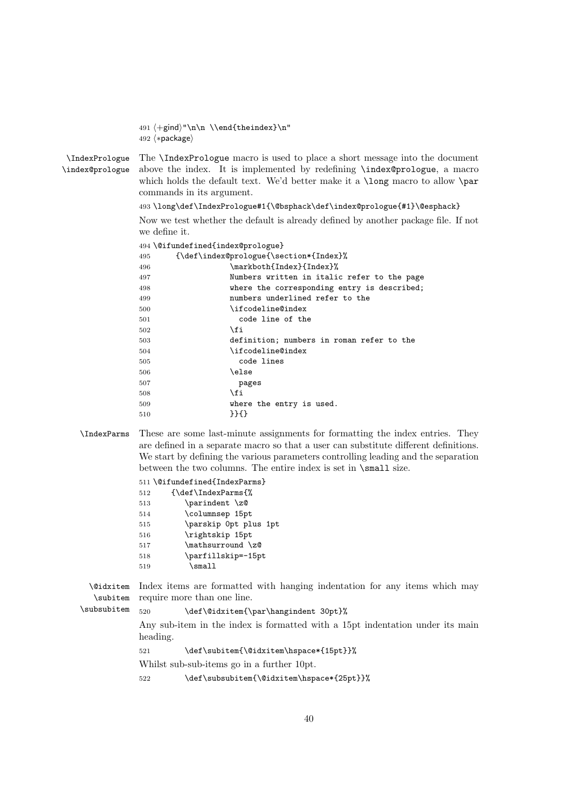491 ⟨+gind⟩"\n\n \\end{theindex}\n" 492 ⟨∗package⟩

<span id="page-39-6"></span><span id="page-39-4"></span>\IndexPrologue \index@prologue The \IndexPrologue macro is used to place a short message into the document above the index. It is implemented by redefining \index@prologue, a macro which holds the default text. We'd better make it a **\long** macro to allow **\par** commands in its argument.

493 \long\def\IndexPrologue#1{\@bsphack\def\index@prologue{#1}\@esphack}

Now we test whether the default is already defined by another package file. If not we define it.

<span id="page-39-2"></span>

|     | 494 \@ifundefined{index@prologue}           |
|-----|---------------------------------------------|
| 495 | {\def\index@prologue{\section*{Index}%      |
| 496 | \markboth{Index}{Index}%                    |
| 497 | Numbers written in italic refer to the page |
| 498 | where the corresponding entry is described; |
| 499 | numbers underlined refer to the             |
| 500 | \ifcodeline@index                           |
| 501 | code line of the                            |
| 502 | \fi                                         |
| 503 | definition; numbers in roman refer to the   |
| 504 | \ifcodeline@index                           |
| 505 | code lines                                  |
| 506 | \else                                       |
| 507 | pages                                       |
| 508 | \fi                                         |
| 509 | where the entry is used.                    |
| 510 | $}$                                         |

<span id="page-39-5"></span><span id="page-39-3"></span>\IndexParms These are some last-minute assignments for formatting the index entries. They are defined in a separate macro so that a user can substitute different definitions. We start by defining the various parameters controlling leading and the separation between the two columns. The entire index is set in \small size.

<span id="page-39-1"></span>

|     | 511 \@ifundefined{IndexParms} |
|-----|-------------------------------|
| 512 | {\def\IndexParms{%            |
| 513 | \parindent \z@                |
| 514 | \columnsep 15pt               |
| 515 | \parskip Opt plus 1pt         |
| 516 | \rightskip 15pt               |
| 517 | \mathsurround \z@             |
| 518 | \parfillskip=-15pt            |
| 519 | $\sum_{\text{small}}$         |
|     |                               |

<span id="page-39-7"></span><span id="page-39-0"></span>\@idxitem Index items are formatted with hanging indentation for any items which may \subitem require more than one line.

#### <span id="page-39-8"></span>\subsubitem 520 \def\@idxitem{\par\hangindent 30pt}%

Any sub-item in the index is formatted with a 15pt indentation under its main heading.

521 \def\subitem{\@idxitem\hspace\*{15pt}}%

Whilst sub-sub-items go in a further 10pt.

522 \def\subsubitem{\@idxitem\hspace\*{25pt}}%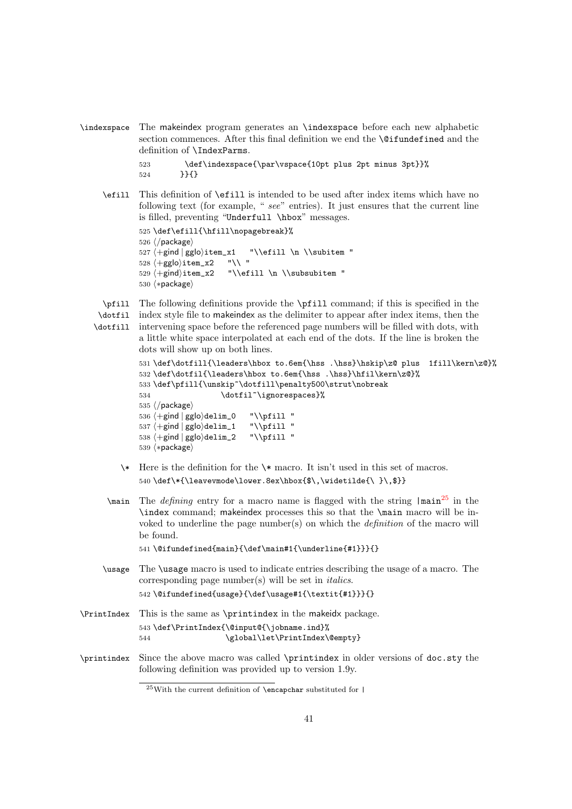<span id="page-40-14"></span><span id="page-40-7"></span>\indexspace The makeindex program generates an \indexspace before each new alphabetic section commences. After this final definition we end the **\@ifundefined** and the definition of \IndexParms.

```
523 \def\indexspace{\par\vspace{10pt plus 2pt minus 3pt}}%
524 }}{}
```
<span id="page-40-6"></span>\efill This definition of \efill is intended to be used after index items which have no following text (for example, " see" entries). It just ensures that the current line is filled, preventing "Underfull \hbox" messages.

```
525 \def\efill{\hfill\nopagebreak}%
526 ⟨/package⟩
527 +\gin d | gglo\rangle item_x1 \t\t\{+gilo\}item_x2 \t\t\{+gglo\}item_x2 \t\t\}'528 \langle +gg|o\rangleitem_x2
529 ⟨+gind⟩item_x2 "\\efill \n \\subsubitem "
530 ⟨∗package⟩
```
dots will show up on both lines.

<span id="page-40-9"></span><span id="page-40-5"></span><span id="page-40-4"></span>\pfill The following definitions provide the \pfill command; if this is specified in the \dotfil index style file to makeindex as the delimiter to appear after index items, then the \dotfill intervening space before the referenced page numbers will be filled with dots, with a little white space interpolated at each end of the dots. If the line is broken the

```
531 \def\dotfill{\leaders\hbox to.6em{\hss .\hss}\hskip\z@ plus 1fill\kern\z@}%
532 \def\dotfil{\leaders\hbox to.6em{\hss .\hss}\hfil\kern\z@}%
533 \def\pfill{\unskip~\dotfill\penalty500\strut\nobreak
534 \dotfil~\ignorespaces}%
535 ⟨/package⟩
536 ⟨+gind | gglo⟩delim_0 "\\pfill "
537 ⟨+gind | gglo⟩delim_1 "\\pfill "
538 ⟨+gind | gglo⟩delim_2 "\\pfill "
539 ⟨∗package⟩
```
- <span id="page-40-3"></span><span id="page-40-1"></span> $\star$  Here is the definition for the  $\star$  macro. It isn't used in this set of macros. 540 \def\\*{\leavevmode\lower.8ex\hbox{\$\,\widetilde{\ }\,\$}}
- <span id="page-40-8"></span> $\lambda$  The *defining* entry for a macro name is flagged with the string  $|\text{main}^{25}|$  $|\text{main}^{25}|$  $|\text{main}^{25}|$  in the \index command; makeindex processes this so that the \main macro will be invoked to underline the page number(s) on which the definition of the macro will be found.

541 \@ifundefined{main}{\def\main#1{\underline{#1}}}{}

<span id="page-40-13"></span><span id="page-40-12"></span>\usage The \usage macro is used to indicate entries describing the usage of a macro. The corresponding page number(s) will be set in italics. 542 \@ifundefined{usage}{\def\usage#1{\textit{#1}}}{}

```
\PrintIndex This is the same as \printindex in the makeidx package.
           543 \def\PrintIndex{\@input@{\jobname.ind}%
           544 \global\let\PrintIndex\@empty}
```
<span id="page-40-11"></span>\printindex Since the above macro was called \printindex in older versions of doc.sty the following definition was provided up to version 1.9y.

<span id="page-40-0"></span> $^{25}\rm{With}$  the current definition of **\encapchar** substituted for  $|$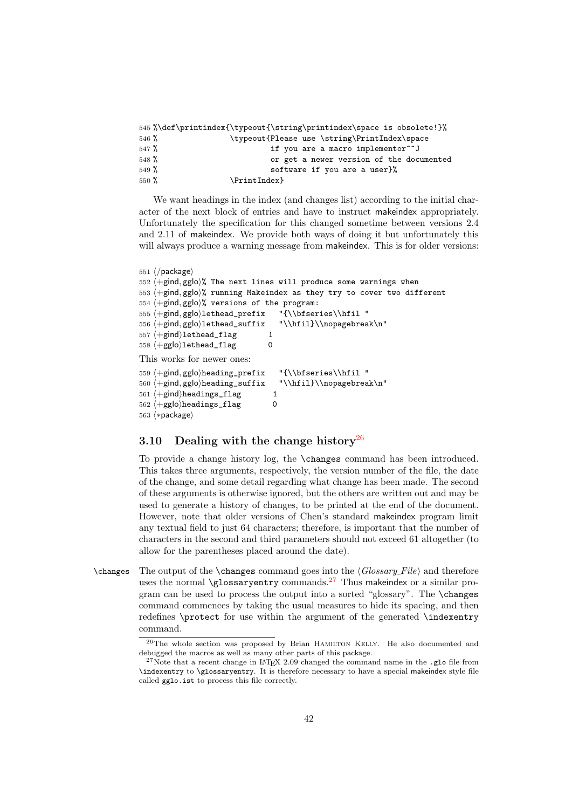<span id="page-41-6"></span><span id="page-41-4"></span>

|                  |              | 545 %\def\printindex{\typeout{\string\printindex\space is obsolete!}% |
|------------------|--------------|-----------------------------------------------------------------------|
| $546\%$          |              | \typeout{Please use \string\PrintIndex\space                          |
| 547 <sup>9</sup> |              | if you are a macro implementor <sup>o</sup> J                         |
| $548\%$          |              | or get a newer version of the documented                              |
| $549\%$          |              | software if you are a user}%                                          |
| $550\%$          | \PrintIndex} |                                                                       |

<span id="page-41-5"></span>We want headings in the index (and changes list) according to the initial character of the next block of entries and have to instruct makeindex appropriately. Unfortunately the specification for this changed sometime between versions 2.4 and 2.11 of makeindex. We provide both ways of doing it but unfortunately this will always produce a warning message from makeindex. This is for older versions:

```
551 ⟨/package⟩
552 \langle +gind, gglo\rangle% The next lines will produce some warnings when
553 ⟨+gind, gglo⟩% running Makeindex as they try to cover two different
554 \langle +gind, gglo\rangle% versions of the program:
555 ⟨+gind, gglo⟩lethead_prefix "{\\bfseries\\hfil "
556 ⟨+gind, gglo⟩lethead_suffix "\\hfil}\\nopagebreak\n"
557 \left\langle +\text{gind} \right\ranglelethead_flag 1
558 \langle +gg|o\ranglelethead_flag 0
This works for newer ones:
559 ⟨+gind, gglo⟩heading_prefix "{\\bfseries\\hfil "
560 ⟨+gind, gglo⟩heading_suffix "\\hfil}\\nopagebreak\n"
561 \langle +\text{gind} \rangleheadings_flag 1
562 \left\langle +gg \right|o\right)headings_flag 0
```
### 563 ⟨∗package⟩

### <span id="page-41-0"></span>3.10 Dealing with the change history<sup>[26](#page-41-1)</sup>

To provide a change history log, the \changes command has been introduced. This takes three arguments, respectively, the version number of the file, the date of the change, and some detail regarding what change has been made. The second of these arguments is otherwise ignored, but the others are written out and may be used to generate a history of changes, to be printed at the end of the document. However, note that older versions of Chen's standard makeindex program limit any textual field to just 64 characters; therefore, is important that the number of characters in the second and third parameters should not exceed 61 altogether (to allow for the parentheses placed around the date).

<span id="page-41-3"></span> $\change$  The output of the  $\change$ s command goes into the  $\angle \G$ lossary File $\rangle$  and therefore uses the normal \glossaryentry commands.<sup>[27](#page-41-2)</sup> Thus makeindex or a similar program can be used to process the output into a sorted "glossary". The \changes command commences by taking the usual measures to hide its spacing, and then redefines \protect for use within the argument of the generated \indexentry command.

<span id="page-41-1"></span> $^{26}$ The whole section was proposed by Brian HAMILTON KELLY. He also documented and debugged the macros as well as many other parts of this package.

<span id="page-41-2"></span> $27$ Note that a recent change in LATEX 2.09 changed the command name in the .glo file from \indexentry to \glossaryentry. It is therefore necessary to have a special makeindex style file called gglo.ist to process this file correctly.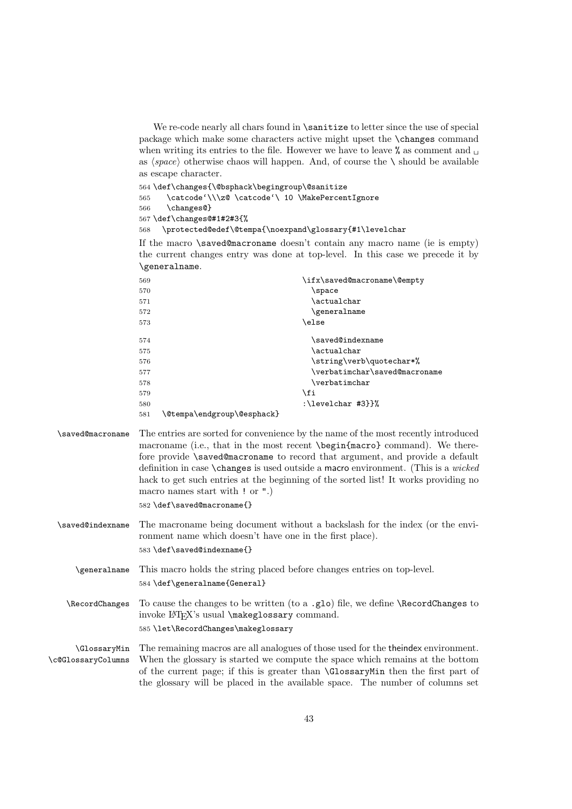<span id="page-42-20"></span>We re-code nearly all chars found in **\sanitize** to letter since the use of special package which make some characters active might upset the \changes command when writing its entries to the file. However we have to leave  $\%$  as comment and  $\Box$ as  $\langle space \rangle$  otherwise chaos will happen. And, of course the  $\setminus$  should be available as escape character.

564 \def\changes{\@bsphack\begingroup\@sanitize

<span id="page-42-0"></span>565 \catcode'\\\z@ \catcode'\ 10 \MakePercentIgnore

<span id="page-42-4"></span>566 \changes@}

<span id="page-42-5"></span>567 \def\changes@#1#2#3{%

<span id="page-42-9"></span>568 \protected@edef\@tempa{\noexpand\glossary{#1\levelchar

If the macro \saved@macroname doesn't contain any macro name (ie is empty) the current changes entry was done at top-level. In this case we precede it by \generalname.

<span id="page-42-17"></span><span id="page-42-16"></span><span id="page-42-14"></span><span id="page-42-12"></span><span id="page-42-6"></span><span id="page-42-2"></span><span id="page-42-1"></span>

| 569 |                            | \ifx\saved@macroname\@empty   |
|-----|----------------------------|-------------------------------|
| 570 |                            | \space                        |
| 571 |                            | \actualchar                   |
| 572 |                            | \generalname                  |
| 573 |                            | \else                         |
| 574 |                            | \saved@indexname              |
| 575 |                            | \actualchar                   |
| 576 |                            | \string\verb\quotechar*%      |
| 577 |                            | \verbatimchar\saved@macroname |
| 578 |                            | \verbatimchar                 |
| 579 |                            | \fi                           |
| 580 |                            | :\levelchar #3}}%             |
| 581 | \@tempa\endgroup\@esphack} |                               |

<span id="page-42-19"></span><span id="page-42-18"></span><span id="page-42-10"></span>\saved@macroname The entries are sorted for convenience by the name of the most recently introduced macroname (i.e., that in the most recent \begin{macro} command). We therefore provide \saved@macroname to record that argument, and provide a default definition in case \changes is used outside a macro environment. (This is a wicked hack to get such entries at the beginning of the sorted list! It works providing no macro names start with ! or ".)

582 \def\saved@macroname{}

<span id="page-42-15"></span>\saved@indexname The macroname being document without a backslash for the index (or the environment name which doesn't have one in the first place). 583 \def\saved@indexname{}

<span id="page-42-7"></span>\generalname This macro holds the string placed before changes entries on top-level. 584 \def\generalname{General}

<span id="page-42-13"></span><span id="page-42-11"></span>\RecordChanges To cause the changes to be written (to a .glo) file, we define \RecordChanges to invoke LAT<sub>E</sub>X's usual **\makeglossary** command. 585 \let\RecordChanges\makeglossary

<span id="page-42-8"></span><span id="page-42-3"></span>\GlossaryMin \c@GlossaryColumns The remaining macros are all analogues of those used for the theindex environment. When the glossary is started we compute the space which remains at the bottom of the current page; if this is greater than \GlossaryMin then the first part of the glossary will be placed in the available space. The number of columns set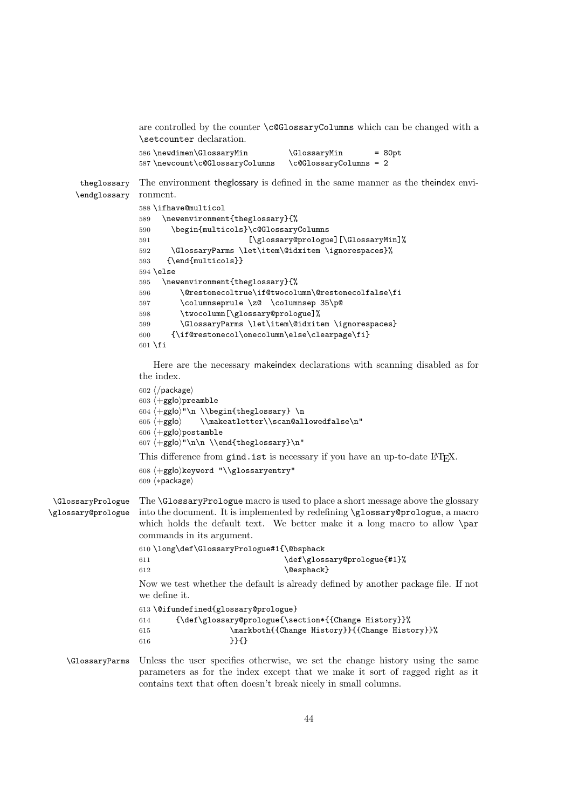<span id="page-43-13"></span>are controlled by the counter \c@GlossaryColumns which can be changed with a \setcounter declaration.

<span id="page-43-6"></span>

| 586 \newdimen\GlossaryMin       | <b>\GlossaryMin</b>            | $= 80pt$ |
|---------------------------------|--------------------------------|----------|
| 587 \newcount\c@GlossaryColumns | $\c{q}$ compossary Columns = 2 |          |

<span id="page-43-5"></span>theglossary \endglossary The environment theglossary is defined in the same manner as the theindex environment.

```
588 \ifhave@multicol
589 \newenvironment{theglossary}{%
590 \begin{multicols}\c@GlossaryColumns
591 [\glossary@prologue][\GlossaryMin]%
592 \GlossaryParms \let\item\@idxitem \ignorespaces}%
593 {\end{multicols}}
594 \else
595 \newenvironment{theglossary}{%
596 \@restonecoltrue\if@twocolumn\@restonecolfalse\fi
597 \columnseprule \z@ \columnsep 35\p@
598 \twocolumn[\glossary@prologue]%
599 \GlossaryParms \let\item\@idxitem \ignorespaces}
600 {\if@restonecol\onecolumn\else\clearpage\fi}
601 \fi
```
<span id="page-43-8"></span><span id="page-43-4"></span><span id="page-43-2"></span><span id="page-43-1"></span>Here are the necessary makeindex declarations with scanning disabled as for the index.

```
602 ⟨/package⟩
                  603 ⟨+gglo⟩preamble
                  604 ⟨+gglo⟩"\n \\begin{theglossary} \n
                  605 ⟨+gglo⟩ \\makeatletter\\scan@allowedfalse\n"
                  606 ⟨+gglo⟩postamble
                  607 ⟨+gglo⟩"\n\n \\end{theglossary}\n"
                  This difference from gind.ist is necessary if you have an up-to-date LATFX.
                  608 ⟨+gglo⟩keyword "\\glossaryentry"
                  609 ⟨∗package⟩
\GlossaryPrologue
\glossary@prologue
                  The \GlossaryPrologue macro is used to place a short message above the glossary
                  into the document. It is implemented by redefining \glossary@prologue, a macro
                   which holds the default text. We better make it a long macro to allow \par
                  commands in its argument.
                  610 \long\def\GlossaryPrologue#1{\@bsphack
                  611 \def\glossary@prologue{#1}%
                  612 \@esphack}
                  Now we test whether the default is already defined by another package file. If not
                   we define it.
                  613 \@ifundefined{glossary@prologue}
                  614 {\def\glossary@prologue{\section*{{Change History}}%
                  615 \markboth{{Change History}}{{Change History}}%
                  616 }}{}
   \GlossaryParms Unless the user specifies otherwise, we set the change history using the same
```
<span id="page-43-10"></span>parameters as for the index except that we make it sort of ragged right as it contains text that often doesn't break nicely in small columns.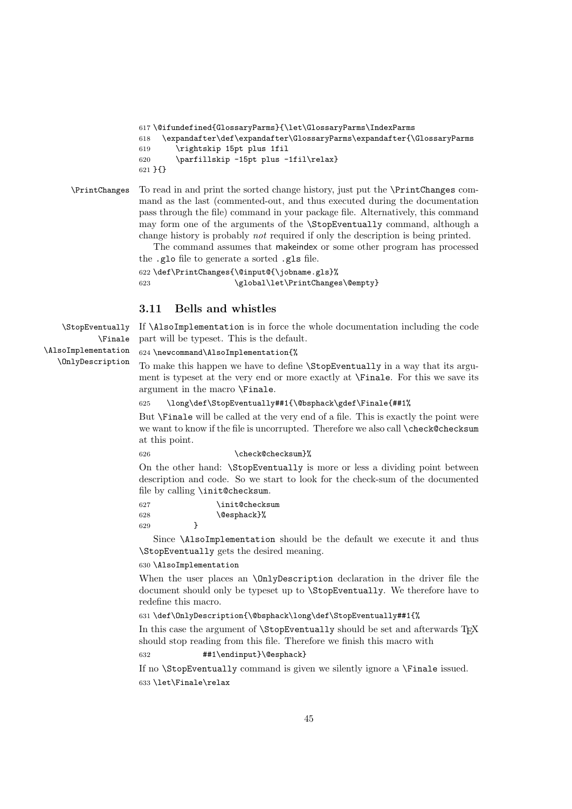```
617 \@ifundefined{GlossaryParms}{\let\GlossaryParms\IndexParms
618 \expandafter\def\expandafter\GlossaryParms\expandafter{\GlossaryParms
619 \rightskip 15pt plus 1fil
620 \parfillskip -15pt plus -1fil\relax}
621 }{}
```
<span id="page-44-9"></span>\PrintChanges To read in and print the sorted change history, just put the \PrintChanges command as the last (commented-out, and thus executed during the documentation pass through the file) command in your package file. Alternatively, this command may form one of the arguments of the \StopEventually command, although a change history is probably not required if only the description is being printed.

> The command assumes that makeindex or some other program has processed the .glo file to generate a sorted .gls file.

```
622 \def\PrintChanges{\@input@{\jobname.gls}%
623 \global\let\PrintChanges\@empty}
```
### <span id="page-44-0"></span>3.11 Bells and whistles

<span id="page-44-4"></span>If \AlsoImplementation is in force the whole documentation including the code part will be typeset. This is the default.

#### <span id="page-44-7"></span>624 \newcommand\AlsoImplementation{%

To make this happen we have to define \StopEventually in a way that its argument is typeset at the very end or more exactly at \Finale. For this we save its argument in the macro \Finale.

#### 625 \long\def\StopEventually##1{\@bsphack\gdef\Finale{##1%

But \Finale will be called at the very end of a file. This is exactly the point were we want to know if the file is uncorrupted. Therefore we also call \check@checksum at this point.

#### <span id="page-44-3"></span>626 \check@checksum}%

On the other hand: \StopEventually is more or less a dividing point between description and code. So we start to look for the check-sum of the documented file by calling \init@checksum.

<span id="page-44-6"></span>627 \init@checksum 628 \@esphack}% 629 }

Since \AlsoImplementation should be the default we execute it and thus \StopEventually gets the desired meaning.

#### 630 \AlsoImplementation

When the user places an **\OnlyDescription** declaration in the driver file the document should only be typeset up to \StopEventually. We therefore have to redefine this macro.

631 \def\OnlyDescription{\@bsphack\long\def\StopEventually##1{%

In this case the argument of \StopEventually should be set and afterwards TFX should stop reading from this file. Therefore we finish this macro with

632 ##1\endinput}\@esphack}

If no \StopEventually command is given we silently ignore a \Finale issued. 633 \let\Finale\relax

<span id="page-44-10"></span><span id="page-44-8"></span><span id="page-44-2"></span>\StopEventually \Finale \AlsoImplementation \OnlyDescription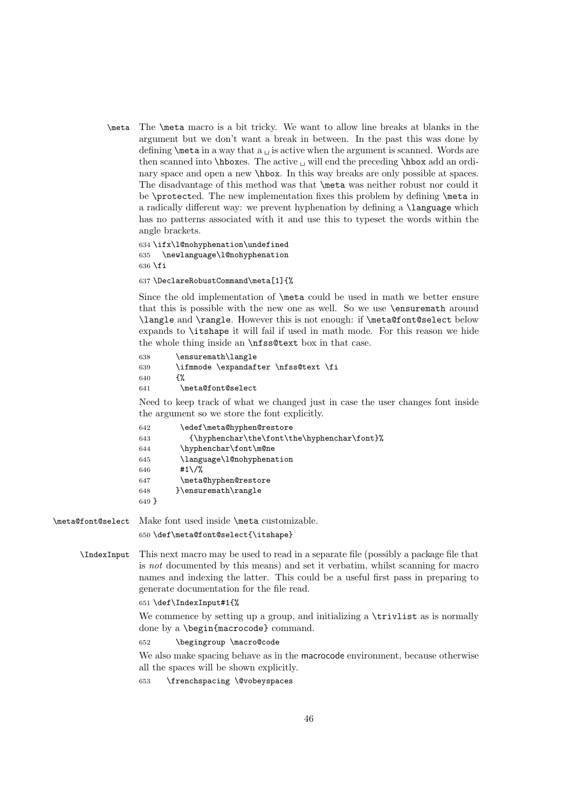<span id="page-45-17"></span><span id="page-45-11"></span>\meta The \meta macro is a bit tricky. We want to allow line breaks at blanks in the argument but we don't want a break in between. In the past this was done by defining  $\mathcal{S}$  are a way that a  $\mathcal{S}$  is active when the argument is scanned. Words are then scanned into  $\hbar$ oxes. The active  $\hbar$  will end the preceding  $\hbar$ ox add an ordinary space and open a new \hbox. In this way breaks are only possible at spaces. The disadvantage of this method was that \meta was neither robust nor could it be \protected. The new implementation fixes this problem by defining \meta in a radically different way: we prevent hyphenation by defining a \language which has no patterns associated with it and use this to typeset the words within the angle brackets.

<span id="page-45-8"></span><span id="page-45-7"></span>634 \ifx\l@nohyphenation\undefined 635 \newlanguage\l@nohyphenation  $636$  \fi

<span id="page-45-0"></span>637 \DeclareRobustCommand\meta[1]{%

Since the old implementation of \meta could be used in math we better ensure that this is possible with the new one as well. So we use \ensuremath around \langle and \rangle. However this is not enough: if \meta@font@select below expands to \itshape it will fail if used in math mode. For this reason we hide the whole thing inside an \nfss@text box in that case.

<span id="page-45-16"></span><span id="page-45-1"></span> \ensuremath\langle \ifmmode \expandafter \nfss@text \fi  $640$   $\{$ % \meta@font@select

<span id="page-45-12"></span>Need to keep track of what we changed just in case the user changes font inside the argument so we store the font explicitly.

<span id="page-45-15"></span><span id="page-45-14"></span><span id="page-45-9"></span><span id="page-45-4"></span><span id="page-45-3"></span>

| 642     | \edef\meta@hyphen@restore                                        |
|---------|------------------------------------------------------------------|
| 643     | ${\hbox{\texttt{b}}$ (\hyphenchar\the\font\the\hyphenchar\font}% |
| 644     | \hyphenchar\font\m@ne                                            |
| 645     | \language\l@nohyphenation                                        |
| 646     | #1\/%                                                            |
| 647     | \meta@hyphen@restore                                             |
| 648     | }\ensuremath\rangle                                              |
| $649$ } |                                                                  |

<span id="page-45-13"></span>\meta@font@select Make font used inside \meta customizable.

<span id="page-45-6"></span><span id="page-45-2"></span>650 \def\meta@font@select{\itshape}

<span id="page-45-5"></span>\IndexInput This next macro may be used to read in a separate file (possibly a package file that is not documented by this means) and set it verbatim, whilst scanning for macro names and indexing the latter. This could be a useful first pass in preparing to generate documentation for the file read.

651 \def\IndexInput#1{%

We commence by setting up a group, and initializing a **\trivlist** as is normally done by a \begin{macrocode} command.

<span id="page-45-10"></span>652 \begingroup \macro@code

We also make spacing behave as in the macrocode environment, because otherwise all the spaces will be shown explicitly.

653 \frenchspacing \@vobeyspaces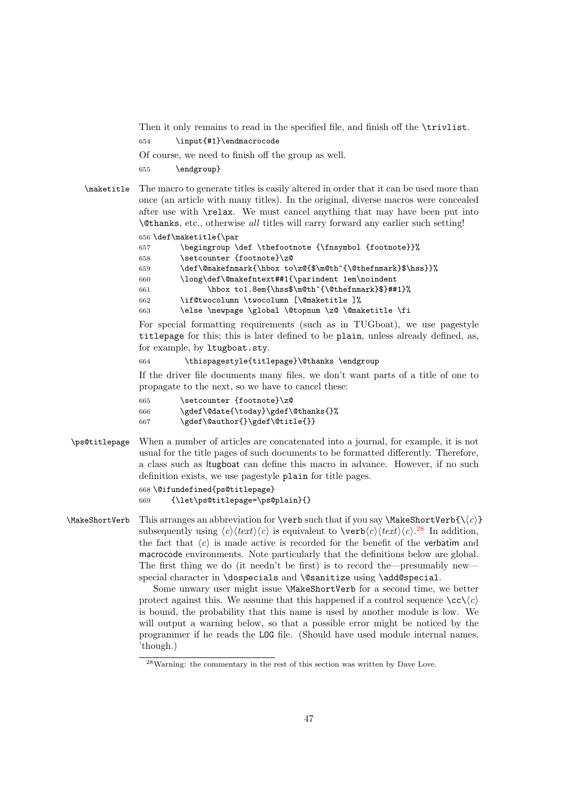<span id="page-46-9"></span>Then it only remains to read in the specified file, and finish off the **\trivlist**.

<span id="page-46-2"></span>654 \input{#1}\endmacrocode

Of course, we need to finish off the group as well.

655 \endgroup}

<span id="page-46-6"></span>\maketitle The macro to generate titles is easily altered in order that it can be used more than once (an article with many titles). In the original, diverse macros were concealed after use with \relax. We must cancel anything that may have been put into \@thanks, etc., otherwise all titles will carry forward any earlier such setting!

656 \def\maketitle{\par

```
657 \begingroup \def \thefootnote {\fnsymbol {footnote}}%
```
- 658 \setcounter {footnote}\z@
- <span id="page-46-3"></span>659 \def\@makefnmark{\hbox to\z@{\$\m@th^{\@thefnmark}\$\hss}}%
- <span id="page-46-1"></span>660 \long\def\@makefntext##1{\parindent 1em\noindent
- <span id="page-46-4"></span>661 \hbox to1.8em{\hss\$\m@th^{\@thefnmark}\$}##1}%
- 662 \if@twocolumn \twocolumn [\@maketitle ]%
- 663 \else \newpage \global \@topnum \z@ \@maketitle \fi

For special formatting requirements (such as in TUGboat), we use pagestyle titlepage for this; this is later defined to be plain, unless already defined, as, for example, by ltugboat.sty.

664 \thispagestyle{titlepage}\@thanks \endgroup

If the driver file documents many files, we don't want parts of a title of one to propagate to the next, so we have to cancel these:

- 665 \setcounter {footnote}\z@
- 666 \gdef\@date{\today}\gdef\@thanks{}%
- 667 \gdef\@author{}\gdef\@title{}}
- <span id="page-46-8"></span>\ps@titlepage When a number of articles are concatenated into a journal, for example, it is not usual for the title pages of such documents to be formatted differently. Therefore, a class such as ltugboat can define this macro in advance. However, if no such definition exists, we use pagestyle plain for title pages.

668 \@ifundefined{ps@titlepage}

```
669 {\let\ps@titlepage=\ps@plain}{}
```
<span id="page-46-5"></span> $\MakeShortVerb$  This arranges an abbreviation for  $\verb|\verb|well|$  that if you say  $\MakeShortVerb{\langle c \rangle}$ subsequently using  $\langle c \rangle \langle text \rangle \langle c \rangle$  is equivalent to  $\langle v \rangle \langle text \rangle \langle c \rangle$ .<sup>[28](#page-46-0)</sup> In addition, the fact that  $\langle c \rangle$  is made active is recorded for the benefit of the verbatim and macrocode environments. Note particularly that the definitions below are global. The first thing we do (it needn't be first) is to record the—presumably new special character in \dospecials and \@sanitize using \add@special.

> Some unwary user might issue \MakeShortVerb for a second time, we better protect against this. We assume that this happened if a control sequence  $\langle cc \rangle \langle c \rangle$ is bound, the probability that this name is used by another module is low. We will output a warning below, so that a possible error might be noticed by the programmer if he reads the LOG file. (Should have used module internal names, 'though.)

<span id="page-46-0"></span><sup>28</sup>Warning: the commentary in the rest of this section was written by Dave Love.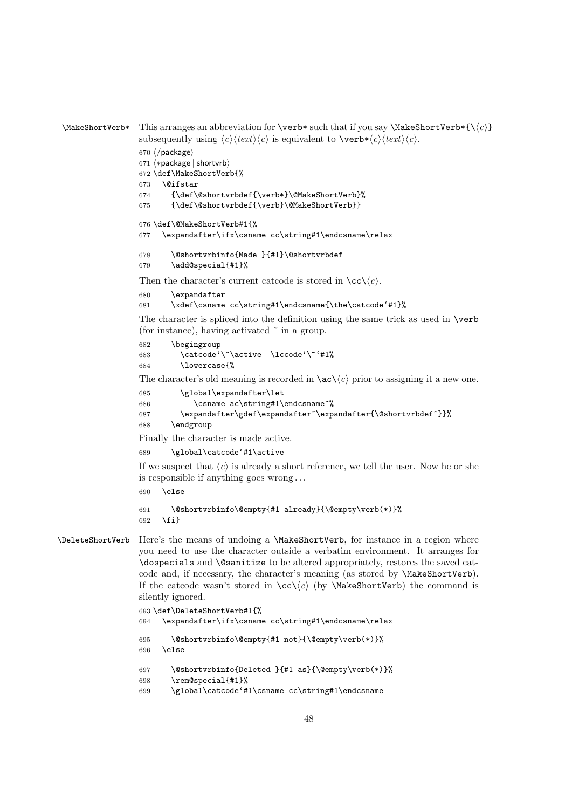```
\MakeShortVerb* This arranges an abbreviation for \verb|\verb|verb*|such that if you say \MakeShortVerb*{\{\langle c \rangle\}
```

```
subsequently using \langle c \rangle \langle text \rangle \langle c \rangle is equivalent to \langle v \rangle \langle text \rangle \langle c \rangle.
```

```
670 ⟨/package⟩
671 ⟨∗package | shortvrb⟩
672 \def\MakeShortVerb{%
673 \@ifstar
674 {\def\@shortvrbdef{\verb*}\@MakeShortVerb}%
675 {\def\@shortvrbdef{\verb}\@MakeShortVerb}}
676 \def\@MakeShortVerb#1{%
677 \expandafter\ifx\csname cc\string#1\endcsname\relax
678 \@shortvrbinfo{Made }{#1}\@shortvrbdef
```
<span id="page-47-9"></span><span id="page-47-3"></span><span id="page-47-2"></span>\add@special{#1}%

Then the character's current catcode is stored in  $\csc(\csc)$ .

```
680 \expandafter
```
\xdef\csname cc\string#1\endcsname{\the\catcode'#1}%

The character is spliced into the definition using the same trick as used in \verb (for instance), having activated ~ in a group.

```
682 \begingroup
683 \catcode'\~\active \lccode'\~'#1%
684 \lowercase{%
```
The character's old meaning is recorded in  $\a c\$ c prior to assigning it a new one.

```
685 \global\expandafter\let
```

```
686 \csname ac\string#1\endcsname~%
```

```
687 \expandafter\gdef\expandafter~\expandafter{\@shortvrbdef~}}%
```

```
688 \endgroup
```
Finally the character is made active.

```
689 \global\catcode'#1\active
```
If we suspect that  $\langle c \rangle$  is already a short reference, we tell the user. Now he or she is responsible if anything goes wrong . . .

\else

```
691 \@shortvrbinfo\@empty{#1 already}{\@empty\verb(*)}%
692 \fi}
```

```
\DeleteShortVerb Here's the means of undoing a \MakeShortVerb, for instance in a region where
                   you need to use the character outside a verbatim environment. It arranges for
                   \dospecials and \@sanitize to be altered appropriately, restores the saved cat-
                   code and, if necessary, the character's meaning (as stored by \MakeShortVerb).
                   If the catcode wasn't stored in \cc\langle c \rangle (by \MakeShortVerb) the command is
                   silently ignored.
```

```
693 \def\DeleteShortVerb#1{%
694 \expandafter\ifx\csname cc\string#1\endcsname\relax
695 \@shortvrbinfo\@empty{#1 not}{\@empty\verb(*)}%
696 \else
697 \@shortvrbinfo{Deleted }{#1 as}{\@empty\verb(*)}%
698 \rem@special{#1}%
699 \global\catcode'#1\csname cc\string#1\endcsname
```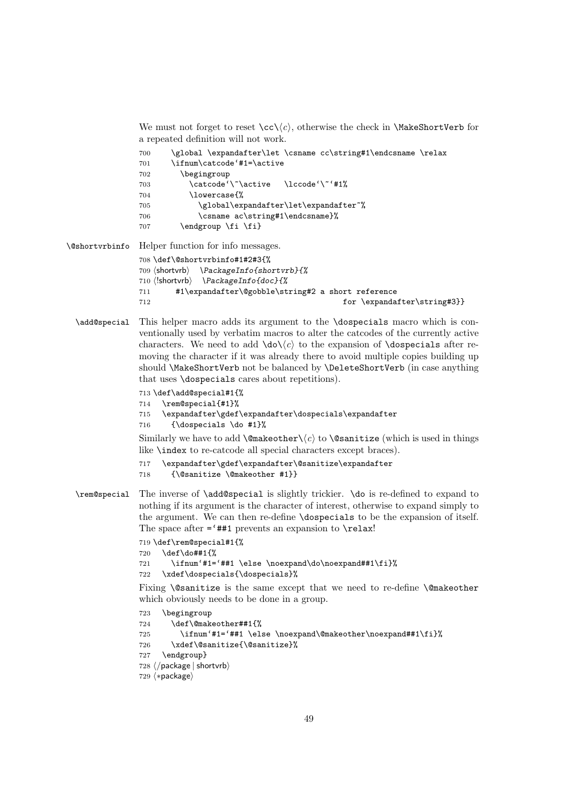<span id="page-48-7"></span>We must not forget to reset  $\ccos(\c)$ , otherwise the check in \MakeShortVerb for a repeated definition will not work.

<span id="page-48-1"></span>

| 700 | \global \expandafter\let \csname cc\string#1\endcsname \relax |
|-----|---------------------------------------------------------------|
| 701 | \ifnum\catcode'#1=\active                                     |
| 702 | \begingroup                                                   |
| 703 | \catcode'\~\active \lccode'\~'#1%                             |
| 704 | \lowercase{%                                                  |
| 705 | \global\expandafter\let\expandafter~%                         |
| 706 | \csname ac\string#1\endcsname}%                               |
| 707 | \endgroup \fi \fi}                                            |

<span id="page-48-0"></span>\@shortvrbinfo Helper function for info messages. \def\@shortvrbinfo#1#2#3{%

```
709 ⟨shortvrb⟩ \PackageInfo{shortvrb}{%
710 ⟨!shortvrb⟩ \PackageInfo{doc}{%
711 #1\expandafter\@gobble\string#2 a short reference
712 for \expandafter\string#3}}
```
<span id="page-48-2"></span>\add@special This helper macro adds its argument to the \dospecials macro which is conventionally used by verbatim macros to alter the catcodes of the currently active characters. We need to add  $\dot{\alpha}$  to the expansion of  $\dot{\alpha}$  dospecials after removing the character if it was already there to avoid multiple copies building up should \MakeShortVerb not be balanced by \DeleteShortVerb (in case anything that uses \dospecials cares about repetitions).

```
713 \def\add@special#1{%
714 \rem@special{#1}%
715 \expandafter\gdef\expandafter\dospecials\expandafter
716 {\dospecials \do #1}%
```
Similarly we have to add \@makeother\ $\langle c \rangle$  to \@sanitize (which is used in things like \index to re-catcode all special characters except braces).

```
717 \expandafter\gdef\expandafter\@sanitize\expandafter
```

```
718 {\@sanitize \@makeother #1}}
```
<span id="page-48-6"></span>\rem@special The inverse of \add@special is slightly trickier. \do is re-defined to expand to nothing if its argument is the character of interest, otherwise to expand simply to the argument. We can then re-define \dospecials to be the expansion of itself. The space after  $=$ '##1 prevents an expansion to  $\relaxright$ relax!

```
719 \def\rem@special#1{%
720 \def\do##1{%
721 \ifnum'#1='##1 \else \noexpand\do\noexpand##1\fi}%
722 \xdef\dospecials{\dospecials}%
```
Fixing \@sanitize is the same except that we need to re-define \@makeother which obviously needs to be done in a group.

```
723 \begingroup
724 \def\@makeother##1{%
725 \ifnum'#1='##1 \else \noexpand\@makeother\noexpand##1\fi}%
726 \xdef\@sanitize{\@sanitize}%
727 \endgroup}
728 ⟨/package | shortvrb⟩
729 ⟨∗package⟩
```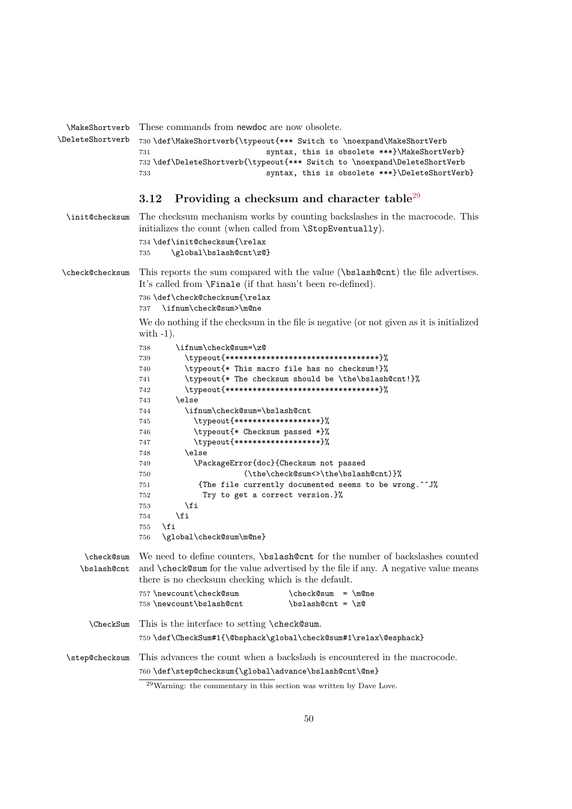```
\MakeShortverb
\DeleteShortverb
               These commands from newdoc are now obsolete.
                730 \def\MakeShortverb{\typeout{*** Switch to \noexpand\MakeShortVerb
                                           syntax, this is obsolete ***}\MakeShortVerb}
                732 \def\DeleteShortverb{\typeout{*** Switch to \noexpand\DeleteShortVerb
                733 syntax, this is obsolete ***}\DeleteShortVerb}
```
### <span id="page-49-20"></span><span id="page-49-19"></span><span id="page-49-16"></span><span id="page-49-15"></span><span id="page-49-0"></span>3.12 Providing a checksum and character table<sup>[29](#page-49-1)</sup>

<span id="page-49-18"></span>\init@checksum The checksum mechanism works by counting backslashes in the macrocode. This initializes the count (when called from \StopEventually). \def\init@checksum{\relax

```
735 \global\bslash@cnt\z@}
```
<span id="page-49-8"></span>\check@checksum This reports the sum compared with the value (\bslash@cnt) the file advertises. It's called from \Finale (if that hasn't been re-defined).

> <span id="page-49-9"></span> \def\check@checksum{\relax \ifnum\check@sum>\m@ne

We do nothing if the checksum in the file is negative (or not given as it is initialized with  $-1$ ).

<span id="page-49-10"></span><span id="page-49-4"></span><span id="page-49-3"></span>

| 738 | \ifnum\check@sum=\z@                                   |
|-----|--------------------------------------------------------|
| 739 | \typeout{**********************************}%          |
| 740 | \typeout{* This macro file has no checksum!}%          |
| 741 | \typeout{* The checksum should be \the\bslash@cnt!}%   |
| 742 | \typeout{**********************************}%          |
| 743 | \else                                                  |
| 744 | \ifnum\check@sum=\bslash@cnt                           |
| 745 | \typeout{*******************}%                         |
| 746 | \typeout{* Checksum passed *}%                         |
| 747 | \typeout{*******************}%                         |
| 748 | \else                                                  |
| 749 | \PackageError{doc}{Checksum not passed                 |
| 750 | (\the\check@sum<>\the\bslash@cnt)}%                    |
| 751 | {The file currently documented seems to be wrong. ^^J% |
| 752 | Try to get a correct version.}%                        |
| 753 | \fi                                                    |
| 754 | \fi                                                    |
| 755 | \fi                                                    |
| 756 | \global\check@sum\m@ne}                                |

<span id="page-49-22"></span><span id="page-49-12"></span><span id="page-49-11"></span><span id="page-49-6"></span><span id="page-49-5"></span>\check@sum We need to define counters, \bslash@cnt for the number of backslashes counted \bslash@cnt and \check@sum for the value advertised by the file if any. A negative value means there is no checksum checking which is the default.  $757 \text{ newcount}\check@sum \cdot \text{herk@sum}$ 

| 191 \Rewooding \check@Sum | /checkspum - <i>imane</i> |
|---------------------------|---------------------------|
| 758 \newcount \bslash@cnt | $\b$ slash@cnt = $\zeta$  |

<span id="page-49-14"></span>\CheckSum This is the interface to setting \check@sum.

<span id="page-49-13"></span>\def\CheckSum#1{\@bsphack\global\check@sum#1\relax\@esphack}

<span id="page-49-23"></span>\step@checksum This advances the count when a backslash is encountered in the macrocode. \def\step@checksum{\global\advance\bslash@cnt\@ne}

<span id="page-49-7"></span><span id="page-49-1"></span>Warning: the commentary in this section was written by Dave Love.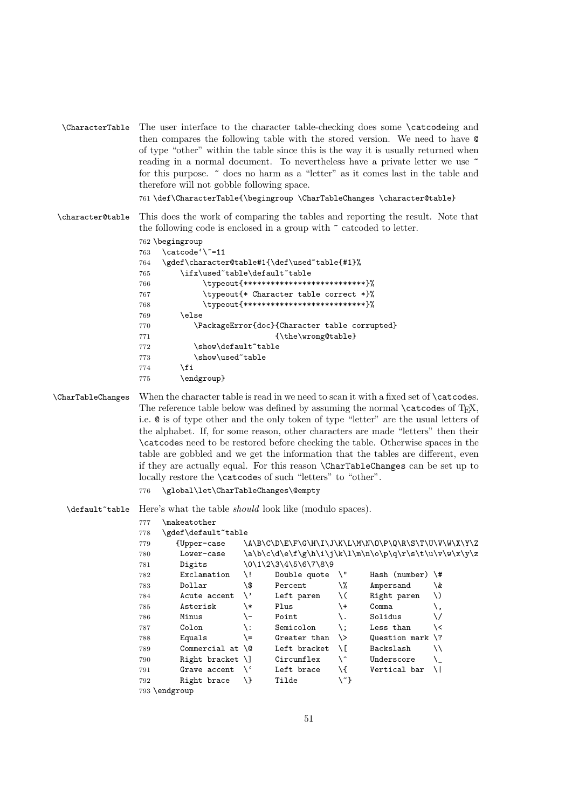<span id="page-50-19"></span><span id="page-50-10"></span>\CharacterTable The user interface to the character table-checking does some \catcodeing and then compares the following table with the stored version. We need to have @ of type "other" within the table since this is the way it is usually returned when reading in a normal document. To nevertheless have a private letter we use  $\tilde{ }$ for this purpose. ~ does no harm as a "letter" as it comes last in the table and therefore will not gobble following space.

<span id="page-50-8"></span>761 \def\CharacterTable{\begingroup \CharTableChanges \character@table}

<span id="page-50-9"></span>\character@table This does the work of comparing the tables and reporting the result. Note that the following code is enclosed in a group with  $\tilde{\phantom{a}}$  catcoded to letter.

```
762 \begingroup
763 \catcode'\~=11
764 \gdef\character@table#1{\def\used~table{#1}%
765 \ifx\used~table\default~table
766 \typeout{***************************}%
767 \typeout{* Character table correct *}%
768 \typeout{***************************}%
769 \else
770 \PackageError{doc}{Character table corrupted}
771 {\the\wrong@table}
772 \show\default~table
773 \show\used~table
774 \fi
775 \endgroup}
```
<span id="page-50-17"></span><span id="page-50-13"></span><span id="page-50-11"></span>\CharTableChanges When the character table is read in we need to scan it with a fixed set of \catcodes. The reference table below was defined by assuming the normal **\catcodes** of T<sub>E</sub>X, i.e. @ is of type other and the only token of type "letter" are the usual letters of the alphabet. If, for some reason, other characters are made "letters" then their \catcodes need to be restored before checking the table. Otherwise spaces in the table are gobbled and we get the information that the tables are different, even if they are actually equal. For this reason \CharTableChanges can be set up to locally restore the \catcodes of such "letters" to "other".

776 \global\let\CharTableChanges\@empty

<span id="page-50-14"></span>\default~table Here's what the table should look like (modulo spaces).

#### 777 \makeatother

<span id="page-50-6"></span><span id="page-50-5"></span><span id="page-50-4"></span><span id="page-50-3"></span><span id="page-50-2"></span><span id="page-50-1"></span><span id="page-50-0"></span>

| 778 | \gdef\default~table      |             |                      |     |                                                      |    |
|-----|--------------------------|-------------|----------------------|-----|------------------------------------------------------|----|
| 779 | {Upper-case              |             |                      |     | \A\B\C\D\E\F\G\H\I\J\K\L\M\N\O\P\Q\R\S\T\U\V\W\X\Y\Z |    |
| 780 | Lower-case               |             |                      |     | \a\b\c\d\e\f\g\h\i\j\k\l\m\n\o\p\q\r\s\t\u\v\w\x\y\z |    |
| 781 | Digits                   |             | \0\1\2\3\4\5\6\7\8\9 |     |                                                      |    |
| 782 | Exclamation              | /i          | Double quote         | \"  | Hash (number) $\forall$ #                            |    |
| 783 | Dollar                   | \\$         | Percent              | \%  | Ampersand                                            | \& |
| 784 | Acute accent             | $\setminus$ | Left paren           | \ ( | Right paren                                          | \) |
| 785 | Asterisk                 | \*          | Plus                 | \+  | Comma                                                |    |
| 786 | Minus                    | \-          | Point                |     | Solidus                                              | ∨  |
| 787 | Colon                    | \ :         | Semicolon            | \ : | Less than                                            | \< |
| 788 | Equals                   | \=          | Greater than         | \>  | Question mark $\langle$ ?                            |    |
| 789 | Commercial at $\sqrt{a}$ |             | Left bracket         | ЛE  | Backslash                                            | ∖∖ |
| 790 | Right bracket $\Box$     |             | Circumflex           | \^  | Underscore                                           |    |
| 791 | Grave accent             | $\lambda$   | Left brace           | \{  | Vertical bar                                         | ΛI |
| 792 | Right brace              | $\lambda$   | Tilde                | \~} |                                                      |    |
|     | 793 \endgroup            |             |                      |     |                                                      |    |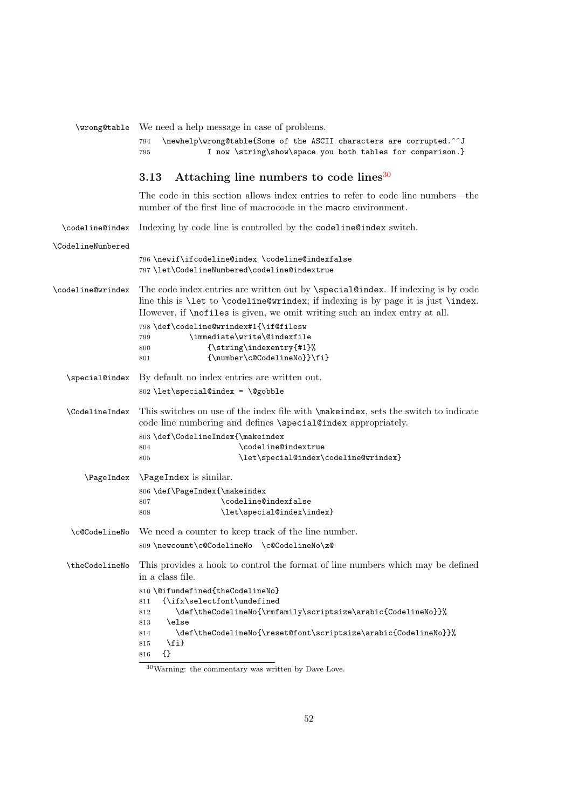<span id="page-51-24"></span><span id="page-51-23"></span><span id="page-51-20"></span><span id="page-51-16"></span><span id="page-51-15"></span><span id="page-51-14"></span><span id="page-51-13"></span><span id="page-51-10"></span><span id="page-51-8"></span><span id="page-51-6"></span><span id="page-51-5"></span><span id="page-51-3"></span><span id="page-51-2"></span><span id="page-51-0"></span>

| \wrong@table          | We need a help message in case of problems.                                                                                                                                                                                                                              |
|-----------------------|--------------------------------------------------------------------------------------------------------------------------------------------------------------------------------------------------------------------------------------------------------------------------|
|                       | \newhelp\wrong@table{Some of the ASCII characters are corrupted.^^J<br>794<br>I now \string\show\space you both tables for comparison.}<br>795                                                                                                                           |
|                       | Attaching line numbers to code lines <sup>30</sup><br>3.13                                                                                                                                                                                                               |
|                       | The code in this section allows index entries to refer to code line numbers—the<br>number of the first line of macrocode in the macro environment.                                                                                                                       |
| \codeline@index       | Indexing by code line is controlled by the codeline@index switch.                                                                                                                                                                                                        |
| \CodelineNumbered     |                                                                                                                                                                                                                                                                          |
|                       | 796\newif\ifcodeline@index\codeline@indexfalse<br>797 \let\CodelineNumbered\codeline@indextrue                                                                                                                                                                           |
| \codeline@wrindex     | The code index entries are written out by <b>\special@index</b> . If indexing is by code<br>line this is \let to \codeline@wrindex; if indexing is by page it is just \index.<br>However, if <b>\nofiles</b> is given, we omit writing such an index entry at all.       |
|                       | 798\def\codeline@wrindex#1{\if@filesw<br>\immediate\write\@indexfile<br>799<br>$\{\strut\text{array}\n\}$ indexentry {#1} %<br>800<br>{\number\c@CodelineNo}}\fi}<br>801                                                                                                 |
| \special@index        | By default no index entries are written out.                                                                                                                                                                                                                             |
|                       | 802 \let\special@index = \@gobble                                                                                                                                                                                                                                        |
| <b>\CodelineIndex</b> | This switches on use of the index file with $\mathcal{S}$ and $\mathcal{S}$ , sets the switch to indicate<br>code line numbering and defines \special@index appropriately.                                                                                               |
|                       | 803 \def\CodelineIndex{\makeindex                                                                                                                                                                                                                                        |
|                       | \codeline@indextrue<br>804<br>\let\special@index\codeline@wrindex}<br>805                                                                                                                                                                                                |
|                       |                                                                                                                                                                                                                                                                          |
|                       | \PageIndex \PageIndex is similar.                                                                                                                                                                                                                                        |
|                       | 806 \def\PageIndex{\makeindex<br>\codeline@indexfalse<br>807                                                                                                                                                                                                             |
|                       | \let\special@index\index}<br>808                                                                                                                                                                                                                                         |
| \c@CodelineNo         | We need a counter to keep track of the line number.                                                                                                                                                                                                                      |
|                       | 809 \newcount\c@CodelineNo \c@CodelineNo\z@                                                                                                                                                                                                                              |
| \theCodelineNo        | This provides a hook to control the format of line numbers which may be defined<br>in a class file.                                                                                                                                                                      |
|                       | 810 \@ifundefined{theCodelineNo}<br>{\ifx\selectfont\undefined<br>811<br>\def\theCodelineNo{\rmfamily\scriptsize\arabic{CodelineNo}}%<br>812<br>\else<br>813<br>\def\theCodelineNo{\reset@font\scriptsize\arabic{CodelineNo}}%<br>814<br>$\iota$<br>815<br>$\{\}$<br>816 |
|                       |                                                                                                                                                                                                                                                                          |

<span id="page-51-22"></span><span id="page-51-21"></span><span id="page-51-19"></span><span id="page-51-18"></span><span id="page-51-17"></span><span id="page-51-12"></span><span id="page-51-11"></span><span id="page-51-9"></span><span id="page-51-7"></span><span id="page-51-4"></span><span id="page-51-1"></span> $\frac{30 \text{Warning:}}{30 \text{Warning:}}$  the commentary was written by Dave Love.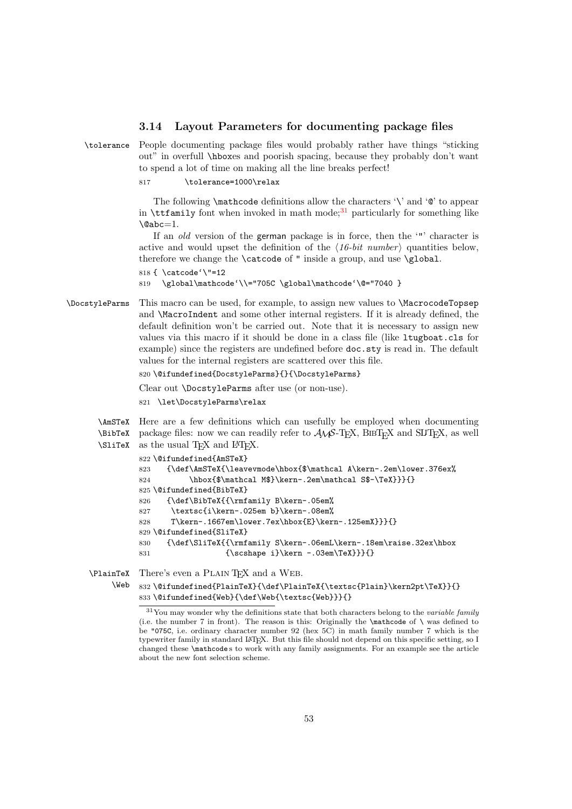#### <span id="page-52-15"></span><span id="page-52-0"></span>3.14 Layout Parameters for documenting package files

<span id="page-52-13"></span>\tolerance People documenting package files would probably rather have things "sticking out" in overfull \hboxes and poorish spacing, because they probably don't want to spend a lot of time on making all the line breaks perfect!

817 \tolerance=1000\relax

The following \mathcode definitions allow the characters '\' and '@' to appear in  $\text{tetamily}$  font when invoked in math mode;<sup>[31](#page-52-1)</sup> particularly for something like  $\Delta$ 

If an old version of the german package is in force, then the '"' character is active and would upset the definition of the  $(16-bit number)$  quantities below, therefore we change the **\catcode** of " inside a group, and use **\global**.

```
818 { \catcode'\"=12
```
819 \global\mathcode'\\="705C \global\mathcode'\@="7040 }

<span id="page-52-4"></span>\DocstyleParms This macro can be used, for example, to assign new values to \MacrocodeTopsep and \MacroIndent and some other internal registers. If it is already defined, the default definition won't be carried out. Note that it is necessary to assign new values via this macro if it should be done in a class file (like ltugboat.cls for example) since the registers are undefined before doc.sty is read in. The default values for the internal registers are scattered over this file.

```
820 \@ifundefined{DocstyleParms}{}{\DocstyleParms}
```
Clear out \DocstyleParms after use (or non-use).

821 \let\DocstyleParms\relax

<span id="page-52-9"></span><span id="page-52-3"></span><span id="page-52-2"></span>\AmSTeX Here are a few definitions which can usefully be employed when documenting \BibTeX package files: now we can readily refer to  $A\mathcal{N}S$ -TEX, BIBTEX and SLITEX, as well  $\Sigma$  as the usual T<sub>E</sub>X and L<sup>AT</sup>EX.

```
822 \@ifundefined{AmSTeX}
823 {\def\AmSTeX{\leavevmode\hbox{$\mathcal A\kern-.2em\lower.376ex%
824 \hbox{$\mathcal M$}\kern-.2em\mathcal S$-\TeX}}}{}
825 \@ifundefined{BibTeX}
826 {\def\BibTeX{{\rmfamily B\kern-.05em%
827 \textsc{i\kern-.025em b}\kern-.08em%
828 T\kern-.1667em\lower.7ex\hbox{E}\kern-.125emX}}}{}
829 \@ifundefined{SliTeX}
830 {\def\SliTeX{{\rmfamily S\kern-.06emL\kern-.18em\raise.32ex\hbox
831 {\scshape i}\kern -.03em\TeX}}}{}
```
<span id="page-52-5"></span>\PlainTeX There's even a Plain TEX and a Web.

```
\Web 832\@ifundefined{PlainTeX}{\def\PlainTeX{\textsc{Plain}\kern2pt\TeX}}{}
     833 \@ifundefined{Web}{\def\Web{\textsc{Web}}}{}
```
<span id="page-52-12"></span><span id="page-52-1"></span> $31$ You may wonder why the definitions state that both characters belong to the variable family (i.e. the number 7 in front). The reason is this: Originally the  $\mathcal X$  state of  $\mathcal X$  was defined to be "075C, i.e. ordinary character number 92 (hex 5C) in math family number 7 which is the typewriter family in standard LATEX. But this file should not depend on this specific setting, so I changed these \mathcode s to work with any family assignments. For an example see the article about the new font selection scheme.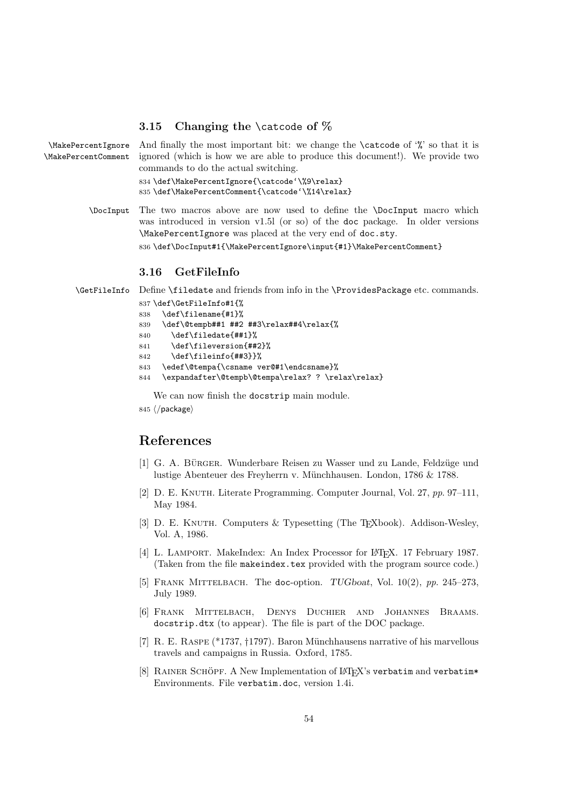#### <span id="page-53-10"></span><span id="page-53-0"></span>3.15 Changing the \catcode of  $\%$

<span id="page-53-20"></span><span id="page-53-18"></span>\MakePercentIgnore \MakePercentComment

And finally the most important bit: we change the **\catcode** of  $\mathcal{C}$  so that it is ignored (which is how we are able to produce this document!). We provide two commands to do the actual switching. 834 \def\MakePercentIgnore{\catcode'\%9\relax} 835 \def\MakePercentComment{\catcode'\%14\relax}

<span id="page-53-12"></span><span id="page-53-11"></span>\DocInput The two macros above are now used to define the \DocInput macro which was introduced in version v1.5l (or so) of the doc package. In older versions \MakePercentIgnore was placed at the very end of doc.sty.

<span id="page-53-19"></span>836 \def\DocInput#1{\MakePercentIgnore\input{#1}\MakePercentComment}

### <span id="page-53-1"></span>3.16 GetFileInfo

<span id="page-53-17"></span>\GetFileInfo Define \filedate and friends from info in the \ProvidesPackage etc. commands.

<span id="page-53-16"></span><span id="page-53-15"></span><span id="page-53-13"></span>

|     | 837 \def\GetFileInfo#1{%                         |
|-----|--------------------------------------------------|
| 838 | \def\filename{#1}%                               |
| 839 | \def\@tempb##1 ##2 ##3\relax##4\relax{%          |
| 840 | \def\filedate{##1}%                              |
| 841 | \def\fileversion{##2}%                           |
| 842 | \def\fileinfo{##3}}%                             |
| 843 | \edef\@tempa{\csname ver@#1\endcsname}%          |
| 844 | \expandafter\@tempb\@tempa\relax? ?\relax\relax} |
|     |                                                  |

<span id="page-53-14"></span>We can now finish the docstrip main module.

845 ⟨/package⟩

### References

- <span id="page-53-9"></span>[1] G. A. BÜRGER. Wunderbare Reisen zu Wasser und zu Lande, Feldzüge und lustige Abenteuer des Freyherrn v. Münchhausen. London, 1786 & 1788.
- <span id="page-53-3"></span>[2] D. E. Knuth. Literate Programming. Computer Journal, Vol. 27, pp. 97–111, May 1984.
- <span id="page-53-7"></span>[3] D. E. KNUTH. Computers & Typesetting (The T<sub>E</sub>Xbook). Addison-Wesley, Vol. A, 1986.
- <span id="page-53-5"></span>[4] L. LAMPORT. MakeIndex: An Index Processor for L<sup>AT</sup>FX. 17 February 1987. (Taken from the file makeindex.tex provided with the program source code.)
- <span id="page-53-2"></span>[5] FRANK MITTELBACH. The doc-option.  $TUGboat$ , Vol.  $10(2)$ , pp. 245-273, July 1989.
- <span id="page-53-6"></span>[6] Frank Mittelbach, Denys Duchier and Johannes Braams. docstrip.dtx (to appear). The file is part of the DOC package.
- <span id="page-53-8"></span>[7] R. E. RASPE (\*1737, †1797). Baron Münchhausens narrative of his marvellous travels and campaigns in Russia. Oxford, 1785.
- <span id="page-53-4"></span>[8] RAINER SCHÖPF. A New Implementation of LATFX's verbatim and verbatim\* Environments. File verbatim.doc, version 1.4i.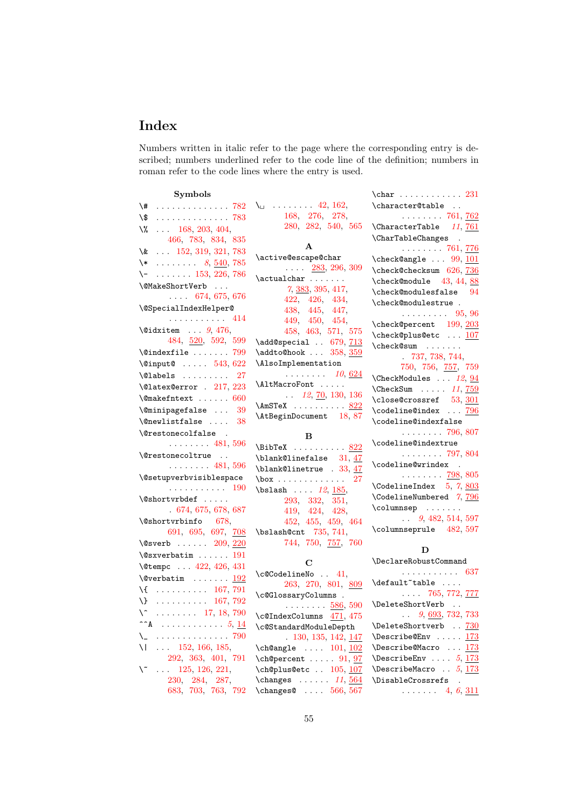## Index

Numbers written in italic refer to the page where the corresponding entry is described; numbers underlined refer to the code line of the definition; numbers in roman refer to the code lines where the entry is used.

| <b>Symbols</b>                                  |                                                                     |                                                                        |
|-------------------------------------------------|---------------------------------------------------------------------|------------------------------------------------------------------------|
| $\backslash$ # $782$                            | $\lambda_{\sqcup}$ 42, 162,                                         | \character@table                                                       |
| $\sqrt{\$}$ 783                                 | 168, 276, 278,                                                      | $\ldots \ldots 761, 762$                                               |
| $\sqrt{2}$ 168, 203, 404,                       | 280, 282, 540, 565                                                  | \CharacterTable 11, 761                                                |
| 466, 783, 834, 835                              |                                                                     | \CharTableChanges .                                                    |
| \& $152, 319, 321, 783$                         | A                                                                   | $\ldots \ldots 761, 776$                                               |
| $\downarrow$ 8, <u>540</u> , 785                | \active@escape@char                                                 | \check@angle  99, 101                                                  |
| $\setminus$ -  153, 226, 786                    | $\ldots$ 283, 296, 309                                              | \check@checksum 626, 736                                               |
| \@MakeShortVerb                                 | $\catualchar \ldots \ldots$                                         | \check@module 43, 44, 88                                               |
| $\ldots$ 674, 675, 676                          | $7, \underline{383}, 395, 417,$<br>422, 426, 434,                   | $\texttt{\text{\char'134}}$                                            |
| \@SpecialIndexHelper@                           | 438, 445, 447,                                                      | \check@modulestrue .                                                   |
| . 414                                           | 449, 450, 454,                                                      | $\ldots \ldots \ldots 95, 96$                                          |
| $\lambda$ idxitem $9,476,$                      | 458, 463, 571, 575                                                  | \check@percent 199, 203                                                |
| 484, 520, 592, 599                              | \add@special . 679, 713                                             | \check@plus@etc  107                                                   |
| $\langle$ Cindexfile  799                       | \addto@hook  358, 359                                               | \check@sum                                                             |
| \@input@  543, 622                              | \AlsoImplementation                                                 | 737, 738, 744,                                                         |
| $\Delta$ labels<br>27                           | $\ldots \ldots \ldots$ 10, <u>624</u>                               | 750, 756, $\frac{757}{759}$                                            |
| \@latex@error . 217, 223                        | \AltMacroFont                                                       | $\Lambda$ 12, 94                                                       |
| $\{\n$ emakefntext  660                         | $\ldots$ 12, 70, 130, 136                                           | $\text{CheckSum} \quad \ldots \quad 11, \, \overline{759}$             |
|                                                 | \AmSTeX <u>822</u>                                                  | \close@crossref 53, 301                                                |
| \@minipagefalse<br>-39                          | \AtBeginDocument 18,87                                              | \codeline@index  796                                                   |
| $\emptyset$ newlistfalse<br>38                  |                                                                     | \codeline@indexfalse                                                   |
| \@restonecolfalse .<br>$\ldots \ldots 481, 596$ | в                                                                   | $\ldots \ldots 796, 807$<br>\codeline@indextrue                        |
|                                                 |                                                                     |                                                                        |
|                                                 | $\Delta x$ 822                                                      |                                                                        |
| \@restonecoltrue                                | $\blacksquare$ hlank@linefalse 31, 47                               | $\ldots \ldots 797,804$                                                |
| $\ldots \ldots 481, 596$                        | $\blacksquare$ blank@linetrue . 33, 47                              | \codeline@wrindex .                                                    |
| <i><b>\@setupverbvisiblespace</b></i>           | $\text{box} \ldots \ldots \ldots 27$                                | $\cdots \cdots \cdots$ 798, 805                                        |
| . 190                                           | $\blabel{eq:bslash}$ \bslash $12, 185,$                             | $\text{CodelineIndex} \quad 5, 7, \underline{803}$                     |
| \@shortvrbdef                                   | 293, 332, 351,                                                      | \CodelineNumbered 7,796                                                |
| .674,675,678,687                                | 419, 424, 428,                                                      |                                                                        |
| $\lambda$ Shortvrbinfo 678,                     | 452, 455, 459, 464                                                  | $\ldots$ 9, 482, 514, 597                                              |
| 691, 695, 697, 708                              | \bslash@cnt 735, 741,                                               | \columnseprule 482, 597                                                |
| \@sverb $209, 220$                              | 744, 750, 757, 760                                                  | D                                                                      |
| $\sqrt{Q}$ sxverbatim  191                      | C                                                                   | \DeclareRobustCommand                                                  |
| \@tempc  422, 426, 431                          |                                                                     | . 637                                                                  |
| $\sqrt{Q}$ verbatim  192                        | $\c{ccodelineNo$ . 41,                                              | \default <sup>-*</sup> table                                           |
| $\{ \ldots \ldots \ldots \quad 167, 791 \}$     | 263, 270, 801, 809                                                  | $\ldots$ 765, 772, 777                                                 |
| $\{\}$ 167, 792                                 | \c@GlossaryColumns .<br>$\cdots \cdots \frac{586}{580}$             | \DeleteShortVerb                                                       |
| $\sqrt{2}$ 17, 18, 790                          | \c@IndexColumns 471, 475                                            | $\ldots$ 9, 693, 732, 733                                              |
| $\mathbf{A}$ 5, 14                              | \c@StandardModuleDepth                                              | \DeleteShortverb . 730                                                 |
| $\mathcal{L}$ 790                               | $.130, 135, 142, \underline{147}$                                   | $\{\n  Describe@Env \ldots 173\n $                                     |
| 152, 166, 185,                                  | $\ch@angle$ $101, 102$                                              | $\{\n  Describe@Macro  \n 173\n $                                      |
| 292, 363, 401, 791                              | $\ch$ Opercent  91, 97                                              | \DescribeEnv $5, \frac{173}{173}$                                      |
| $\ldots$ 125, 126, 221,<br>١ĩ                   | \ch@plus@etc  105, 107                                              | \DescribeMacro $5, \frac{173}{173}$                                    |
| 230, 284, 287,<br>683, 703, 763, 792            | \changes $\dots 11, 564$<br>$\{\text{changes@ } \dots \ 566, 567\}$ | \DisableCrossrefs<br>$\ddot{\phantom{a}}$<br>$\ldots$ 4, 6, <u>311</u> |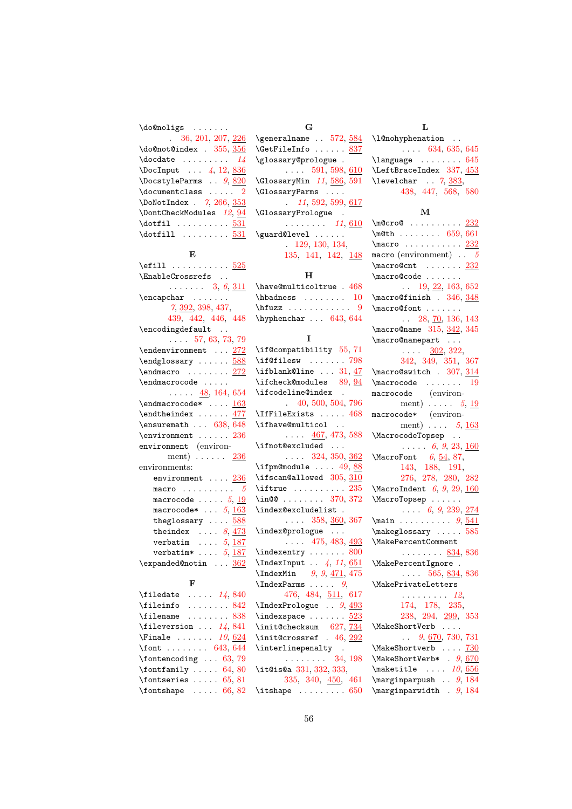\do@noligs . . . . . . .

| $\therefore$ 36, 201, 207, 226     |
|------------------------------------|
| \do@not@index . 355, 356           |
| $\text{Quotate}$ $14$              |
| \DocInput $\frac{1}{4}$ , 12, 836  |
| \DocstyleParms $\therefore$ 9, 820 |
| $\lambda$ documentclass  2         |
| \DoNotIndex . 7, 266, 353          |
| \DontCheckModules 12, 94           |
| $\delta$ $\ldots$ 531              |
| $\dot{1}$ 531                      |

#### E

| \efill <u>525</u>                                                          |
|----------------------------------------------------------------------------|
| \EnableCrossrefs .                                                         |
| $\ldots$ $3, 6, \underline{311}$                                           |
| $\begin{bmatrix} \text{encapchar} \\ \text{or} \\ \text{or} \end{bmatrix}$ |
| $7, \underline{392}, 398, 437,$                                            |
| 439, 442, 446, 448                                                         |
| \encodingdefault                                                           |
| $\ldots$ 57, 63, 73, 79                                                    |
| $\end{subscript$                                                           |
| \endglossary  588                                                          |
| $\end{macro}$ $272$                                                        |
| \endmacrocode                                                              |
| $\ldots$ $\frac{48}{164}$ , 654                                            |
| $\end{macrocode*$ $163$                                                    |
| $\end{theindex   \t477}$                                                   |
| \ensuremath  638, 648                                                      |
| $\text{Pervinement} \dots 236$                                             |
| environment (environ-                                                      |
| ment) $236$                                                                |
| environments:                                                              |
| environment  236                                                           |
| macro $5$                                                                  |
| macrocode $\,\ldots\,\ldots\,\,5,\,\underline{19}$                         |
| macrocode* $\ldots$ 5, 163                                                 |
| theglossary $\ldots$ 588                                                   |
| theindex $\ldots$ 8, 473                                                   |
| verbatim $\ldots$ 5, 187                                                   |
| verbatim* $\ldots$ 5, 187                                                  |
| \expanded@notin  362                                                       |

#### F

| \filedate $\ldots$ $14,840$         |  |  |  |  |
|-------------------------------------|--|--|--|--|
| $\theta$ 842                        |  |  |  |  |
| $\text{filename} \dots \dots \ 838$ |  |  |  |  |
| \fileversion $14,841$               |  |  |  |  |
| $\text{Finale}$ 10, 624             |  |  |  |  |
| \font $643, 644$                    |  |  |  |  |
| $\cdot$ fontencoding  63, 79        |  |  |  |  |
| $\forall$ fontfamily  64,80         |  |  |  |  |
| \fontseries $\ldots$ 65, 81         |  |  |  |  |
| $\forall$ fontshape  66, 82         |  |  |  |  |

| G                             |
|-------------------------------|
| $\qquad$ 572, 584             |
| \GetFileInfo  837             |
| \glossary@prologue.           |
| $\ldots$ 591, 598, 610        |
| $\Gamma$ 11, 586, 591         |
| \GlossaryParms                |
| 11, 592, 599, 617             |
| \GlossaryPrologue .           |
| $\ldots \ldots \ldots 11,610$ |
| \guard@level                  |
| 129, 130, 134,                |
| 135, 141, 142, 148            |

### $\, {\bf H} \,$

| \have@multicoltrue . 468               |  |  |  |  |  |
|----------------------------------------|--|--|--|--|--|
| $\hbox{\tt hbadness} \ldots \ldots 10$ |  |  |  |  |  |
| $\hbar$ iuzz  9                        |  |  |  |  |  |
| \hyphenchar $\ldots$ 643, 644          |  |  |  |  |  |

#### I

| \if@compatibility 55, 71                                  |
|-----------------------------------------------------------|
| $\left\{\text{if@filesw } \dots \dots \quad 798\right\}$  |
| $\iota$ ifblank@line  31, 47                              |
| \ifcheck@modules 89,94                                    |
| \ifcodeline@index                                         |
| 40, 500, 504, 796                                         |
| $\Pi$ FileExists  468                                     |
| \ifhave@multicol                                          |
| $\ldots$ 467, 473, 588                                    |
| \ifnot@excluded                                           |
| $\ldots$ 324, 350, $\frac{362}{3}$                        |
| $\ifpm 49, 88$                                            |
| \ifscan@allowed 305, 310                                  |
| $\left\{\text{itrue}\dots\dots\dots\right\}$              |
| $\infty$ 370, 372                                         |
| \index@excludelist .                                      |
| $\ldots$ 358, <u>360</u> , 367                            |
| \index@prologue                                           |
| $\ldots$ 475, 483, $\frac{493}{2}$                        |
|                                                           |
| \indexentry  800<br>\IndexInput  4, 11, $\underline{651}$ |
|                                                           |
| $\lambda$ IndexMin 9, 9, 471, 475                         |
|                                                           |
| 476, 484, 511, 617                                        |
| $\Lambda$ . IndexPrologue  9, $493$                       |
| $\langle$ indexspace $523$                                |
| \init@checksum 627,734                                    |
| $\{init@crossref$ . 46, 292                               |
| $\verb \interlinepenalty  .$                              |
| $\ldots \ldots 34, 198$                                   |
| \it@is@a 331, 332, 333,                                   |
| 335, 340, 450, 461                                        |
| $\{\text{itshape} \dots \dots \dots \ 650\}$              |

#### L \l@nohyphenation . . . . . . [634,](#page-45-7) [635,](#page-45-8) [645](#page-45-9) \language . . . . . . . . [645](#page-45-9) \LeftBraceIndex [337,](#page-31-3) [453](#page-37-16)  $\text{levelchar } . . . 7, \frac{383}{180}$  $\text{levelchar } . . . 7, \frac{383}{180}$  $\text{levelchar } . . . 7, \frac{383}{180}$ [438,](#page-36-4) [447,](#page-37-2) [568,](#page-42-9) [580](#page-42-10)

#### M

| $\text{Qero@ } \dots \dots \dots \frac{232}{661}$                                                                                                                                                                                                                                                                                                                                                                                                                                            |
|----------------------------------------------------------------------------------------------------------------------------------------------------------------------------------------------------------------------------------------------------------------------------------------------------------------------------------------------------------------------------------------------------------------------------------------------------------------------------------------------|
| $\begin{array}{ccc}\n\text{macro} & \text{{{\color{red}nonmon}} & \text{232}\n\hline\n & \text{{{\color{red}nonmon}} & \text{{{\color{red}nonmon}}}\n\hline\n & \text{{{\color{red}nonmon}} & \text{{{\color{red}nonmon}}}\n\hline\n & \text{{{\color{red}nonmon}} & \text{{{\color{red}nonmon}}}\n\hline\n & \text{{{\color{red}nonmon}} & \text{{{\color{red}nonmon}}}\n\hline\n & \text{{{\color{red}nonmon}} & \text{{{\color{red}nonmon}}}\n\hline\n & \text{{{\color{red}nonmon}} & \$ |
|                                                                                                                                                                                                                                                                                                                                                                                                                                                                                              |
| $\n\frac{\text{constant} \dots \dots \frac{232}{23}}{23}$                                                                                                                                                                                                                                                                                                                                                                                                                                    |
| \macro@code                                                                                                                                                                                                                                                                                                                                                                                                                                                                                  |
| $\frac{19, 22, 163, 652}{\text{macro0}f inish}$ . 346, 348                                                                                                                                                                                                                                                                                                                                                                                                                                   |
|                                                                                                                                                                                                                                                                                                                                                                                                                                                                                              |
| $\frac{\text{ofont}}{28, 70, 136, 143}$                                                                                                                                                                                                                                                                                                                                                                                                                                                      |
|                                                                                                                                                                                                                                                                                                                                                                                                                                                                                              |
| $\frac{215}{315}, \frac{342}{345}$                                                                                                                                                                                                                                                                                                                                                                                                                                                           |
| $\{\text{macro@namepart}\ \dots \ \frac{302}{322},\}$                                                                                                                                                                                                                                                                                                                                                                                                                                        |
|                                                                                                                                                                                                                                                                                                                                                                                                                                                                                              |
| 342, 349, 351, 367                                                                                                                                                                                                                                                                                                                                                                                                                                                                           |
| $\text{Macro@switch}$ . 307, 314                                                                                                                                                                                                                                                                                                                                                                                                                                                             |
|                                                                                                                                                                                                                                                                                                                                                                                                                                                                                              |
|                                                                                                                                                                                                                                                                                                                                                                                                                                                                                              |
|                                                                                                                                                                                                                                                                                                                                                                                                                                                                                              |
|                                                                                                                                                                                                                                                                                                                                                                                                                                                                                              |
| $\begin{array}{r} \sqrt{\text{macrocode}} & \dots & 19 \\ \text{macrocode} & (\text{environment}) & \dots & 5, \underline{19} \\ \text{macrocode*} & (\text{environment}) & \dots & 5, \underline{19} \\ \text{macrocode*} & (\text{environment}) & \dots & 5, \underline{163} \\ \end{array}$                                                                                                                                                                                               |
|                                                                                                                                                                                                                                                                                                                                                                                                                                                                                              |
|                                                                                                                                                                                                                                                                                                                                                                                                                                                                                              |
|                                                                                                                                                                                                                                                                                                                                                                                                                                                                                              |
| 276, 278, 280, 282                                                                                                                                                                                                                                                                                                                                                                                                                                                                           |
| $\sqrt{\text{Macrolndent}}$ 6, 9, 29, 160                                                                                                                                                                                                                                                                                                                                                                                                                                                    |
|                                                                                                                                                                                                                                                                                                                                                                                                                                                                                              |
| (MacroTopsep<br>$6, 9, 239, \frac{274}{505}$                                                                                                                                                                                                                                                                                                                                                                                                                                                 |
|                                                                                                                                                                                                                                                                                                                                                                                                                                                                                              |
| $\mbox{\texttt{makeglossary}} \dots$ 585                                                                                                                                                                                                                                                                                                                                                                                                                                                     |
| \MakePercentComment                                                                                                                                                                                                                                                                                                                                                                                                                                                                          |
| $\cdots \cdots \frac{834}{336}$                                                                                                                                                                                                                                                                                                                                                                                                                                                              |
| \MakePercentIgnore .                                                                                                                                                                                                                                                                                                                                                                                                                                                                         |
| $\ldots$ 565, <u>834</u> , 836                                                                                                                                                                                                                                                                                                                                                                                                                                                               |
| \MakePrivateLetters                                                                                                                                                                                                                                                                                                                                                                                                                                                                          |
|                                                                                                                                                                                                                                                                                                                                                                                                                                                                                              |
| $\frac{12}{174}$ , 178, 235,                                                                                                                                                                                                                                                                                                                                                                                                                                                                 |
| 238, 294, 299, 353                                                                                                                                                                                                                                                                                                                                                                                                                                                                           |
|                                                                                                                                                                                                                                                                                                                                                                                                                                                                                              |
| $\{\M{akeShortVerb}\$ , $9, 670, 730, 731$                                                                                                                                                                                                                                                                                                                                                                                                                                                   |
|                                                                                                                                                                                                                                                                                                                                                                                                                                                                                              |
|                                                                                                                                                                                                                                                                                                                                                                                                                                                                                              |
|                                                                                                                                                                                                                                                                                                                                                                                                                                                                                              |
| $\{\text{maketitle}\ \dots\ 10,\frac{656}{\text{marginparpush}}\ \dots\ 9,\frac{184}{\text{marginparpush}}\$                                                                                                                                                                                                                                                                                                                                                                                 |
| $\m{marginparwidth}$ . 9, 184                                                                                                                                                                                                                                                                                                                                                                                                                                                                |
|                                                                                                                                                                                                                                                                                                                                                                                                                                                                                              |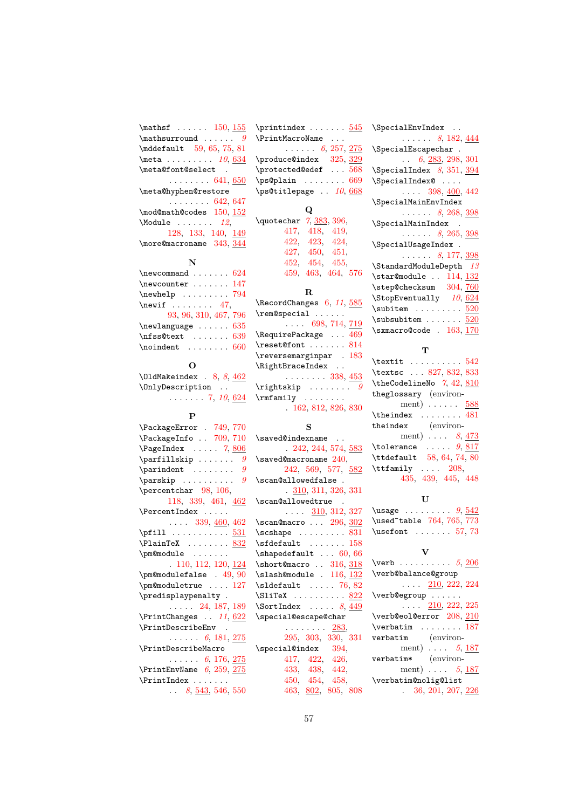\mathsf . . . . . . [150,](#page-19-7) <u>[155](#page-19-8)</u>  $\label{eq:optimal} \begin{array}{ccc} \text{math} & \text{if} & \text{if} & \text{if} \\ \text{math} & \text{if} & \text{if} & \text{if} \\ \text{if} & \text{if} & \text{if} & \text{if} \\ \text{if} & \text{if} & \text{if} & \text{if} \\ \text{if} & \text{if} & \text{if} & \text{if} \\ \text{if} & \text{if} & \text{if} & \text{if} \\ \text{if} & \text{if} & \text{if} & \text{if} \\ \text{if} & \text{if} & \text{if} & \text{if} \\ \text{if} & \text{if} & \$ \mddefault [59,](#page-16-16) [65,](#page-16-8) [75,](#page-16-17) [81](#page-16-9) \meta . . . . . . . . [10](#page-9-7), [634](#page-45-11) \meta@font@select .  $\ldots \ldots 641, 650$  $\ldots \ldots 641, 650$  $\ldots \ldots 641, 650$  $\ldots \ldots 641, 650$ \meta@hyphen@restore . . . . . . . . [642,](#page-45-14) [647](#page-45-15) \mod@math@codes [150,](#page-19-7) [152](#page-19-9)  $\text{Module } \ldots \ldots 12,$  $\text{Module } \ldots \ldots 12,$  $\text{Module } \ldots \ldots 12,$ [128,](#page-18-7) [133,](#page-18-8) [140,](#page-19-10) [149](#page-19-11) \more@macroname [343,](#page-31-10) [344](#page-31-11)

#### N

| $\neq$ 024            |
|-----------------------|
| \newcounter  147      |
| $\neq$ whelp  794     |
| $\neq$ 17,            |
| 93, 96, 310, 467, 796 |
|                       |
| $\neq 635$            |
| \nfss@text  639       |

#### O

| $\Delta$ Makeindex . 8, 8, 462 |                            |
|--------------------------------|----------------------------|
| \OnlyDescription               |                            |
|                                | $\ldots \ldots 7, 10, 624$ |

#### P

| \PackageError . 749, 770        |
|---------------------------------|
| \PackageInfo . 709, 710         |
| $\text{PageIndex} \dots$ 7, 806 |
| $\sqrt{9}$                      |
| $\gamma : \ldots : \mathbb{S}$  |
| $\gamma : \ldots : \ldots : g$  |
| \percentchar 98, 106,           |
| 118, 339, 461, 462              |
| \PercentIndex                   |
| $\ldots$ 339, $\frac{460}{162}$ |
| $\phi$ 531                      |
| $\Delta x$ 832                  |
| \pm@module                      |
| .110, 112, 120, 124             |
| $\pm 49, 90$                    |
| \pm@moduletrue  127             |
| \predisplaypenalty.             |
| $\ldots$ 24, 187, 189           |
| $\PrintChanges$ . 11, $622$     |
| \PrintDescribeEnv               |
| $\ldots$ 6, 181, 275            |
| \PrintDescribeMacro             |
| $\ldots \ldots 6, 176, 275$     |
| $\PrintEnvName$ 6, 259, 275     |
| \PrintIndex                     |
| $8, \frac{543}{546}, 546, 550$  |

| $\prime$ \printindex $545$              |    |  |  |
|-----------------------------------------|----|--|--|
| \PrintMacroName                         |    |  |  |
| $\ldots \ldots 6, 257, \underline{275}$ |    |  |  |
| \produce@index 325, 329                 |    |  |  |
| \protected@edef  568                    |    |  |  |
| $\ps@plain \ldots \ldots 669$           |    |  |  |
| \ps@titlepage  10, 668                  |    |  |  |
|                                         |    |  |  |
|                                         | Q  |  |  |
| \quotechar 7, 383, 396,                 |    |  |  |
| 417, 418, 419,                          |    |  |  |
| 422, 423, 424,                          |    |  |  |
| 427, 450, 451,                          |    |  |  |
| 452, 454, 455,                          |    |  |  |
| 459, 463, 464, 576                      |    |  |  |
|                                         | R. |  |  |
| NDqqqmdChqqqqqgqgqf1505                 |    |  |  |

#### \RecordChanges [6,](#page-4-13) [11](#page-11-4), [585](#page-42-13) \rem@special . . . . . .  $\ldots$  [698,](#page-47-12) [714,](#page-48-5) <u>[719](#page-48-6)</u> \RequirePackage . . . [469](#page-38-13) \reset@font ....... [814](#page-51-18) \reversemarginpar . [183](#page-21-15) \RightBraceIndex . .  $\ldots \ldots 338, \underline{453}$  $\ldots \ldots 338, \underline{453}$  $\ldots \ldots 338, \underline{453}$  $\ldots \ldots 338, \underline{453}$  $\ldots \ldots 338, \underline{453}$  $\rightarrow$  . . . . . . . . . [9](#page-8-2) \rmfamily ........ . [162,](#page-20-4) [812,](#page-51-19) [826,](#page-52-6) [830](#page-52-7)

#### S

| \saved@indexname                            |
|---------------------------------------------|
| .242, 244, 574, 583                         |
| $\simeq$ 240,                               |
| 242, 569, 577, 582                          |
| \scan@allowedfalse .                        |
| 310, 311, 326, 331                          |
| \scan@allowedtrue .                         |
| $\ldots$ 310, 312, 327                      |
| $\frac{\text{mean}}{\text{max}}$ $296, 302$ |
| $\s$ cshape  831                            |
| $\setminus$ sfdefault  158                  |
| $\lambda$ 60, 66                            |
| $\short@macro$ 316, 318                     |
| $\s1ash@module$ . 116, 132                  |
| $\delta$ \sldefault  76, 82                 |
| \SliTeX  822                                |
| $\text{SortIndex} \dots 8,449$              |
| \special@escape@char                        |
| . <u>283</u> ,                              |
| 295, 303, 330, 331                          |
| \special@index 394,                         |
| 417, 422, 426,                              |
| 433, 438, 442,                              |

| \SpecialEnvIndex                                    |
|-----------------------------------------------------|
| $\ldots$ $8, 182, 444$                              |
| \SpecialEscapechar.                                 |
| $\ldots$ 6, 283, 298, 301                           |
| $\SpecialIndex$ $8, 351, 394$                       |
| \SpecialIndex@                                      |
| $\ldots$ 398, 400, 442                              |
| \SpecialMainEnvIndex                                |
| $\ldots$ $8, 268, \frac{398}{100}$                  |
| \SpecialMainIndex                                   |
| $\ldots$ $8, 265, \frac{398}{100}$                  |
| \SpecialUsageIndex .                                |
| $\ldots$ $8, 177, 398$                              |
| $\lambda$ StandardModuleDepth $13$                  |
| $\frac{\text{modul}}{\text{all}}$ 114, 132          |
| \step@checksum 304,760                              |
| \StopEventually 10, 624                             |
| $\substack{\text{subitem} \ldots \ldots \quad 520}$ |
| $\s$ ubsubitem $520$                                |
| $\simeq 163, 170$                                   |
|                                                     |
| Т                                                   |

| \textit $542$                 |
|-------------------------------|
| \textsc  827, 832, 833        |
| \theCodelineNo 7, 42, 810     |
| theglossary (environ-         |
| ment) $\ldots \ldots$ 588     |
| $\theta x$ 481                |
| theindex (environ-            |
| ment) $\ldots$ 8, 473         |
| $\ldots$ 9, 817<br>\tolerance |
| \ttdefault 58, 64, 74, 80     |
| $\text{Int.} 208,$            |
| 435, 439, 445, 448            |
|                               |

#### $\mathbf U$

\usage  $\dots \dots 9, \underline{542}$  $\dots \dots 9, \underline{542}$  $\dots \dots 9, \underline{542}$  $\dots \dots 9, \underline{542}$  $\dots \dots 9, \underline{542}$ \used~table [764,](#page-50-16) [765,](#page-50-12) [773](#page-50-17)  $\text{Use}$  . . . . . . . [57,](#page-16-2) [73](#page-16-4)

#### V

| \verb $5, 206$                |
|-------------------------------|
| \verb@balance@group           |
| $\ldots$ 210, 222, 224        |
| \verb@egroup                  |
| $\ldots$ 210, 222, 225        |
| \verb@eol@error 208, 210      |
| $\verb \verbatim         187$ |
| (environ-<br>verbatim         |
| ment) $\ldots$ 5, 187         |
| (environ-<br>verbatim*        |
| ment) $\ldots$ 5, 187         |
| \verbatim@nolig@list          |
| 36, 201, 207, 226             |
|                               |

[450,](#page-37-4) [454,](#page-37-5) [458,](#page-37-6) [463,](#page-37-7) [802,](#page-51-20) [805,](#page-51-11) [808](#page-51-21)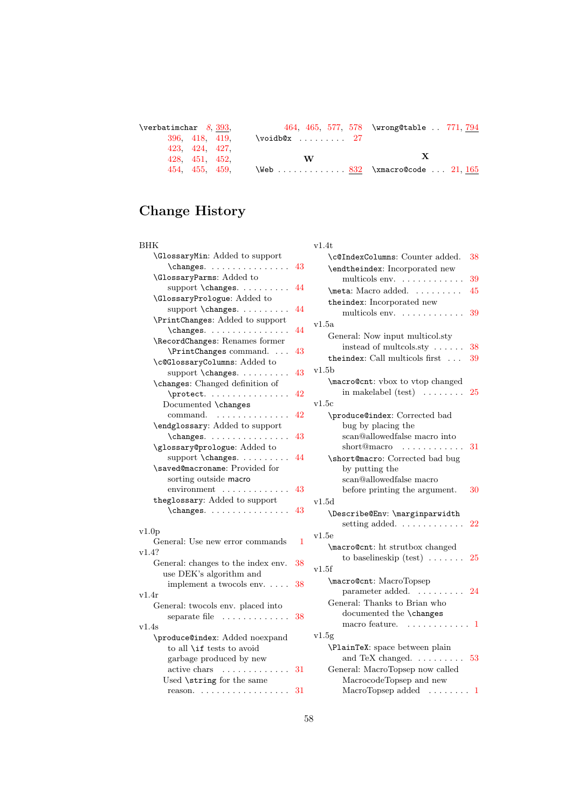| $\verb \verbatimchar 8, 393 .$ |                                  | 464, 465, 577, 578 \wrong@table . 771, 794 |
|--------------------------------|----------------------------------|--------------------------------------------|
| 396, 418, 419,                 | $\varepsilon$ 27                 |                                            |
| 423, 424, 427,                 |                                  |                                            |
| 428, 451, 452,                 | W                                | $\mathbf{x}$                               |
| 454, 455, 459,                 | \Web $832$ \xmacro@code $21,165$ |                                            |
|                                |                                  |                                            |

# Change History

| BHK                                                               |    | v1.4t         |
|-------------------------------------------------------------------|----|---------------|
| \GlossaryMin: Added to support                                    |    | $\setminus c$ |
| $\{\text{changes.} \dots \dots \dots \dots \}$                    | 43 | \e:           |
| <b>\GlossaryParms:</b> Added to                                   |    |               |
| support \changes.                                                 | 44 | $\mathbb{m}$  |
| \GlossaryPrologue: Added to                                       |    | th            |
| support \changes.                                                 | 44 |               |
| \PrintChanges: Added to support                                   |    | v1.5a         |
| \changes.                                                         | 44 | Ge            |
| \RecordChanges: Renames former                                    |    |               |
| \PrintChanges command.                                            | 43 |               |
| \c@GlossaryColumns: Added to                                      |    | th            |
| support \changes.                                                 | 43 | v1.5b         |
| \changes: Changed definition of                                   |    | ۱m            |
| \protect.                                                         | 42 |               |
| Documented \changes                                               |    | v1.5c         |
| command.                                                          | 42 | $\mathcal{P}$ |
| \endglossary: Added to support                                    |    |               |
| \changes.                                                         | 43 |               |
| \glossary@prologue: Added to                                      |    |               |
| support \changes.                                                 | 44 | \s            |
| \saved@macroname: Provided for                                    |    |               |
| sorting outside macro                                             |    |               |
| $environment \ldots \ldots$<br>$\sim$ $\sim$ $\sim$ $\sim$ $\sim$ | 43 |               |
| theglossary: Added to support                                     |    | v1.5d         |
| \changes.                                                         | 43 | ١D            |
| v1.0p                                                             |    |               |
| General: Use new error commands                                   | 1  | v1.5e         |
| v1.4?                                                             |    | \m            |
| General: changes to the index env.                                | 38 |               |
| use DEK's algorithm and                                           |    | v1.5f         |
| implement a twocols env.                                          | 38 | ۱m            |
| v1.4r                                                             |    |               |
| General: twocols env. placed into                                 |    | Gε            |
| separate file                                                     | 38 |               |
| v1.4s                                                             |    |               |
| \produce@index: Added noexpand                                    |    | v1.5g         |
| to all \if tests to avoid                                         |    | $\setminus P$ |
| garbage produced by new                                           |    |               |
| active chars $\dots \dots \dots \dots 31$                         |    | Ge            |
| Used \string for the same                                         |    |               |
| reason. $31$                                                      |    |               |
|                                                                   |    |               |

| V 1.4U                                             |    |
|----------------------------------------------------|----|
| \c@IndexColumns: Counter added.                    | 38 |
| \endtheindex: Incorporated new                     |    |
| multicols env.                                     | 39 |
| \meta: Macro added.                                | 45 |
| theindex: Incorporated new                         |    |
| multicols env.                                     | 39 |
| v1.5a                                              |    |
| General: Now input multicol.sty                    |    |
| instead of multcols.sty $\ldots \ldots$            | 38 |
| theindex: Call multicols first                     | 39 |
| v1.5b                                              |    |
| \macro@cnt: vbox to vtop changed                   |    |
| in makelabel $(test) \dots \dots$                  | 25 |
| v1.5c                                              |    |
| \produce@index: Corrected bad                      |    |
| bug by placing the<br>scan@allowedfalse macro into |    |
| $short@macro$                                      | 31 |
| \short@macro: Corrected bad bug                    |    |
| by putting the                                     |    |
| scan@allowedfalse macro                            |    |
| before printing the argument.                      | 30 |
| v1.5d                                              |    |
| \Describe@Env: \marginparwidth                     |    |
| setting added. $\ldots \ldots \ldots$              | 22 |
| v1.5e                                              |    |
| \macro@cnt: ht strutbox changed                    |    |
| to baselineskip (test) $\ldots \ldots$ 25          |    |
| v1.5f                                              |    |
| \macro@cnt: MacroTopsep                            |    |
| parameter added. 24                                |    |
| General: Thanks to Brian who                       |    |
| documented the \changes                            |    |
| macro feature.<br>. 1                              |    |
| v1.5g                                              |    |
| \PlainTeX: space between plain                     |    |
| and TeX changed. $\ldots \ldots \ldots 53$         |    |
| General: MacroTopsep now called                    |    |
| MacrocodeTopsep and new<br>MacroTopsep added  1    |    |
|                                                    |    |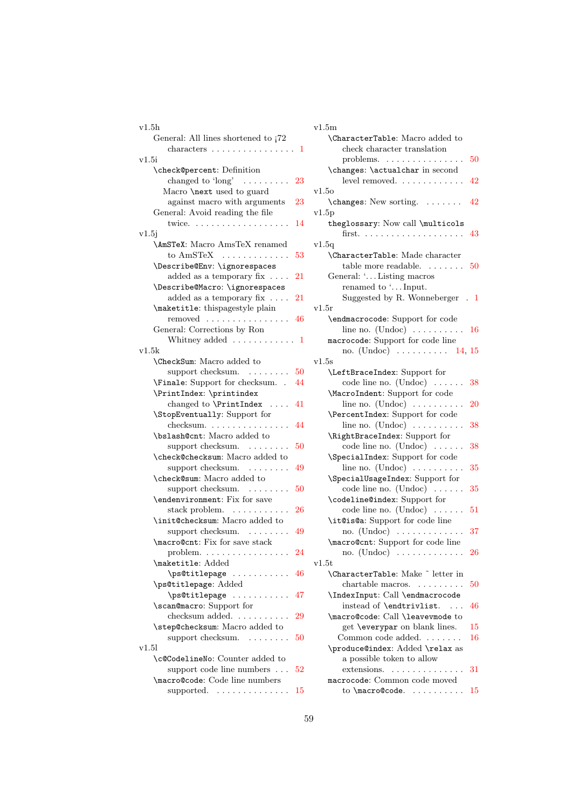| v1.5h                                              |    | $\rm v1.5m$    |
|----------------------------------------------------|----|----------------|
| General: All lines shortened to $72$               |    | \Ch:           |
| characters $\dots \dots \dots \dots \dots \dots 1$ |    |                |
| v1.5i                                              |    |                |
| \check@percent: Definition                         |    | \ch:           |
| changed to ' $long'$                               | 23 |                |
| Macro \next used to guard                          |    | v1.50          |
| against macro with arguments                       | 23 | $\ch$          |
| General: Avoid reading the file                    |    | v1.5p          |
| twice. $\ldots \ldots \ldots \ldots \ldots$        | 14 | the            |
| v1.5j                                              |    |                |
| <b>\AmSTeX:</b> Macro AmsTeX renamed               |    | v1.5q          |
| to $AmSTEX$                                        | 53 | $\chi$ Ch      |
| \Describe@Env: \ignorespaces                       |    |                |
| added as a temporary fix $\dots$ .                 | 21 | Gen            |
| \Describe@Macro: \ignorespaces                     |    |                |
| added as a temporary fix $\dots$ .                 | 21 |                |
| \maketitle: thispagestyle plain                    |    | v1.5r          |
| removed                                            | 46 | \en            |
| General: Corrections by Ron                        |    |                |
| Whitney added $\ldots \ldots \ldots 1$             |    | mac:           |
| v1.5k<br>\CheckSum: Macro added to                 |    | v1.5s          |
| support checksum. $\ldots \ldots \ldots 50$        |    | \Le:           |
| \Finale: Support for checksum. .                   | 44 |                |
| \PrintIndex: \printindex                           |    | \Ma            |
| changed to $\Pr\in$ Index                          | 41 |                |
| \StopEventually: Support for                       |    | \Pe:           |
| checksum.                                          | 44 |                |
| \bslash@cnt: Macro added to                        |    | \Ri            |
| support checksum.                                  | 50 |                |
| \check@checksum: Macro added to                    |    | $\setminus$ Sp |
| support checksum.                                  | 49 |                |
| \check@sum: Macro added to                         |    | \Sp            |
| support checksum.                                  | 50 |                |
| \endenvironment: Fix for save                      |    | \co            |
| stack problem. $\ldots \ldots \ldots$              | 26 |                |
| \init@checksum: Macro added to                     |    | \it            |
| support checksum.                                  | 49 |                |
| \macro@cnt: Fix for save stack                     |    | \ma            |
| $problem. \ldots \ldots \ldots \ldots$             | 24 |                |
| \maketitle: Added                                  |    | v1.5t          |
| \ps@titlepage                                      | 46 | \Ch            |
| \ps@titlepage: Added                               |    |                |
| \ps@titlepage                                      | 47 | ∖In            |
| \scan@macro: Support for                           |    |                |
| checksum added.                                    | 29 | \ma            |
| \step@checksum: Macro added to                     |    |                |
| support checksum.                                  | 50 | C              |
| v1.51                                              |    | \pr            |
| \c@CodelineNo: Counter added to                    |    |                |
| support code line numbers                          | 52 |                |
| \macro@code: Code line numbers                     |    | mac:           |
| supported. $\dots\dots\dots\dots\dots$             | 15 |                |

|                      |              | v1.5m                                                   |           |
|----------------------|--------------|---------------------------------------------------------|-----------|
|                      |              | \CharacterTable: Macro added to                         |           |
|                      | . . 1        | check character translation                             |           |
|                      |              | problems. $\dots \dots \dots \dots \dots$               | 50        |
|                      |              | \changes: \actualchar in second                         |           |
|                      | 23           | level removed.                                          | 42        |
|                      |              | v1.50                                                   |           |
|                      | 23           | \changes: New sorting.                                  | 42        |
|                      |              | v1.5p                                                   |           |
|                      | 14           | theglossary: Now call \multicols                        |           |
|                      |              |                                                         | 43        |
| ł                    |              | v1.5q                                                   |           |
|                      | 53           | \CharacterTable: Made character                         |           |
|                      |              | table more readable. $\dots\dots$                       | 50        |
|                      | 21           | General: ' Listing macros                               |           |
|                      |              | renamed to ' Input.                                     |           |
|                      | 21           | Suggested by R. Wonneberger<br>$\overline{\phantom{a}}$ | -1        |
| $\ddot{\phantom{a}}$ |              | $_{\rm v1.5r}$                                          |           |
|                      | 46           |                                                         |           |
|                      |              | \endmacrocode: Support for code                         |           |
|                      |              | line no. $(Undoc) \ldots \ldots \ldots$                 | 16        |
|                      | $\mathbf{1}$ | macrocode: Support for code line                        |           |
|                      |              | no. (Undoc) $\dots \dots \dots \dots 14, 15$            |           |
|                      |              | $_{\rm v1.5s}$                                          |           |
|                      | 50           | \LeftBraceIndex: Support for                            |           |
|                      | 44           | code line no. $(Undoc) \dots$<br>.                      | 38        |
|                      |              | \MacroIndent: Support for code                          |           |
|                      | 41           | line no. $(Undoc) \ldots \ldots \ldots$                 | 20        |
|                      |              | \PercentIndex: Support for code                         |           |
|                      | 44           | line no. $(Undoc) \ldots \ldots \ldots$                 | 38        |
|                      |              | \RightBraceIndex: Support for                           |           |
|                      | 50           | code line no. $(Undoc) \dots$                           | 38        |
| Э                    |              | \SpecialIndex: Support for code                         |           |
|                      | 49           | line no. $(Undoc) \ldots \ldots \ldots$                 | 35        |
|                      |              | \SpecialUsageIndex: Support for                         |           |
|                      | 50           | code line no. $(Undoc) \dots$                           | 35        |
|                      |              | \codeline@index: Support for                            |           |
|                      | 26           | code line no. $(Undoc) \dots$                           | 51        |
|                      |              | \it@is@a: Support for code line                         |           |
|                      | 49           | no. $(Undoc) \ldots \ldots \ldots$                      | 37        |
|                      |              | \macro@cnt: Support for code line                       |           |
|                      | 24           | no. $(Undoc)$                                           | <b>26</b> |
|                      |              | v1.5t                                                   |           |
|                      | 46           | <b>\CharacterTable:</b> Make ~ letter in                |           |
|                      |              | chartable macros.<br>.                                  | 50        |
|                      | 47           | \IndexInput: Call \endmacrocode                         |           |
|                      |              | instead of \endtrivlist.<br>$\sim$ .                    | 46        |
|                      | 29           | \macro@code: Call \leavevmode to                        |           |
|                      |              | get \everypar on blank lines.                           | 15        |
|                      | 50           | Common code added                                       | 16        |
|                      |              | \produce@index: Added \relax as                         |           |
|                      |              | a possible token to allow                               |           |
|                      | 52           | extensions.<br>.                                        | 31        |
|                      |              | macrocode: Common code moved                            |           |
|                      | 15           | to $\n\cdot 0$ acro@code.                               | 15        |
|                      |              |                                                         |           |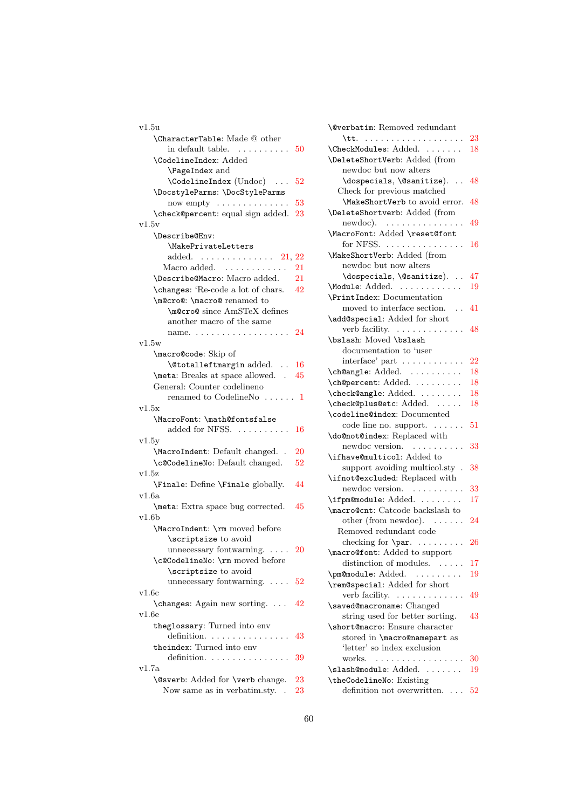| v1.5u                                                   |         |
|---------------------------------------------------------|---------|
| <b>\CharacterTable:</b> Made @ other                    |         |
| in default table.<br>$\cdots \cdots \cdots 50$          |         |
| \CodelineIndex: Added                                   |         |
| \PageIndex and                                          |         |
| $\setminus$ CodelineIndex (Undoc)                       | 52      |
| \DocstyleParms: \DocStyleParms                          |         |
| now empty $\dots \dots \dots \dots$                     | 53      |
| \check@percent: equal sign added.                       | 23      |
| v1.5v                                                   |         |
| \Describe@Env:                                          |         |
| \MakePrivateLetters                                     |         |
|                                                         |         |
| added. $\ldots \ldots \ldots \ldots 21, 22$             |         |
| Macro added. $\dots\dots\dots\dots$                     | 21      |
| \Describe@Macro: Macro added.                           | 21      |
| \changes: 'Re-code a lot of chars.                      | 42      |
| \m@cro@: \macro@ renamed to                             |         |
| \m@cro@since AmSTeX defines                             |         |
| another macro of the same                               |         |
| name.                                                   | 24      |
| v1.5w                                                   |         |
| \macro@code: Skip of                                    |         |
| <b>\@totalleftmargin</b> added.                         | -16     |
| \meta: Breaks at space allowed. . 45                    |         |
| General: Counter codelineno                             |         |
| renamed to CodelineNo $\dots$ . $1$                     |         |
|                                                         |         |
| v1.5x                                                   |         |
|                                                         |         |
| \MacroFont: \math@fontsfalse                            |         |
| added for NFSS.                                         | 16      |
| v1.5y                                                   |         |
| \MacroIndent: Default changed. .                        | 20      |
| \c@CodelineNo: Default changed.                         | 52      |
| v1.5z                                                   |         |
| \Finale: Define \Finale globally.                       | 44      |
| v1.6a                                                   |         |
| \meta: Extra space bug corrected.                       | 45      |
| v1.6b                                                   |         |
| \MacroIndent: \rm moved before                          |         |
| \scriptsize to avoid                                    |         |
| unnecessary fontwarning. $\dots$                        | 20      |
| \c@CodelineNo: \rm moved before                         |         |
| \scriptsize to avoid                                    |         |
| unnecessary fontwarning. $\dots$                        | $^{52}$ |
| v1.6c                                                   |         |
|                                                         |         |
| \changes: Again new sorting.                            | 42      |
| v1.6e                                                   |         |
| theglossary: Turned into env                            |         |
| definition.                                             | 43      |
| theindex: Turned into env                               |         |
| definition.                                             | 39      |
| v1.7a<br><b>\@sverb:</b> Added for <b>\verb</b> change. | 23      |

Now same as in verbatim.sty. . [23](#page-22-12)

| <b>\@verbatim:</b> Removed redundant  |                 |
|---------------------------------------|-----------------|
|                                       | 23              |
| \CheckModules: Added.                 | 18              |
| \DeleteShortVerb: Added (from         |                 |
| newdoc but now alters                 |                 |
| \dospecials, \@sanitize).<br>$\ddots$ | 48              |
| Check for previous matched            |                 |
| \MakeShortVerb to avoid error.        | 48              |
| \DeleteShortverb: Added (from         |                 |
| $newdoc)$ .                           | 49              |
| \MacroFont: Added \reset@font         |                 |
| for NFSS.                             | 16              |
| \MakeShortVerb: Added (from           |                 |
| newdoc but now alters                 |                 |
| \dospecials, \@sanitize).             | 47              |
| \Module: Added.                       | 19              |
|                                       |                 |
| \PrintIndex: Documentation            |                 |
| moved to interface section. $\ldots$  | 41              |
| \add@special: Added for short         |                 |
| verb facility.                        | 48              |
| \bslash: Moved \bslash                |                 |
| documentation to 'user                |                 |
| $interface' part \dots \dots \dots$   | $\overline{22}$ |
| \ch@angle: Added.                     | 18              |
| \ch@percent: Added.                   | 18              |
| \check@angle: Added.                  | 18              |
| \check@plus@etc: Added.               | 18              |
| \codeline@index: Documented           |                 |
| code line no. support.                | 51              |
| \do@not@index: Replaced with          |                 |
| newdoc version.<br>$\sim$             | 33              |
| \ifhave@multicol: Added to            |                 |
| support avoiding multicol.sty.        | 38              |
| \ifnot@excluded: Replaced with        |                 |
| newdoc version.                       | 33              |
| \ifpm@module: Added.                  | 17              |
| \macro@cnt: Catcode backslash to      |                 |
| other (from newdoc). $\dots$ .        | 24              |
| Removed redundant code                |                 |
| checking for $\parrow$ 26             |                 |
| <b>\macro@font:</b> Added to support  |                 |
| distinction of modules.               | 17              |
| \pm@module: Added.<br>$\sim$          | 19              |
| \rem@special: Added for short         |                 |
| verb facility.                        | 49              |
| \saved@macroname: Changed             |                 |
| string used for better sorting.       | 43              |
| \short@macro: Ensure character        |                 |
| stored in \macro@namepart as          |                 |
| 'letter' so index exclusion           |                 |
| works.                                | 30              |
| .                                     |                 |
| \slash@module: Added.                 | 19              |
| \theCodelineNo: Existing              |                 |
| definition not overwritten.           | 52              |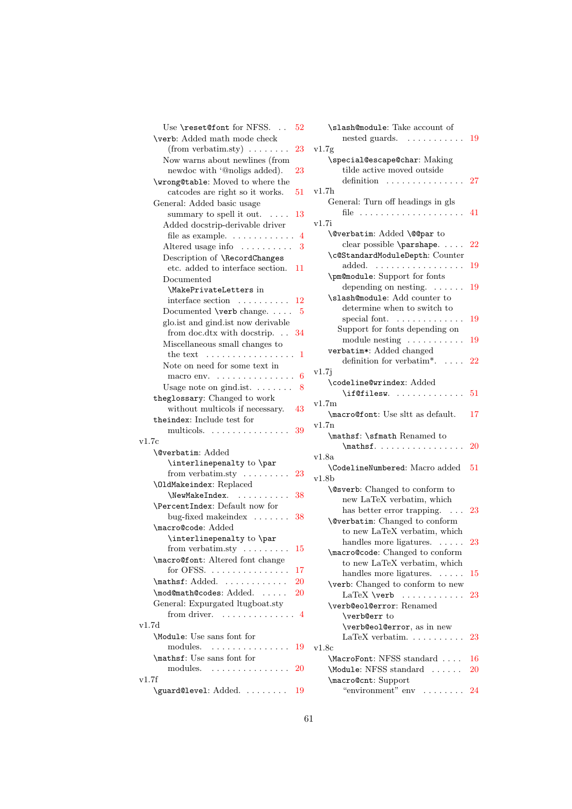| Use \reset@font for NFSS.<br>52                     |        |
|-----------------------------------------------------|--------|
| \verb: Added math mode check                        |        |
| $(from \, verbatim. sty) \ldots \ldots$<br>23       | $v1$ . |
| Now warns about newlines (from                      |        |
| newdoc with '@noligs added).<br>23                  |        |
| \wrong@table: Moved to where the                    |        |
| catcodes are right so it works.<br>51               | $v1$ . |
| General: Added basic usage                          |        |
| summary to spell it out. $\dots$<br>13              |        |
| Added docstrip-derivable driver                     | v1.    |
| file as example. $\dots \dots \dots \dots$ 4        |        |
| Altered usage info $\ldots \ldots \ldots$ 3         |        |
| Description of \RecordChanges                       |        |
| etc. added to interface section.<br>11              |        |
| Documented                                          |        |
| \MakePrivateLetters in                              |        |
| interface section $\dots \dots \dots 12$            |        |
| Documented $\verb \verb verb  change. 5$            |        |
| glo.ist and gind.ist now derivable                  |        |
| from doc.dtx with docstrip. 34                      |        |
| Miscellaneous small changes to                      |        |
| the text $\dots\dots\dots\dots\dots\dots\dots$<br>1 |        |
| Note on need for some text in                       |        |
| macro env. $\dots \dots \dots \dots \dots$<br>6     | v1.    |
| Usage note on gind.ist. $\ldots$ 8                  |        |
| theglossary: Changed to work                        |        |
| without multicols if necessary.<br>43               | v1.    |
| theindex: Include test for                          |        |
| multicols.<br>39                                    | v1.    |
| v1.7c                                               |        |
| <b>\@verbatim:</b> Added                            |        |
| \interlinepenalty to \par                           | v1.    |
| from verbatim.sty $\dots \dots$<br>23               |        |
| <b>\OldMakeindex: Replaced</b>                      | v1.    |
| \NewMakeIndex.<br>38                                |        |
| \PercentIndex: Default now for                      |        |
| bug-fixed makeindex $\dots \dots 38$                |        |
| \macro@code: Added                                  |        |
| \interlinepenalty to \par                           |        |
| from verbatim.sty $\dots \dots$<br>15               |        |
| \macro@font: Altered font change                    |        |
| for OFSS.<br>17                                     |        |
| \mathsf: Added.<br>20                               |        |
| \mod@math@codes: Added.<br>20                       |        |
| General: Expurgated ltugboat.sty                    |        |
| from driver. $\dots \dots \dots \dots \dots$        |        |
| v1.7d                                               |        |
| \Module: Use sans font for                          |        |
| modules.<br>19                                      | v1.    |
| \mathsf: Use sans font for                          |        |
| modules.<br>20                                      |        |
| v1.7f                                               |        |
| \guard@level: Added.<br>19                          |        |
|                                                     |        |

| $52\,$          | \slash@module: Take account of<br>nested guards.<br>. 19                                       |    |
|-----------------|------------------------------------------------------------------------------------------------|----|
| 23              | v1.7g                                                                                          |    |
| $^{23}$         | \special@escape@char: Making<br>tilde active moved outside                                     |    |
|                 | definition                                                                                     | 27 |
| 51              | v1.7h                                                                                          |    |
|                 | General: Turn off headings in gls                                                              |    |
|                 |                                                                                                | 41 |
| $_{13}$         | v1.7i                                                                                          |    |
|                 |                                                                                                |    |
| $\overline{4}$  | \@verbatim: Added \@@par to                                                                    |    |
| 3               | clear possible \parshape.                                                                      | 22 |
|                 | \c@StandardModuleDepth: Counter                                                                |    |
| 11              | $added. \quad \ldots \ldots \ldots \ldots \ldots$                                              | 19 |
|                 | \pm@module: Support for fonts                                                                  |    |
|                 | depending on nesting.                                                                          | 19 |
| 12              | \slash@module: Add counter to                                                                  |    |
| -5              | determine when to switch to                                                                    |    |
|                 | special font. $\dots \dots \dots$                                                              | 19 |
| 34              | Support for fonts depending on                                                                 |    |
|                 | module nesting                                                                                 | 19 |
| 1               | verbatim*: Added changed                                                                       |    |
|                 | definition for verbatim*. $\,$<br>$\overline{a}$ . $\overline{a}$                              | 22 |
|                 | v1.7j                                                                                          |    |
| 6               | \codeline@wrindex: Added                                                                       |    |
| 8               | \if@filesw.                                                                                    | 51 |
|                 | v1.7m                                                                                          |    |
| 43              | \macro@font: Use sltt as default.                                                              | 17 |
|                 | v1.7n                                                                                          |    |
| 39              | \mathsf: \sfmath Renamed to                                                                    |    |
|                 | $\mathbf{f}$                                                                                   | 20 |
|                 | v1.8a                                                                                          |    |
|                 | \CodelineNumbered: Macro added                                                                 | 51 |
| 23              | v1.8b                                                                                          |    |
|                 |                                                                                                |    |
| 38              | <b>\@sverb:</b> Changed to conform to<br>new LaTeX verbatim, which                             |    |
|                 |                                                                                                |    |
| 38              | has better error trapping.                                                                     | 23 |
|                 | <b>\@verbatim:</b> Changed to conform                                                          |    |
|                 | to new LaTeX verbatim, which                                                                   |    |
| $15\,$          | handles more ligatures. $\dots$ .                                                              | 23 |
|                 | \macro@code: Changed to conform                                                                |    |
| 17              | to new LaTeX verbatim, which                                                                   |    |
| $\overline{20}$ | handles more ligatures.                                                                        | 15 |
|                 | \verb: Changed to conform to new                                                               |    |
| $\overline{20}$ | LaTeX \verb<br>.                                                                               | 23 |
|                 | \verb@eol@error: Renamed                                                                       |    |
| $\overline{4}$  | \verb@err to                                                                                   |    |
|                 | \verb@eol@error, as in new                                                                     |    |
|                 | $LaTeX$ verbatim. $\ldots \ldots \ldots$                                                       | 23 |
| 19              | v1.8c                                                                                          |    |
|                 | \MacroFont: NFSS standard                                                                      | 16 |
| $\overline{20}$ | \Module: NFSS standard                                                                         | 20 |
|                 | \macro@cnt: Support                                                                            |    |
| 19              | "environment" env<br>$\begin{array}{cccccccccccccc} . & . & . & . & . & . & . & . \end{array}$ | 24 |
|                 |                                                                                                |    |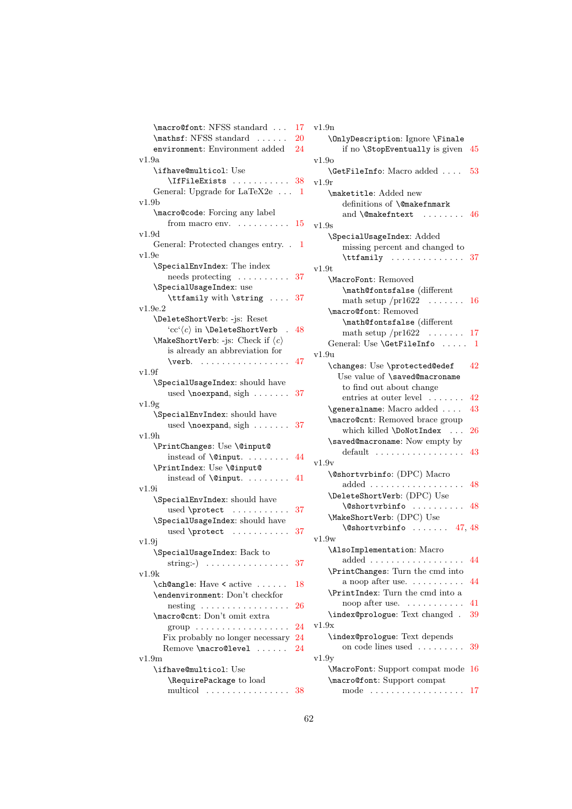| \macro@font: NFSS standard                                                                                                                                                                                                                                       | 17 |
|------------------------------------------------------------------------------------------------------------------------------------------------------------------------------------------------------------------------------------------------------------------|----|
| \mathsf: NFSS standard<br>$\mathbf{1}$                                                                                                                                                                                                                           | 20 |
| environment: Environment added                                                                                                                                                                                                                                   | 24 |
| v1.9a                                                                                                                                                                                                                                                            |    |
| \ifhave@multicol: Use                                                                                                                                                                                                                                            |    |
| $\left\{\text{IfFileE} x \text{ is } \ldots \text{ is } 38\right\}$                                                                                                                                                                                              |    |
| General: Upgrade for LaTeX2e  1                                                                                                                                                                                                                                  |    |
| v1.9b                                                                                                                                                                                                                                                            |    |
| \macro@code: Forcing any label                                                                                                                                                                                                                                   |    |
| from macro env. $\dots \dots \dots \dots 15$                                                                                                                                                                                                                     |    |
| v1.9d                                                                                                                                                                                                                                                            |    |
| General: Protected changes entry. . 1                                                                                                                                                                                                                            |    |
| v1.9e                                                                                                                                                                                                                                                            |    |
| \SpecialEnvIndex: The index                                                                                                                                                                                                                                      |    |
| $\mathbf{needs}$ protecting $\ldots \ldots \ldots$                                                                                                                                                                                                               | 37 |
| \SpecialUsageIndex: use                                                                                                                                                                                                                                          |    |
| \ttfamily with \string  37                                                                                                                                                                                                                                       |    |
| v1.9e.2                                                                                                                                                                                                                                                          |    |
|                                                                                                                                                                                                                                                                  |    |
| \DeleteShortVerb: -js: Reset                                                                                                                                                                                                                                     |    |
| 'cc' $\langle c \rangle$ in \DeleteShortVerb<br>$\mathcal{L}$                                                                                                                                                                                                    | 48 |
| \MakeShortVerb: -js: Check if $\langle c \rangle$                                                                                                                                                                                                                |    |
| is already an abbreviation for                                                                                                                                                                                                                                   |    |
| $\verb \verb verb .   \dots   \dots   \ 47$                                                                                                                                                                                                                      |    |
| v1.9f                                                                                                                                                                                                                                                            |    |
| \SpecialUsageIndex: should have                                                                                                                                                                                                                                  |    |
| used $\neq$ $\neq$ $\neq$ $\neq$ $\neq$ $\neq$ $\neq$ $\neq$ $\neq$ $\neq$ $\neq$ $\neq$ $\neq$ $\neq$ $\neq$ $\neq$ $\neq$ $\neq$ $\neq$ $\neq$ $\neq$ $\neq$ $\neq$ $\neq$ $\neq$ $\neq$ $\neq$ $\neq$ $\neq$ $\neq$ $\neq$ $\neq$ $\neq$ $\neq$ $\neq$ $\neq$ | 37 |
| v1.9g                                                                                                                                                                                                                                                            |    |
| \SpecialEnvIndex: should have                                                                                                                                                                                                                                    |    |
| used $\neq$ $\neq$ $\dots$ $\dots$ 37                                                                                                                                                                                                                            |    |
| v1.9h                                                                                                                                                                                                                                                            |    |
| \PrintChanges: Use \@input@                                                                                                                                                                                                                                      |    |
| $instead of \qquad \ldots \ldots$                                                                                                                                                                                                                                | 44 |
| \PrintIndex: Use \@input@                                                                                                                                                                                                                                        |    |
| instead of $\@i$ nput.                                                                                                                                                                                                                                           | 41 |
| v1.9i                                                                                                                                                                                                                                                            |    |
| \SpecialEnvIndex: should have                                                                                                                                                                                                                                    |    |
|                                                                                                                                                                                                                                                                  | 37 |
| \SpecialUsageIndex: should have                                                                                                                                                                                                                                  |    |
| used \protect                                                                                                                                                                                                                                                    | 37 |
|                                                                                                                                                                                                                                                                  |    |
| v1.9j                                                                                                                                                                                                                                                            |    |
| \SpecialUsageIndex: Back to                                                                                                                                                                                                                                      |    |
| string:-) $\ldots \ldots \ldots \ldots$                                                                                                                                                                                                                          | 37 |
| v1.9k                                                                                                                                                                                                                                                            |    |
| \ch@angle: Have < active                                                                                                                                                                                                                                         | 18 |
| \endenvironment: Don't checkfor                                                                                                                                                                                                                                  |    |
| $\text{nesting} \dots \dots \dots \dots \dots \dots$                                                                                                                                                                                                             | 26 |
| \macro@cnt: Don't omit extra                                                                                                                                                                                                                                     |    |
| $group \dots \dots \dots \dots \dots \dots$                                                                                                                                                                                                                      | 24 |
| Fix probably no longer necessary                                                                                                                                                                                                                                 | 24 |
| Remove \macro@level                                                                                                                                                                                                                                              | 24 |
| v1.9m                                                                                                                                                                                                                                                            |    |
| \ifhave@multicol: Use                                                                                                                                                                                                                                            |    |
| \RequirePackage to load                                                                                                                                                                                                                                          |    |
| multicol  38                                                                                                                                                                                                                                                     |    |

| v1.9n                                                   |
|---------------------------------------------------------|
| \OnlyDescription: Ignore \Finale                        |
| if no \StopEventually is given<br>45                    |
| v1.90                                                   |
| \GetFileInfo: Macro added<br>53                         |
| $_{\rm v1.9r}$                                          |
| \maketitle: Added new                                   |
| definitions of <b>\@makefnmark</b>                      |
| and $\Omega$ and $\Omega$ and $\Omega$                  |
| v1.9s                                                   |
| \SpecialUsageIndex: Added                               |
| missing percent and changed to                          |
|                                                         |
| $\text{Int.} 37$<br>v1.9t                               |
|                                                         |
| \MacroFont: Removed                                     |
| \math@fontsfalse (different                             |
| math setup $/pr1622$ 16                                 |
| \macro@font: Removed                                    |
| \math@fontsfalse (different                             |
| math setup $/pr1622$ 17                                 |
| General: Use \GetFileInfo  1                            |
| v1.9u                                                   |
| \changes: Use \protected@edef<br>42                     |
| Use value of \saved@macroname                           |
| to find out about change                                |
| entries at outer level<br>42                            |
| \generalname: Macro added<br>43                         |
| \macro@cnt: Removed brace group                         |
| which killed \DoNotIndex<br>26                          |
| \saved@macroname: Now empty by                          |
| $default \dots \dots \dots \dots \dots \dots$<br>43     |
| v1.9v                                                   |
| <b>\@shortvrbinfo:</b> (DPC) Macro                      |
| $added \dots \dots \dots \dots \dots \dots \dots$<br>48 |
| \DeleteShortVerb: (DPC) Use                             |
| $\setminus$ @shortvrbinfo  48                           |
| \MakeShortVerb: (DPC) Use                               |
| $\sqrt{9}$ shortvrbinfo  47, 48                         |
|                                                         |
| v1.9w                                                   |
| \AlsoImplementation: Macro                              |
| 44                                                      |
| \PrintChanges: Turn the cmd into                        |
| a noop after use.<br>44                                 |
| \PrintIndex: Turn the cmd into a                        |
| noop after use.<br>41                                   |
| \index@prologue: Text changed .<br>39                   |
| v1.9x                                                   |
| \index@prologue: Text depends                           |
| on code lines used<br>39                                |
| v1.9y                                                   |
| \MacroFont: Support compat mode<br>16                   |
| \macro@font: Support compat                             |
| mode<br>17                                              |
|                                                         |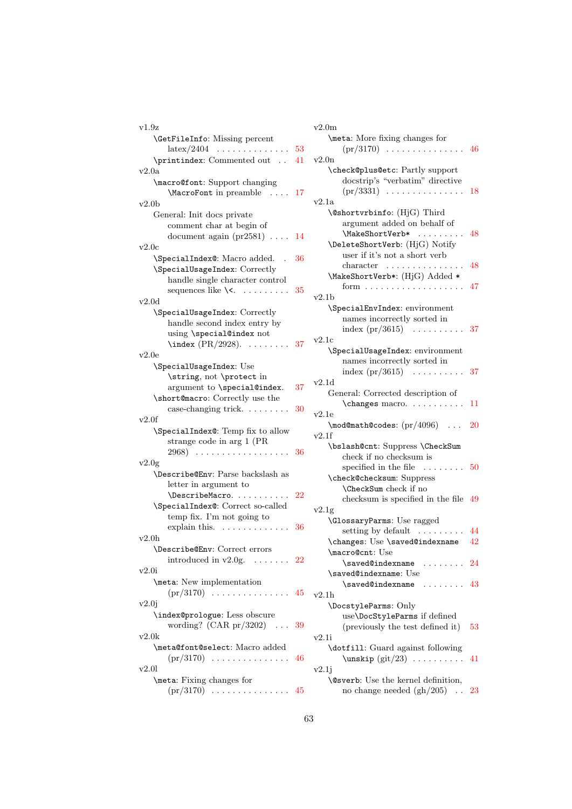| v1.9z                                    |     |
|------------------------------------------|-----|
| <b>\GetFileInfo:</b> Missing percent     |     |
| $\text{latex}/2404$ 53                   |     |
| \printindex: Commented out  41           |     |
| v2.0a                                    |     |
| \macro@font: Support changing            |     |
| \MacroFont in preamble<br>$\ldots$ 17    |     |
|                                          |     |
| v2.0 <sub>b</sub>                        |     |
| General: Init docs private               |     |
| comment char at begin of                 |     |
| document again $(pr2581) \ldots$         | 14  |
| v2.0c                                    |     |
| \SpecialIndex@: Macro added.             | 36  |
| \SpecialUsageIndex: Correctly            |     |
| handle single character control          |     |
| sequences like $\setminus\langle$ .<br>. | 35  |
| v2.0d                                    |     |
| \SpecialUsageIndex: Correctly            |     |
|                                          |     |
| handle second index entry by             |     |
| using \special@index not                 |     |
| $\langle PR/2928\rangle$ .<br>. 37       |     |
| v2.0e                                    |     |
| \SpecialUsageIndex: Use                  |     |
| \string, not \protect in                 |     |
| argument to \special@index.              | 37  |
| \short@macro: Correctly use the          |     |
| case-changing trick.                     | 30  |
| v2.0f                                    |     |
| \SpecialIndex@: Temp fix to allow        |     |
| strange code in arg 1 (PR                |     |
| 2968)                                    | 36  |
| v2.0g                                    |     |
| \Describe@Env: Parse backslash as        |     |
| letter in argument to                    |     |
| \DescribeMacro.                          | -22 |
|                                          |     |
| \SpecialIndex@: Correct so-called        |     |
| temp fix. I'm not going to               |     |
| explain this.<br>.                       | 36  |
| v2.0h                                    |     |
| \Describe@Env: Correct errors            |     |
| introduced in $v2.0g$ . 22               |     |
| v2.0i                                    |     |
| \meta: New implementation                |     |
|                                          |     |
| v2.0j                                    |     |
| \index@prologue: Less obscure            |     |
| wording? $(CAR pr/3202)$<br>$\sim 100$   | 39  |
| v2.0k                                    |     |
| \meta@font@select: Macro added           |     |
|                                          |     |
| $(pr/3170) \ldots \ldots \ldots \ldots$  | 46  |
| v2.01                                    |     |
| \meta: Fixing changes for                |     |
| $(pr/3170)$ 45                           |     |

| v2.0m                                               |      |
|-----------------------------------------------------|------|
| \meta: More fixing changes for                      |      |
| $(pr/3170) \ldots \ldots \ldots \ldots \ldots 46$   |      |
| v2.0n                                               |      |
| \check@plus@etc: Partly support                     |      |
| docstrip's "verbatim" directive                     |      |
| $(pr/3331) \ldots \ldots \ldots \ldots$             | 18   |
|                                                     |      |
| v2.1a                                               |      |
| \@shortvrbinfo: (HjG) Third                         |      |
| argument added on behalf of                         |      |
| \MakeShortVerb*                                     | 48   |
| \DeleteShortVerb: (HjG) Notify                      |      |
| user if it's not a short verb                       |      |
| character                                           | 48   |
| \MakeShortVerb*: (HjG) Added *                      |      |
| form $\dots \dots \dots \dots \dots \dots$          | 47   |
| v2.1b                                               |      |
| \SpecialEnvIndex: environment                       |      |
| names incorrectly sorted in                         |      |
|                                                     |      |
| index $(pr/3615) \dots \dots \dots$                 | - 37 |
| v2.1c                                               |      |
| \SpecialUsageIndex: environment                     |      |
| names incorrectly sorted in                         |      |
| index $(pr/3615)$<br>$\mathbb{Z}$ .<br>             | 37   |
| v2.1d                                               |      |
| General: Corrected description of                   |      |
| \changes macro.                                     | 11   |
| v2.1e                                               |      |
| $\mod$ Omath @codes: $(pr/4096) \dots$              | 20   |
| v2.1f                                               |      |
| \bslash@cnt: Suppress \CheckSum                     |      |
| check if no checksum is                             |      |
|                                                     |      |
| specified in the file $\dots\dots$                  | 50   |
| \check@checksum: Suppress                           |      |
| \CheckSum check if no                               |      |
| checksum is specified in the file                   | 49   |
| v2.1g                                               |      |
| <b>\GlossaryParms:</b> Use ragged                   |      |
| setting by default $\dots \dots$                    | 44   |
| \changes: Use \saved@indexname                      | 42   |
| \macro@cnt: Use                                     |      |
| $\simeq$ $\cdots$ $24$                              |      |
| \saved@indexname: Use                               |      |
| \saved@indexname<br>$\ldots$ 43                     |      |
| v2.1h                                               |      |
|                                                     |      |
| \DocstyleParms: Only                                |      |
| use\DocStyleParms if defined                        |      |
| (previously the test defined it)                    | 53   |
| v2.1i                                               |      |
| \dotfill: Guard against following                   |      |
| $\text{unskip}(\text{git}/23) \ldots \ldots$        | 41   |
| v2.1j                                               |      |
| <b>\@sverb:</b> Use the kernel definition,          |      |
| no change needed $(gh/205)$<br>$\ddot{\phantom{0}}$ | 23   |
|                                                     |      |